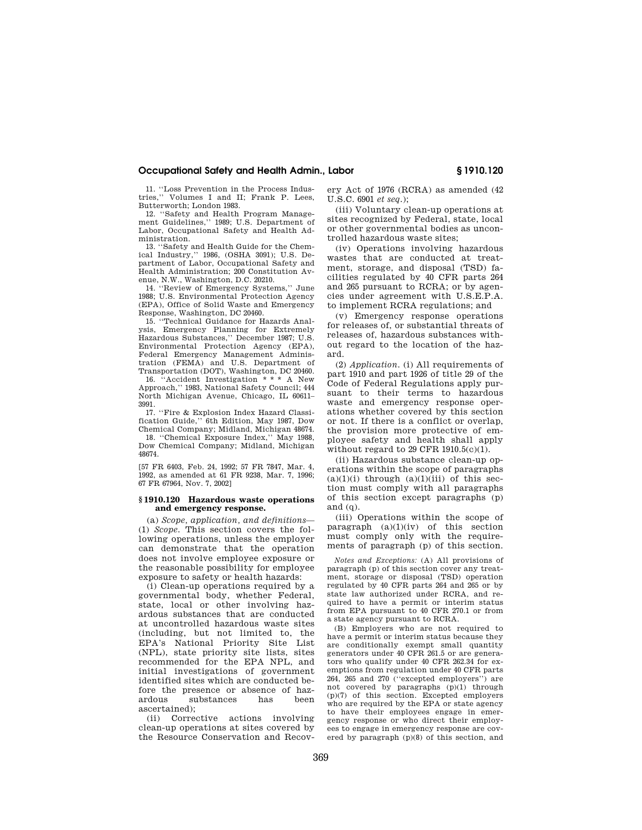11. ''Loss Prevention in the Process Industries,'' Volumes I and II; Frank P. Lees, Butterworth; London 1983.

12. ''Safety and Health Program Management Guidelines,'' 1989; U.S. Department of Labor, Occupational Safety and Health Administration.

13. ''Safety and Health Guide for the Chemical Industry,'' 1986, (OSHA 3091); U.S. Department of Labor, Occupational Safety and Health Administration; 200 Constitution Avenue, N.W., Washington, D.C. 20210.

14. ''Review of Emergency Systems,'' June 1988; U.S. Environmental Protection Agency (EPA), Office of Solid Waste and Emergency Response, Washington, DC 20460.

15. ''Technical Guidance for Hazards Analysis, Emergency Planning for Extremely Hazardous Substances,'' December 1987; U.S. Environmental Protection Agency (EPA), Federal Emergency Management Administration (FEMA) and U.S. Department of Transportation (DOT), Washington, DC 20460.

16. ''Accident Investigation \* \* \* A New Approach,'' 1983, National Safety Council; 444 North Michigan Avenue, Chicago, IL 60611– 3991.

17. ''Fire & Explosion Index Hazard Classification Guide,'' 6th Edition, May 1987, Dow Chemical Company; Midland, Michigan 48674.

18. ''Chemical Exposure Index,'' May 1988, Dow Chemical Company; Midland, Michigan 48674.

[57 FR 6403, Feb. 24, 1992; 57 FR 7847, Mar. 4, 1992, as amended at 61 FR 9238, Mar. 7, 1996; 67 FR 67964, Nov. 7, 2002]

## **§ 1910.120 Hazardous waste operations and emergency response.**

(a) *Scope, application, and definitions—* (1) *Scope.* This section covers the following operations, unless the employer can demonstrate that the operation does not involve employee exposure or the reasonable possibility for employee exposure to safety or health hazards:

(i) Clean-up operations required by a governmental body, whether Federal, state, local or other involving hazardous substances that are conducted at uncontrolled hazardous waste sites (including, but not limited to, the EPA's National Priority Site List (NPL), state priority site lists, sites recommended for the EPA NPL, and initial investigations of government identified sites which are conducted before the presence or absence of hazardous substances has been ascertained);

(ii) Corrective actions involving clean-up operations at sites covered by the Resource Conservation and Recovery Act of 1976 (RCRA) as amended (42 U.S.C. 6901 *et seq.*);

(iii) Voluntary clean-up operations at sites recognized by Federal, state, local or other governmental bodies as uncontrolled hazardous waste sites;

(iv) Operations involving hazardous wastes that are conducted at treatment, storage, and disposal (TSD) facilities regulated by 40 CFR parts 264 and 265 pursuant to RCRA; or by agencies under agreement with U.S.E.P.A. to implement RCRA regulations; and

(v) Emergency response operations for releases of, or substantial threats of releases of, hazardous substances without regard to the location of the hazard.

(2) *Application.* (i) All requirements of part 1910 and part 1926 of title 29 of the Code of Federal Regulations apply pursuant to their terms to hazardous waste and emergency response operations whether covered by this section or not. If there is a conflict or overlap, the provision more protective of employee safety and health shall apply without regard to 29 CFR 1910.5 $(c)(1)$ .

(ii) Hazardous substance clean-up operations within the scope of paragraphs  $(a)(1)(i)$  through  $(a)(1)(iii)$  of this section must comply with all paragraphs of this section except paragraphs (p) and (q).

(iii) Operations within the scope of paragraph (a)(1)(iv) of this section must comply only with the requirements of paragraph (p) of this section.

*Notes and Exceptions:* (A) All provisions of paragraph (p) of this section cover any treatment, storage or disposal (TSD) operation regulated by 40 CFR parts 264 and 265 or by state law authorized under RCRA, and required to have a permit or interim status from EPA pursuant to 40 CFR 270.1 or from a state agency pursuant to RCRA.

(B) Employers who are not required to have a permit or interim status because they are conditionally exempt small quantity generators under 40 CFR 261.5 or are generators who qualify under 40 CFR 262.34 for exemptions from regulation under 40 CFR parts 264, 265 and 270 (''excepted employers'') are not covered by paragraphs (p)(1) through (p)(7) of this section. Excepted employers who are required by the EPA or state agency to have their employees engage in emergency response or who direct their employees to engage in emergency response are covered by paragraph (p)(8) of this section, and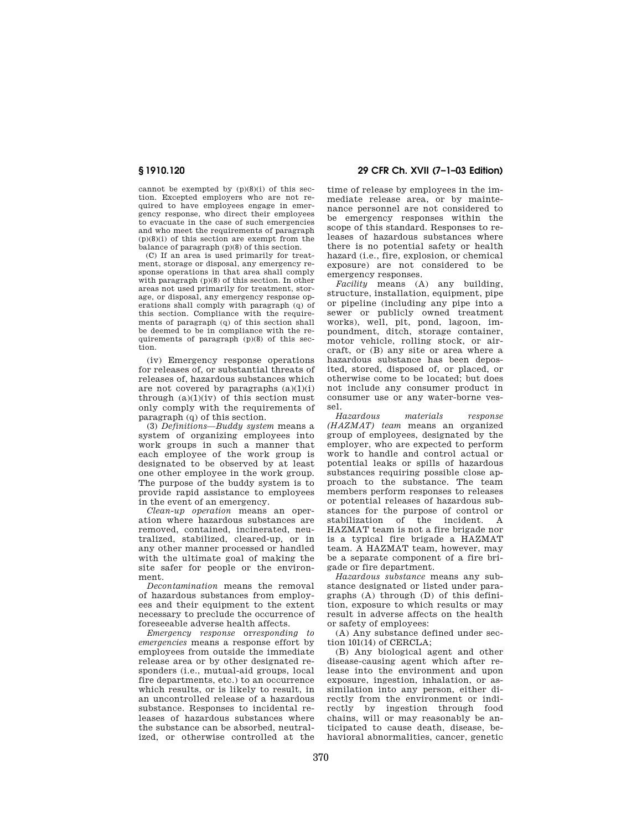cannot be exempted by  $(p)(8)(i)$  of this section. Excepted employers who are not required to have employees engage in emergency response, who direct their employees to evacuate in the case of such emergencies and who meet the requirements of paragraph  $(p)(8)(i)$  of this section are exempt from the balance of paragraph (p)(8) of this section.

(C) If an area is used primarily for treatment, storage or disposal, any emergency response operations in that area shall comply with paragraph (p)(8) of this section. In other areas not used primarily for treatment, storage, or disposal, any emergency response operations shall comply with paragraph (q) of this section. Compliance with the requirements of paragraph (q) of this section shall be deemed to be in compliance with the requirements of paragraph (p)(8) of this section.

(iv) Emergency response operations for releases of, or substantial threats of releases of, hazardous substances which are not covered by paragraphs (a)(1)(i) through  $(a)(1)(iv)$  of this section must only comply with the requirements of paragraph (q) of this section.

(3) *Definitions—Buddy system* means a system of organizing employees into work groups in such a manner that each employee of the work group is designated to be observed by at least one other employee in the work group. The purpose of the buddy system is to provide rapid assistance to employees in the event of an emergency.

*Clean-up operation* means an operation where hazardous substances are removed, contained, incinerated, neutralized, stabilized, cleared-up, or in any other manner processed or handled with the ultimate goal of making the site safer for people or the environment.

*Decontamination* means the removal of hazardous substances from employees and their equipment to the extent necessary to preclude the occurrence of foreseeable adverse health affects.

*Emergency response* or*responding to emergencies* means a response effort by employees from outside the immediate release area or by other designated responders (i.e., mutual-aid groups, local fire departments, etc.) to an occurrence which results, or is likely to result, in an uncontrolled release of a hazardous substance. Responses to incidental releases of hazardous substances where the substance can be absorbed, neutralized, or otherwise controlled at the

**§ 1910.120 29 CFR Ch. XVII (7–1–03 Edition)**

time of release by employees in the immediate release area, or by maintenance personnel are not considered to be emergency responses within the scope of this standard. Responses to releases of hazardous substances where there is no potential safety or health hazard (i.e., fire, explosion, or chemical exposure) are not considered to be emergency responses.

*Facility* means (A) any building, structure, installation, equipment, pipe or pipeline (including any pipe into a sewer or publicly owned treatment works), well, pit, pond, lagoon, impoundment, ditch, storage container, motor vehicle, rolling stock, or aircraft, or (B) any site or area where a hazardous substance has been deposited, stored, disposed of, or placed, or otherwise come to be located; but does not include any consumer product in consumer use or any water-borne vessel.

*Hazardous materials response (HAZMAT) team* means an organized group of employees, designated by the employer, who are expected to perform work to handle and control actual or potential leaks or spills of hazardous substances requiring possible close approach to the substance. The team members perform responses to releases or potential releases of hazardous substances for the purpose of control or stabilization of the incident. A HAZMAT team is not a fire brigade nor is a typical fire brigade a HAZMAT team. A HAZMAT team, however, may be a separate component of a fire brigade or fire department.

*Hazardous substance* means any substance designated or listed under paragraphs (A) through (D) of this definition, exposure to which results or may result in adverse affects on the health or safety of employees:

(A) Any substance defined under section 101(14) of CERCLA;

(B) Any biological agent and other disease-causing agent which after release into the environment and upon exposure, ingestion, inhalation, or assimilation into any person, either directly from the environment or indirectly by ingestion through food chains, will or may reasonably be anticipated to cause death, disease, behavioral abnormalities, cancer, genetic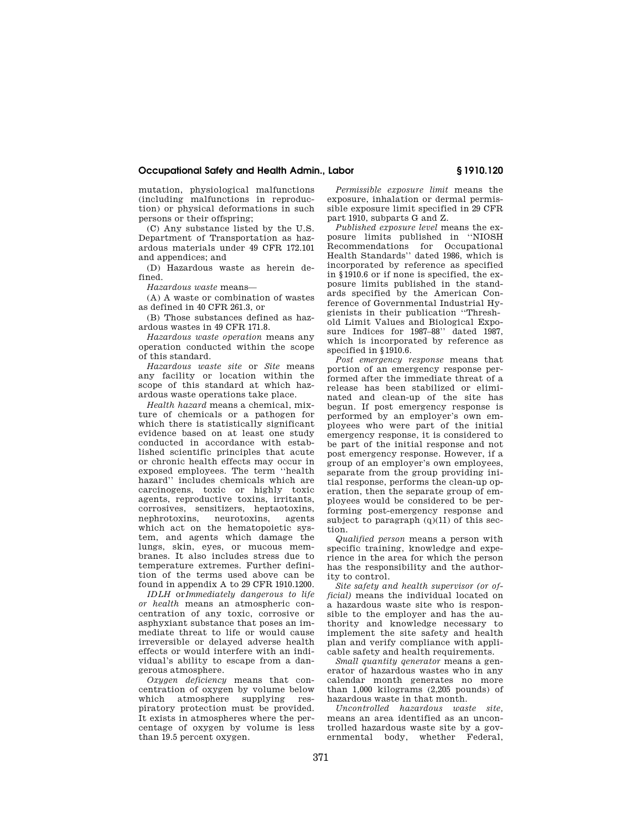mutation, physiological malfunctions (including malfunctions in reproduction) or physical deformations in such persons or their offspring;

(C) Any substance listed by the U.S. Department of Transportation as hazardous materials under 49 CFR 172.101 and appendices; and

(D) Hazardous waste as herein defined.

*Hazardous waste* means—

(A) A waste or combination of wastes as defined in 40 CFR 261.3, or

(B) Those substances defined as hazardous wastes in 49 CFR 171.8.

*Hazardous waste operation* means any operation conducted within the scope of this standard.

*Hazardous waste site* or *Site* means any facility or location within the scope of this standard at which hazardous waste operations take place.

*Health hazard* means a chemical, mixture of chemicals or a pathogen for which there is statistically significant evidence based on at least one study conducted in accordance with established scientific principles that acute or chronic health effects may occur in exposed employees. The term ''health hazard'' includes chemicals which are carcinogens, toxic or highly toxic agents, reproductive toxins, irritants, corrosives, sensitizers, heptaotoxins, nephrotoxins, neurotoxins, agents which act on the hematopoietic system, and agents which damage the lungs, skin, eyes, or mucous membranes. It also includes stress due to temperature extremes. Further definition of the terms used above can be found in appendix A to 29 CFR 1910.1200.

*IDLH* or*Immediately dangerous to life or health* means an atmospheric concentration of any toxic, corrosive or asphyxiant substance that poses an immediate threat to life or would cause irreversible or delayed adverse health effects or would interfere with an individual's ability to escape from a dangerous atmosphere.

*Oxygen deficiency* means that concentration of oxygen by volume below<br>which atmosphere supplying reswhich atmosphere supplying piratory protection must be provided. It exists in atmospheres where the percentage of oxygen by volume is less than 19.5 percent oxygen.

*Permissible exposure limit* means the exposure, inhalation or dermal permissible exposure limit specified in 29 CFR part 1910, subparts G and Z.

*Published exposure level* means the exposure limits published in ''NIOSH Recommendations for Occupational Health Standards'' dated 1986, which is incorporated by reference as specified in §1910.6 or if none is specified, the exposure limits published in the standards specified by the American Conference of Governmental Industrial Hygienists in their publication ''Threshold Limit Values and Biological Exposure Indices for 1987–88" dated 1987. which is incorporated by reference as specified in §1910.6.

*Post emergency response* means that portion of an emergency response performed after the immediate threat of a release has been stabilized or eliminated and clean-up of the site has begun. If post emergency response is performed by an employer's own employees who were part of the initial emergency response, it is considered to be part of the initial response and not post emergency response. However, if a group of an employer's own employees, separate from the group providing initial response, performs the clean-up operation, then the separate group of employees would be considered to be performing post-emergency response and subject to paragraph  $(q)(11)$  of this section.

*Qualified person* means a person with specific training, knowledge and experience in the area for which the person has the responsibility and the authority to control.

*Site safety and health supervisor (or official)* means the individual located on a hazardous waste site who is responsible to the employer and has the authority and knowledge necessary to implement the site safety and health plan and verify compliance with applicable safety and health requirements.

*Small quantity qenerator* means a generator of hazardous wastes who in any calendar month generates no more than 1,000 kilograms (2,205 pounds) of hazardous waste in that month.

*Uncontrolled hazardous waste site,* means an area identified as an uncontrolled hazardous waste site by a governmental body, whether Federal,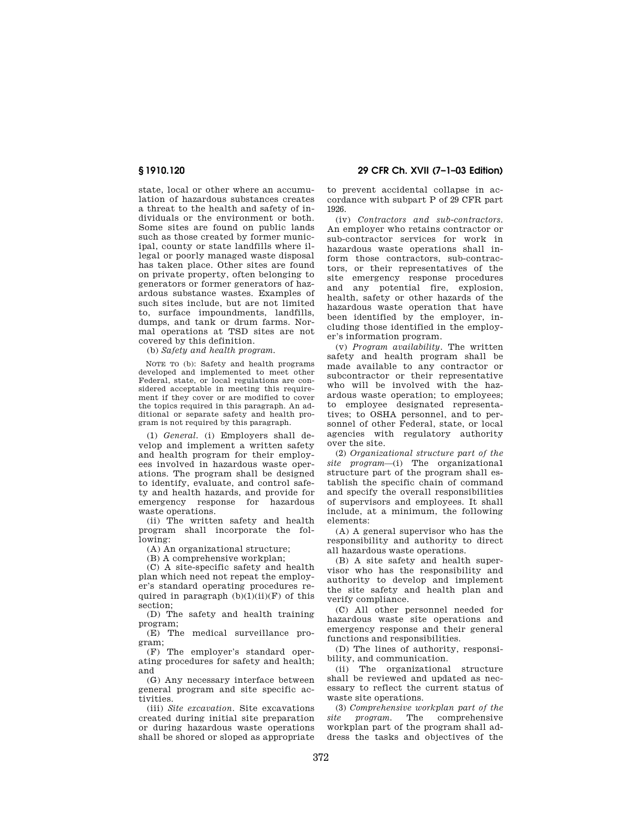state, local or other where an accumulation of hazardous substances creates a threat to the health and safety of individuals or the environment or both. Some sites are found on public lands such as those created by former municipal, county or state landfills where illegal or poorly managed waste disposal has taken place. Other sites are found on private property, often belonging to generators or former generators of hazardous substance wastes. Examples of such sites include, but are not limited to, surface impoundments, landfills, dumps, and tank or drum farms. Normal operations at TSD sites are not covered by this definition.

(b) *Safety and health program.*

NOTE TO (b): Safety and health programs developed and implemented to meet other Federal, state, or local regulations are considered acceptable in meeting this requirement if they cover or are modified to cover the topics required in this paragraph. An additional or separate safety and health program is not required by this paragraph.

(1) *General.* (i) Employers shall develop and implement a written safety and health program for their employees involved in hazardous waste operations. The program shall be designed to identify, evaluate, and control safety and health hazards, and provide for emergency response for hazardous waste operations.

(ii) The written safety and health program shall incorporate the following:

(A) An organizational structure;

(B) A comprehensive workplan;

(C) A site-specific safety and health plan which need not repeat the employer's standard operating procedures required in paragraph  $(b)(1)(ii)(F)$  of this section;

(D) The safety and health training program;

(E) The medical surveillance program;

(F) The employer's standard operating procedures for safety and health; and

(G) Any necessary interface between general program and site specific activities.

(iii) *Site excavation.* Site excavations created during initial site preparation or during hazardous waste operations shall be shored or sloped as appropriate

**§ 1910.120 29 CFR Ch. XVII (7–1–03 Edition)**

to prevent accidental collapse in accordance with subpart P of 29 CFR part 1926.

(iv) *Contractors and sub-contractors.* An employer who retains contractor or sub-contractor services for work in hazardous waste operations shall inform those contractors, sub-contractors, or their representatives of the site emergency response procedures and any potential fire, explosion, health, safety or other hazards of the hazardous waste operation that have been identified by the employer, including those identified in the employer's information program.

(v) *Program availability.* The written safety and health program shall be made available to any contractor or subcontractor or their representative who will be involved with the hazardous waste operation; to employees; to employee designated representatives; to OSHA personnel, and to personnel of other Federal, state, or local agencies with regulatory authority over the site.

(2) *Organizational structure part of the site program—*(i) The organizationa1 structure part of the program shall establish the specific chain of command and specify the overall responsibilities of supervisors and employees. It shall include, at a minimum, the following elements:

(A) A general supervisor who has the responsibility and authority to direct all hazardous waste operations.

(B) A site safety and health supervisor who has the responsibility and authority to develop and implement the site safety and health plan and verify compliance.

(C) All other personnel needed for hazardous waste site operations and emergency response and their general functions and responsibilities.

(D) The lines of authority, responsibility, and communication.

(ii) The organizational structure shall be reviewed and updated as necessary to reflect the current status of waste site operations.

(3) *Comprehensive workplan part of the site program.* The comprehensive workplan part of the program shall address the tasks and objectives of the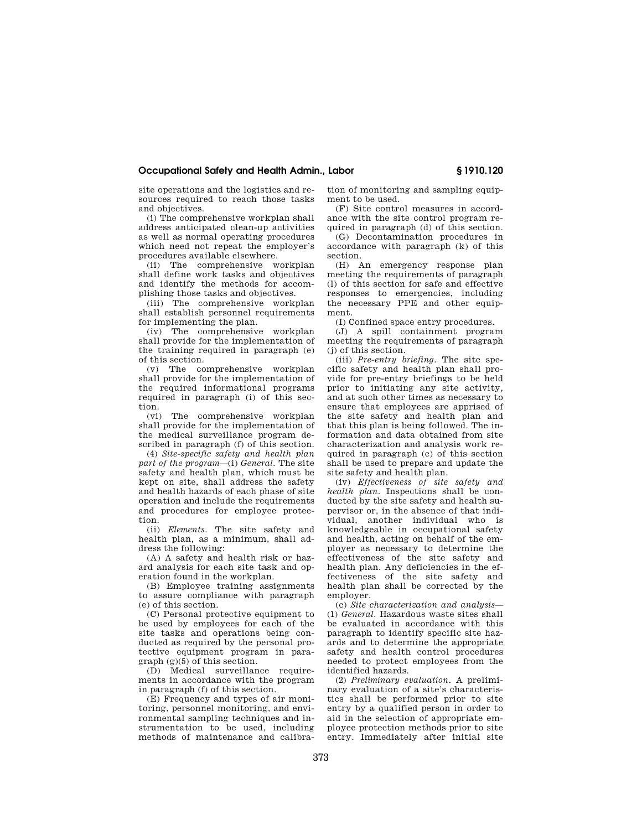site operations and the logistics and resources required to reach those tasks and objectives.

(i) The comprehensive workplan shall address anticipated clean-up activities as well as normal operating procedures which need not repeat the employer's procedures available elsewhere.

(ii) The comprehensive workplan shall define work tasks and objectives and identify the methods for accomplishing those tasks and objectives.

(iii) The comprehensive workplan shall establish personnel requirements for implementing the plan.

(iv) The comprehensive workplan shall provide for the implementation of the training required in paragraph (e) of this section.

(v) The comprehensive workplan shall provide for the implementation of the required informational programs required in paragraph (i) of this section.

(vi) The comprehensive workplan shall provide for the implementation of the medical surveillance program described in paragraph (f) of this section.

(4) *Site-specific safety and health plan part of the program—*(i) *General.* The site safety and health plan, which must be kept on site, shall address the safety and health hazards of each phase of site operation and include the requirements and procedures for employee protection.

(ii) *Elements.* The site safety and health plan, as a minimum, shall address the following:

(A) A safety and health risk or hazard analysis for each site task and operation found in the workplan.

(B) Employee training assignments to assure compliance with paragraph (e) of this section.

(C) Personal protective equipment to be used by employees for each of the site tasks and operations being conducted as required by the personal protective equipment program in para $graph (g)(5)$  of this section.

(D) Medical surveillance requirements in accordance with the program in paragraph (f) of this section.

(E) Frequency and types of air monitoring, personnel monitoring, and environmental sampling techniques and instrumentation to be used, including methods of maintenance and calibration of monitoring and sampling equipment to be used.

(F) Site control measures in accordance with the site control program required in paragraph (d) of this section.

(G) Decontamination procedures in accordance with paragraph (k) of this section.

(H) An emergency response plan meeting the requirements of paragraph (l) of this section for safe and effective responses to emergencies, including the necessary PPE and other equipment.

(I) Confined space entry procedures.

(J) A spill containment program meeting the requirements of paragraph (j) of this section.

(iii) *Pre-entry briefing.* The site specific safety and health plan shall provide for pre-entry briefings to be held prior to initiating any site activity, and at such other times as necessary to ensure that employees are apprised of the site safety and health plan and that this plan is being followed. The information and data obtained from site characterization and analysis work required in paragraph (c) of this section shall be used to prepare and update the site safety and health plan.

(iv) *Effectiveness of site safety and health plan.* Inspections shall be conducted by the site safety and health supervisor or, in the absence of that individual, another individual who is knowledgeable in occupational safety and health, acting on behalf of the employer as necessary to determine the effectiveness of the site safety and health plan. Any deficiencies in the effectiveness of the site safety and health plan shall be corrected by the employer.

(c) *Site characterization and analysis—* (1) *General.* Hazardous waste sites shall be evaluated in accordance with this paragraph to identify specific site hazards and to determine the appropriate safety and health control procedures needed to protect employees from the identified hazards.

(2) *Preliminary evaluation.* A preliminary evaluation of a site's characteristics shall be performed prior to site entry by a qualified person in order to aid in the selection of appropriate employee protection methods prior to site entry. Immediately after initial site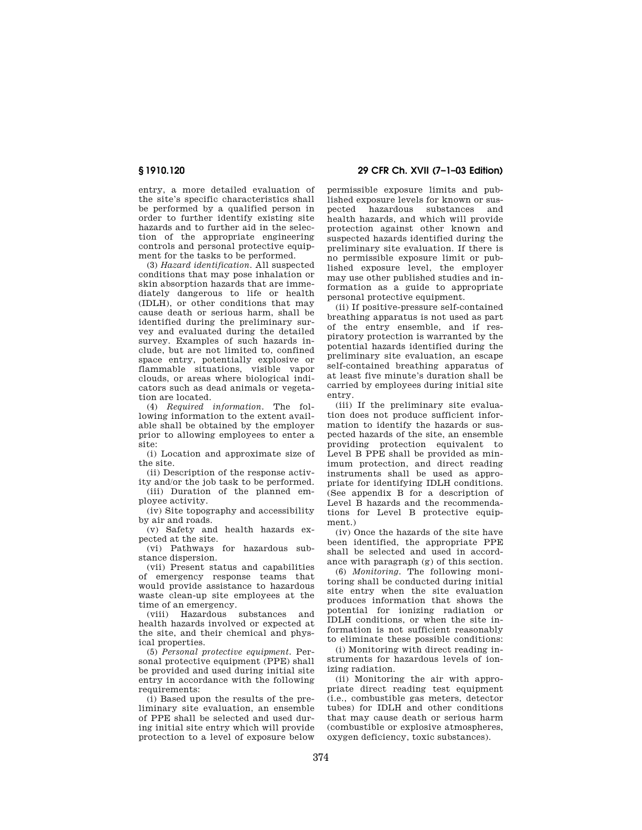entry, a more detailed evaluation of the site's specific characteristics shall be performed by a qualified person in order to further identify existing site hazards and to further aid in the selection of the appropriate engineering controls and personal protective equipment for the tasks to be performed.

(3) *Hazard identification.* All suspected conditions that may pose inhalation or skin absorption hazards that are immediately dangerous to life or health (IDLH), or other conditions that may cause death or serious harm, shall be identified during the preliminary survey and evaluated during the detailed survey. Examples of such hazards include, but are not limited to, confined space entry, potentially explosive or flammable situations, visible vapor clouds, or areas where biological indicators such as dead animals or vegetation are located.

(4) *Required information.* The following information to the extent available shall be obtained by the employer prior to allowing employees to enter a site:

(i) Location and approximate size of the site.

(ii) Description of the response activity and/or the job task to be performed.

(iii) Duration of the planned employee activity.

(iv) Site topography and accessibility by air and roads.

 $\tilde{y}(v)$  Safety and health hazards expected at the site.

(vi) Pathways for hazardous substance dispersion.

(vii) Present status and capabilities of emergency response teams that would provide assistance to hazardous waste clean-up site employees at the time of an emergency.

(viii) Hazardous substances and health hazards involved or expected at the site, and their chemical and physical properties.

(5) *Personal protective equipment.* Personal protective equipment (PPE) shall be provided and used during initial site entry in accordance with the following requirements:

(i) Based upon the results of the preliminary site evaluation, an ensemble of PPE shall be selected and used during initial site entry which will provide protection to a level of exposure below

**§ 1910.120 29 CFR Ch. XVII (7–1–03 Edition)**

permissible exposure limits and published exposure levels for known or suspected hazardous substances and health hazards, and which will provide protection against other known and suspected hazards identified during the preliminary site evaluation. If there is no permissible exposure limit or published exposure level, the employer may use other published studies and information as a guide to appropriate personal protective equipment.

(ii) If positive-pressure self-contained breathing apparatus is not used as part of the entry ensemble, and if respiratory protection is warranted by the potential hazards identified during the preliminary site evaluation, an escape self-contained breathing apparatus of at least five minute's duration shall be carried by employees during initial site entry.

(iii) If the preliminary site evaluation does not produce sufficient information to identify the hazards or suspected hazards of the site, an ensemble providing protection equivalent to Level B PPE shall be provided as minimum protection, and direct reading instruments shall be used as appropriate for identifying IDLH conditions. (See appendix B for a description of Level B hazards and the recommendations for Level B protective equipment.)

(iv) Once the hazards of the site have been identified, the appropriate PPE shall be selected and used in accordance with paragraph (g) of this section.

(6) *Monitoring.* The following monitoring shall be conducted during initial site entry when the site evaluation produces information that shows the potential for ionizing radiation or IDLH conditions, or when the site information is not sufficient reasonably to eliminate these possible conditions:

(i) Monitoring with direct reading instruments for hazardous levels of ionizing radiation.

(ii) Monitoring the air with appropriate direct reading test equipment (i.e., combustible gas meters, detector tubes) for IDLH and other conditions that may cause death or serious harm (combustible or explosive atmospheres, oxygen deficiency, toxic substances).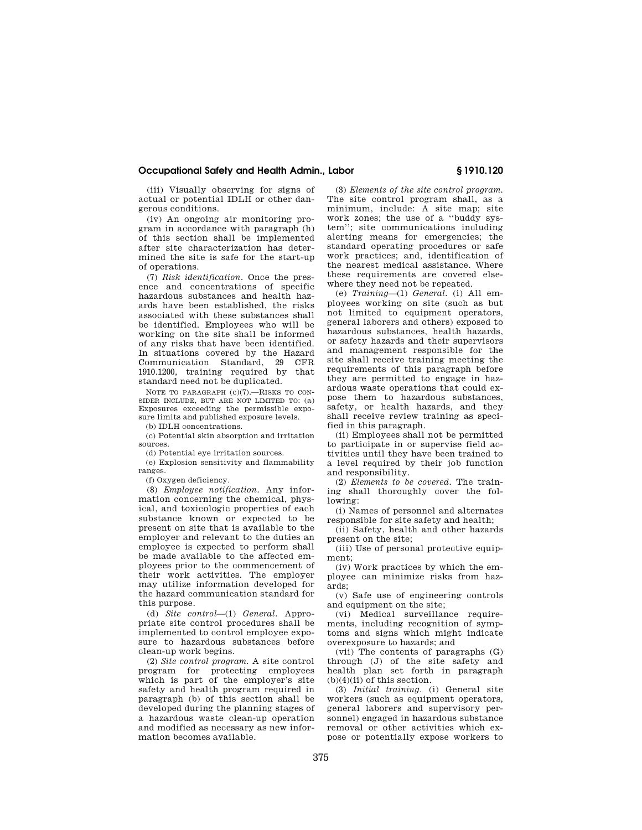(iii) Visually observing for signs of actual or potential IDLH or other dangerous conditions.

(iv) An ongoing air monitoring program in accordance with paragraph (h) of this section shall be implemented after site characterization has determined the site is safe for the start-up of operations.

(7) *Risk identification.* Once the presence and concentrations of specific hazardous substances and health hazards have been established, the risks associated with these substances shall be identified. Employees who will be working on the site shall be informed of any risks that have been identified. In situations covered by the Hazard Communication Standard, 29 CFR 1910.1200, training required by that standard need not be duplicated.

NOTE TO PARAGRAPH (c)(7).—RISKS TO CON-SIDER INCLUDE, BUT ARE NOT LIMITED TO: (a) Exposures exceeding the permissible exposure limits and published exposure levels.

(b) IDLH concentrations.

(c) Potential skin absorption and irritation sources.

(d) Potential eye irritation sources.

(e) Explosion sensitivity and flammability ranges.

(f) Oxygen deficiency.

(8) *Employee notification.* Any information concerning the chemical, physical, and toxicologic properties of each substance known or expected to be present on site that is available to the employer and relevant to the duties an employee is expected to perform shall be made available to the affected employees prior to the commencement of their work activities. The employer may utilize information developed for the hazard communication standard for this purpose.

(d) *Site control*—(1) *General.* Appropriate site control procedures shall be implemented to control employee exposure to hazardous substances before clean-up work begins.

(2) *Site control program.* A site control program for protecting employees which is part of the employer's site safety and health program required in paragraph (b) of this section shall be developed during the planning stages of a hazardous waste clean-up operation and modified as necessary as new information becomes available.

(3) *Elements of the site control program.* The site control program shall, as a minimum, include: A site map; site work zones; the use of a ''buddy system''; site communications including alerting means for emergencies; the standard operating procedures or safe work practices; and, identification of the nearest medical assistance. Where these requirements are covered elsewhere they need not be repeated.

(e) *Training*—(1) *General.* (i) All employees working on site (such as but not limited to equipment operators, general laborers and others) exposed to hazardous substances, health hazards, or safety hazards and their supervisors and management responsible for the site shall receive training meeting the requirements of this paragraph before they are permitted to engage in hazardous waste operations that could expose them to hazardous substances, safety, or health hazards, and they shall receive review training as specified in this paragraph.

(ii) Employees shall not be permitted to participate in or supervise field activities until they have been trained to a level required by their job function and responsibility.

(2) *Elements to be covered.* The training shall thoroughly cover the following:

(i) Names of personnel and alternates responsible for site safety and health;

(ii) Safety, health and other hazards present on the site;

(iii) Use of personal protective equipment;

(iv) Work practices by which the employee can minimize risks from hazards;

(v) Safe use of engineering controls and equipment on the site;

(vi) Medical surveillance requirements, including recognition of symptoms and signs which might indicate overexposure to hazards; and

(vii) The contents of paragraphs (G) through (J) of the site safety and health plan set forth in paragraph  $(b)(4)(ii)$  of this section.

(3) *Initial training.* (i) General site workers (such as equipment operators, general laborers and supervisory personnel) engaged in hazardous substance removal or other activities which expose or potentially expose workers to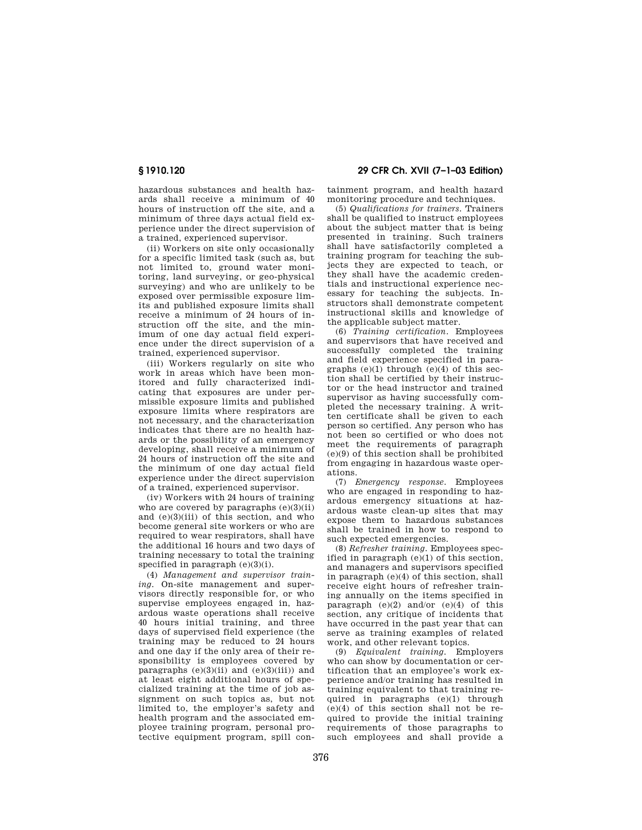hazardous substances and health hazards shall receive a minimum of 40 hours of instruction off the site, and a minimum of three days actual field experience under the direct supervision of a trained, experienced supervisor.

(ii) Workers on site only occasionally for a specific limited task (such as, but not limited to, ground water monitoring, land surveying, or geo-physical surveying) and who are unlikely to be exposed over permissible exposure limits and published exposure limits shall receive a minimum of 24 hours of instruction off the site, and the minimum of one day actual field experience under the direct supervision of a trained, experienced supervisor.

(iii) Workers regularly on site who work in areas which have been monitored and fully characterized indicating that exposures are under permissible exposure limits and published exposure limits where respirators are not necessary, and the characterization indicates that there are no health hazards or the possibility of an emergency developing, shall receive a minimum of 24 hours of instruction off the site and the minimum of one day actual field experience under the direct supervision of a trained, experienced supervisor.

(iv) Workers with 24 hours of training who are covered by paragraphs  $(e)(3)(ii)$ and (e)(3)(iii) of this section, and who become general site workers or who are required to wear respirators, shall have the additional 16 hours and two days of training necessary to total the training specified in paragraph  $(e)(3)(i)$ .

(4) *Management and supervisor training.* On-site management and supervisors directly responsible for, or who supervise employees engaged in, hazardous waste operations shall receive 40 hours initial training, and three days of supervised field experience (the training may be reduced to 24 hours and one day if the only area of their responsibility is employees covered by paragraphs  $(e)(3)(ii)$  and  $(e)(3)(iii)$  and at least eight additional hours of specialized training at the time of job assignment on such topics as, but not limited to, the employer's safety and health program and the associated employee training program, personal protective equipment program, spill con-

**§ 1910.120 29 CFR Ch. XVII (7–1–03 Edition)**

tainment program, and health hazard monitoring procedure and techniques.

(5) *Qualifications for trainers.* Trainers shall be qualified to instruct employees about the subject matter that is being presented in training. Such trainers shall have satisfactorily completed a training program for teaching the subjects they are expected to teach, or they shall have the academic credentials and instructional experience necessary for teaching the subjects. Instructors shall demonstrate competent instructional skills and knowledge of the applicable subject matter.

(6) *Training certification.* Employees and supervisors that have received and successfully completed the training and field experience specified in paragraphs  $(e)(1)$  through  $(e)(4)$  of this section shall be certified by their instructor or the head instructor and trained supervisor as having successfully completed the necessary training. A written certificate shall be given to each person so certified. Any person who has not been so certified or who does not meet the requirements of paragraph (e)(9) of this section shall be prohibited from engaging in hazardous waste operations.

(7) *Emergency response.* Employees who are engaged in responding to hazardous emergency situations at hazardous waste clean-up sites that may expose them to hazardous substances shall be trained in how to respond to such expected emergencies.

(8) *Refresher training.* Employees specified in paragraph (e)(1) of this section, and managers and supervisors specified in paragraph (e)(4) of this section, shall receive eight hours of refresher training annually on the items specified in paragraph  $(e)(2)$  and/or  $(e)(4)$  of this section, any critique of incidents that have occurred in the past year that can serve as training examples of related work, and other relevant topics.

(9) *Equivalent training.* Employers who can show by documentation or certification that an employee's work experience and/or training has resulted in training equivalent to that training required in paragraphs (e)(1) through  $(e)(4)$  of this section shall not be required to provide the initial training requirements of those paragraphs to such employees and shall provide a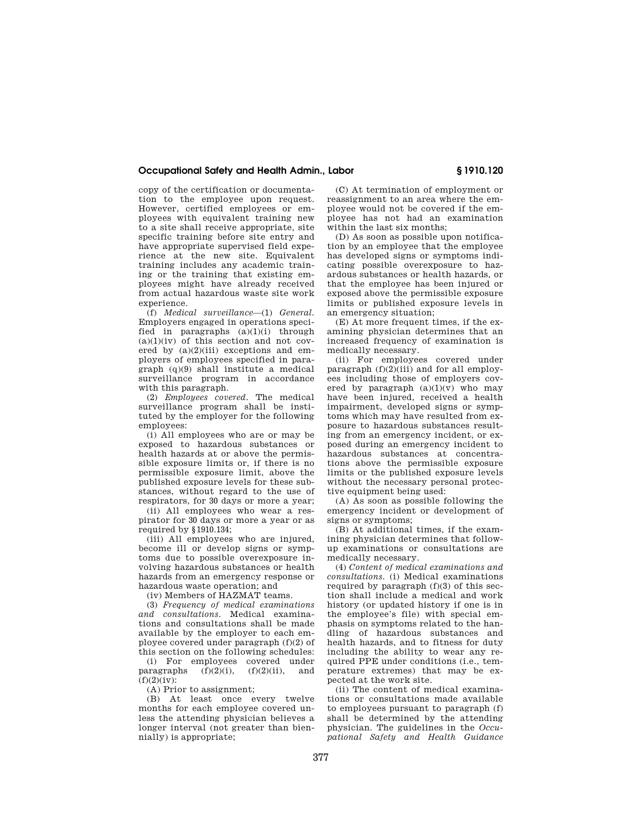copy of the certification or documentation to the employee upon request. However, certified employees or employees with equivalent training new to a site shall receive appropriate, site specific training before site entry and have appropriate supervised field experience at the new site. Equivalent training includes any academic training or the training that existing employees might have already received from actual hazardous waste site work experience.

(f) *Medical surveillance—*(1) *General.* Employers engaged in operations specified in paragraphs  $(a)(1)(i)$  through  $(a)(1)(iv)$  of this section and not covered by  $(a)(2)(iii)$  exceptions and employers of employees specified in paragraph (q)(9) shall institute a medical surveillance program in accordance with this paragraph.

(2) *Employees covered.* The medical surveillance program shall be instituted by the employer for the following employees:

(i) All employees who are or may be exposed to hazardous substances or health hazards at or above the permissible exposure limits or, if there is no permissible exposure limit, above the published exposure levels for these substances, without regard to the use of respirators, for 30 days or more a year;

(ii) All employees who wear a respirator for 30 days or more a year or as required by §1910.134;

(iii) All employees who are injured, become ill or develop signs or symptoms due to possible overexposure involving hazardous substances or health hazards from an emergency response or hazardous waste operation; and

(iv) Members of HAZMAT teams.

(3) *Frequency of medical examinations and consultations.* Medical examinations and consultations shall be made available by the employer to each employee covered under paragraph (f)(2) of this section on the following schedules:

(i) For employees covered under<br>aragraphs  $(f)(2)(i)$ ,  $(f)(2)(ii)$ , and paragraphs  $(f)(2)(i)$ ,  $(f)(2)(ii)$ , and  $(f)(2)(iv)$ :

(A) Prior to assignment;

(B) At least once every twelve months for each employee covered unless the attending physician believes a longer interval (not greater than biennially) is appropriate;

(C) At termination of employment or reassignment to an area where the employee would not be covered if the employee has not had an examination within the last six months;

(D) As soon as possible upon notification by an employee that the employee has developed signs or symptoms indicating possible overexposure to hazardous substances or health hazards, or that the employee has been injured or exposed above the permissible exposure limits or published exposure levels in an emergency situation;

(E) At more frequent times, if the examining physician determines that an increased frequency of examination is medically necessary.

(ii) For employees covered under paragraph  $(f)(2)(iii)$  and for all employees including those of employers covered by paragraph  $(a)(1)(v)$  who may have been injured, received a health impairment, developed signs or symptoms which may have resulted from exposure to hazardous substances resulting from an emergency incident, or exposed during an emergency incident to hazardous substances at concentrations above the permissible exposure limits or the published exposure levels without the necessary personal protective equipment being used:

(A) As soon as possible following the emergency incident or development of signs or symptoms;

(B) At additional times, if the examining physician determines that followup examinations or consultations are medically necessary.

(4) *Content of medical examinations and consultations.* (i) Medical examinations required by paragraph  $(f)(3)$  of this section shall include a medical and work history (or updated history if one is in the employee's file) with special emphasis on symptoms related to the handling of hazardous substances and health hazards, and to fitness for duty including the ability to wear any required PPE under conditions (i.e., temperature extremes) that may be expected at the work site.

(ii) The content of medical examinations or consultations made available to employees pursuant to paragraph (f) shall be determined by the attending physician. The guidelines in the *Occupational Safety and Health Guidance*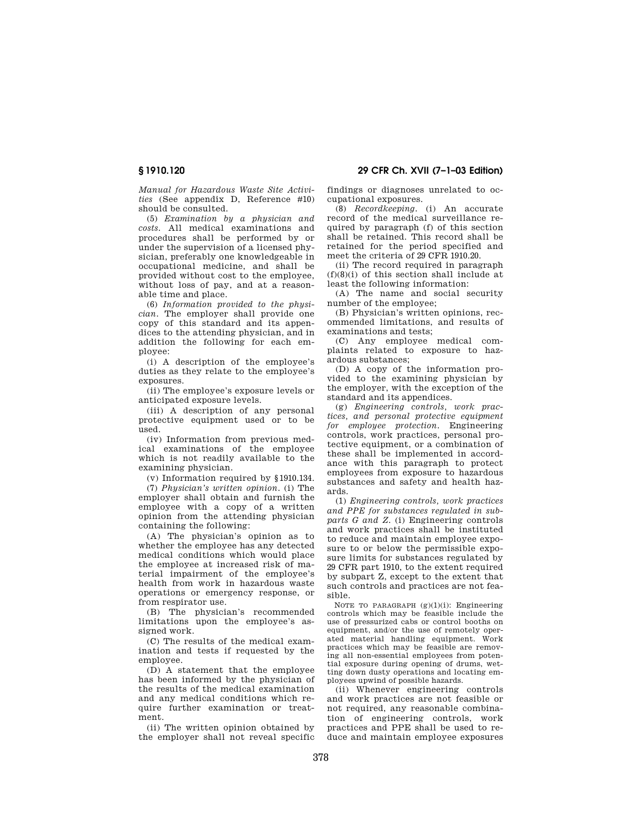*Manual for Hazardous Waste Site Activities* (See appendix D, Reference #10) should be consulted.

(5) *Examination by a physician and costs.* All medical examinations and procedures shall be performed by or under the supervision of a licensed physician, preferably one knowledgeable in occupational medicine, and shall be provided without cost to the employee, without loss of pay, and at a reasonable time and place.

(6) *Information provided to the physician.* The employer shall provide one copy of this standard and its appendices to the attending physician, and in addition the following for each employee:

(i) A description of the employee's duties as they relate to the employee's exposures.

(ii) The employee's exposure levels or anticipated exposure levels.

(iii) A description of any personal protective equipment used or to be used.

(iv) Information from previous medical examinations of the employee which is not readily available to the examining physician.

(v) Information required by §1910.134.

(7) *Physician's written opinion.* (i) The employer shall obtain and furnish the employee with a copy of a written opinion from the attending physician containing the following:

(A) The physician's opinion as to whether the employee has any detected medical conditions which would place the employee at increased risk of material impairment of the employee's health from work in hazardous waste operations or emergency response, or from respirator use.

(B) The physician's recommended limitations upon the employee's assigned work.

(C) The results of the medical examination and tests if requested by the employee.

(D) A statement that the employee has been informed by the physician of the results of the medical examination and any medical conditions which require further examination or treatment.

(ii) The written opinion obtained by the employer shall not reveal specific

**§ 1910.120 29 CFR Ch. XVII (7–1–03 Edition)**

findings or diagnoses unrelated to occupational exposures.

(8) *Recordkeeping.* (i) An accurate record of the medical surveillance required by paragraph (f) of this section shall be retained. This record shall be retained for the period specified and meet the criteria of 29 CFR 1910.20.

(ii) The record required in paragraph  $(f)(8)(i)$  of this section shall include at least the following information:

(A) The name and social security number of the employee;

(B) Physician's written opinions, recommended limitations, and results of examinations and tests;

(C) Any employee medical complaints related to exposure to hazardous substances;

(D) A copy of the information provided to the examining physician by the employer, with the exception of the standard and its appendices.

(g) *Engineering controls, work practices, and personal protective equipment for employee protection.* Engineering controls, work practices, personal protective equipment, or a combination of these shall be implemented in accordance with this paragraph to protect employees from exposure to hazardous substances and safety and health hazards.

(1) *Engineering controls, work practices and PPE for substances regulated in subparts G and Z.* (i) Engineering controls and work practices shall be instituted to reduce and maintain employee exposure to or below the permissible exposure limits for substances regulated by 29 CFR part 1910, to the extent required by subpart Z, except to the extent that such controls and practices are not feasible.

NOTE TO PARAGRAPH (g)(1)(i): Engineering controls which may be feasible include the use of pressurized cabs or control booths on equipment, and/or the use of remotely operated material handling equipment. Work practices which may be feasible are removing all non-essential employees from potential exposure during opening of drums, wetting down dusty operations and locating employees upwind of possible hazards.

(ii) Whenever engineering controls and work practices are not feasible or not required, any reasonable combination of engineering controls, work practices and PPE shall be used to reduce and maintain employee exposures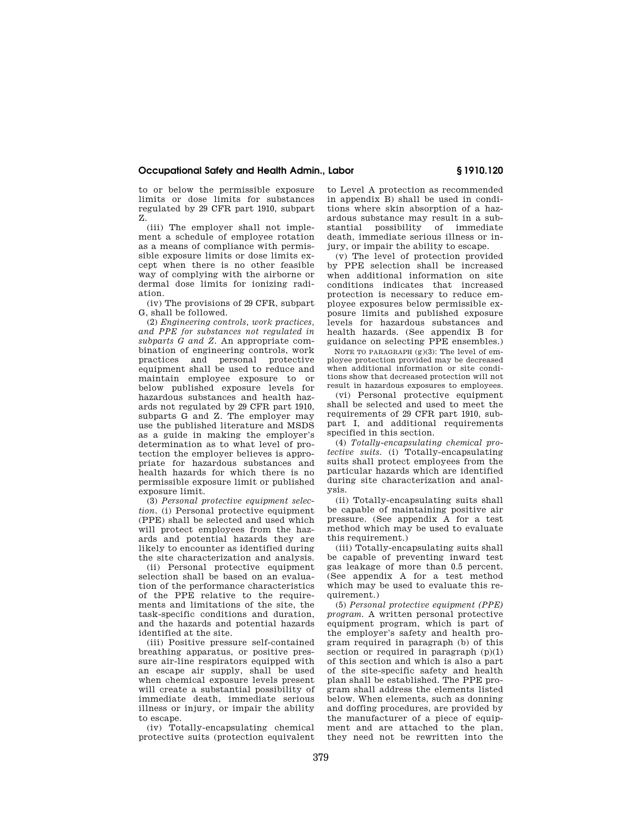to or below the permissible exposure limits or dose limits for substances regulated by 29 CFR part 1910, subpart Z.

(iii) The employer shall not implement a schedule of employee rotation as a means of compliance with permissible exposure limits or dose limits except when there is no other feasible way of complying with the airborne or dermal dose limits for ionizing radiation.

(iv) The provisions of 29 CFR, subpart G, shall be followed.

(2) *Engineering controls, work practices, and PPE for substances not regulated in subparts G and Z.* An appropriate combination of engineering controls, work<br>practices and personal protective personal protective equipment shall be used to reduce and maintain employee exposure to or below published exposure levels for hazardous substances and health hazards not regulated by 29 CFR part 1910, subparts G and Z. The employer may use the published literature and MSDS as a guide in making the employer's determination as to what level of protection the employer believes is appropriate for hazardous substances and health hazards for which there is no permissible exposure limit or published exposure limit.

(3) *Personal protective equipment selection.* (i) Personal protective equipment (PPE) shall be selected and used which will protect employees from the hazards and potential hazards they are likely to encounter as identified during the site characterization and analysis.

(ii) Personal protective equipment selection shall be based on an evaluation of the performance characteristics of the PPE relative to the requirements and limitations of the site, the task-specific conditions and duration, and the hazards and potential hazards identified at the site.

(iii) Positive pressure self-contained breathing apparatus, or positive pressure air-line respirators equipped with an escape air supply, shall be used when chemical exposure levels present will create a substantial possibility of immediate death, immediate serious illness or injury, or impair the ability to escape.

(iv) Totally-encapsulating chemical protective suits (protection equivalent to Level A protection as recommended in appendix B) shall be used in conditions where skin absorption of a hazardous substance may result in a substantial possibility of immediate death, immediate serious illness or injury, or impair the ability to escape.

(v) The level of protection provided by PPE selection shall be increased when additional information on site conditions indicates that increased protection is necessary to reduce employee exposures below permissible exposure limits and published exposure levels for hazardous substances and health hazards. (See appendix B for guidance on selecting PPE ensembles.)

NOTE TO PARAGRAPH  $(g)(3)$ : The level of employee protection provided may be decreased when additional information or site conditions show that decreased protection will not result in hazardous exposures to employees.

(vi) Personal protective equipment shall be selected and used to meet the requirements of 29 CFR part 1910, subpart I, and additional requirements specified in this section.

(4) *Totally-encapsulating chemical protective suits.* (i) Totally-encapsulating suits shall protect employees from the particular hazards which are identified during site characterization and analysis.

(ii) Totally-encapsulating suits shall be capable of maintaining positive air pressure. (See appendix A for a test method which may be used to evaluate this requirement.)

(iii) Totally-encapsulating suits shall be capable of preventing inward test gas leakage of more than 0.5 percent. (See appendix A for a test method which may be used to evaluate this requirement.)

(5) *Personal protective equipment (PPE) program.* A written personal protective equipment program, which is part of the employer's safety and health program required in paragraph (b) of this section or required in paragraph  $(p)(1)$ of this section and which is also a part of the site-specific safety and health plan shall be established. The PPE program shall address the elements listed below. When elements, such as donning and doffing procedures, are provided by the manufacturer of a piece of equipment and are attached to the plan, they need not be rewritten into the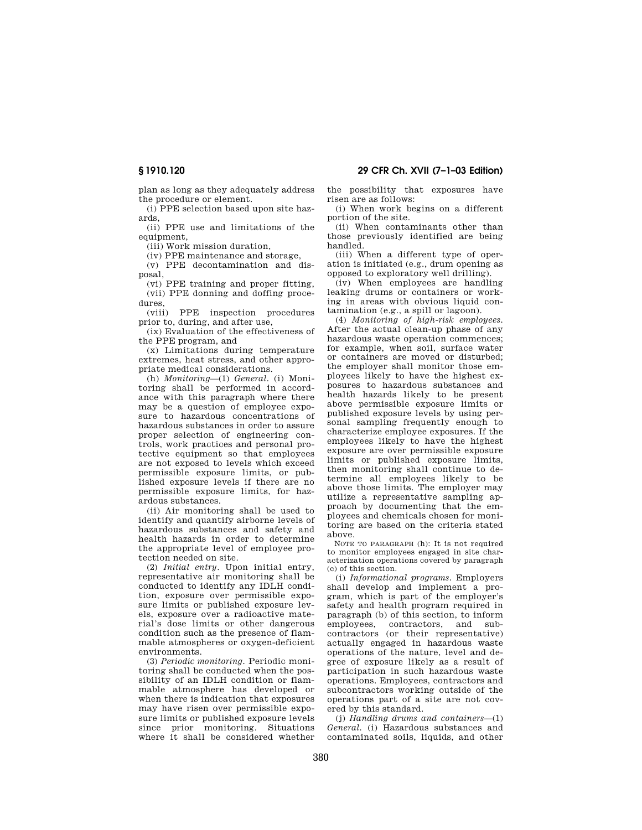plan as long as they adequately address the procedure or element.

(i) PPE selection based upon site hazards,

(ii) PPE use and limitations of the equipment,

(iii) Work mission duration,

(iv) PPE maintenance and storage,

(v) PPE decontamination and disposal,

(vi) PPE training and proper fitting, (vii) PPE donning and doffing procedures,

(viii) PPE inspection procedures prior to, during, and after use,

(ix) Evaluation of the effectiveness of the PPE program, and

(x) Limitations during temperature extremes, heat stress, and other appropriate medical considerations.

(h) *Monitoring*—(1) *General.* (i) Monitoring shall be performed in accordance with this paragraph where there may be a question of employee exposure to hazardous concentrations of hazardous substances in order to assure proper selection of engineering controls, work practices and personal protective equipment so that employees are not exposed to levels which exceed permissible exposure limits, or published exposure levels if there are no permissible exposure limits, for hazardous substances.

(ii) Air monitoring shall be used to identify and quantify airborne levels of hazardous substances and safety and health hazards in order to determine the appropriate level of employee protection needed on site.

(2) *Initial entry*. Upon initial entry, representative air monitoring shall be conducted to identify any IDLH condition, exposure over permissible exposure limits or published exposure levels, exposure over a radioactive material's dose limits or other dangerous condition such as the presence of flammable atmospheres or oxygen-deficient environments.

(3) *Periodic monitoring.* Periodic monitoring shall be conducted when the possibility of an IDLH condition or flammable atmosphere has developed or when there is indication that exposures may have risen over permissible exposure limits or published exposure levels since prior monitoring. Situations where it shall be considered whether

**§ 1910.120 29 CFR Ch. XVII (7–1–03 Edition)**

the possibility that exposures have risen are as follows:

(i) When work begins on a different portion of the site.

(ii) When contaminants other than those previously identified are being handled.

(iii) When a different type of operation is initiated (e.g., drum opening as opposed to exploratory well drilling).

(iv) When employees are handling leaking drums or containers or working in areas with obvious liquid contamination (e.g., a spill or lagoon).

(4) *Monitoring of high-risk employees.* After the actual clean-up phase of any hazardous waste operation commences; for example, when soil, surface water or containers are moved or disturbed; the employer shall monitor those employees likely to have the highest exposures to hazardous substances and health hazards likely to be present above permissible exposure limits or published exposure levels by using personal sampling frequently enough to characterize employee exposures. If the employees likely to have the highest exposure are over permissible exposure limits or published exposure limits, then monitoring shall continue to determine all employees likely to be above those limits. The employer may utilize a representative sampling approach by documenting that the employees and chemicals chosen for monitoring are based on the criteria stated above.

NOTE TO PARAGRAPH (h): It is not required to monitor employees engaged in site characterization operations covered by paragraph (c) of this section.

(i) *Informational programs.* Employers shall develop and implement a program, which is part of the employer's safety and health program required in paragraph (b) of this section, to inform employees, contractors, and subcontractors (or their representative) actually engaged in hazardous waste operations of the nature, level and degree of exposure likely as a result of participation in such hazardous waste operations. Employees, contractors and subcontractors working outside of the operations part of a site are not covered by this standard.

(j) *Handling drums and containers—*(1) *General.* (i) Hazardous substances and contaminated soils, liquids, and other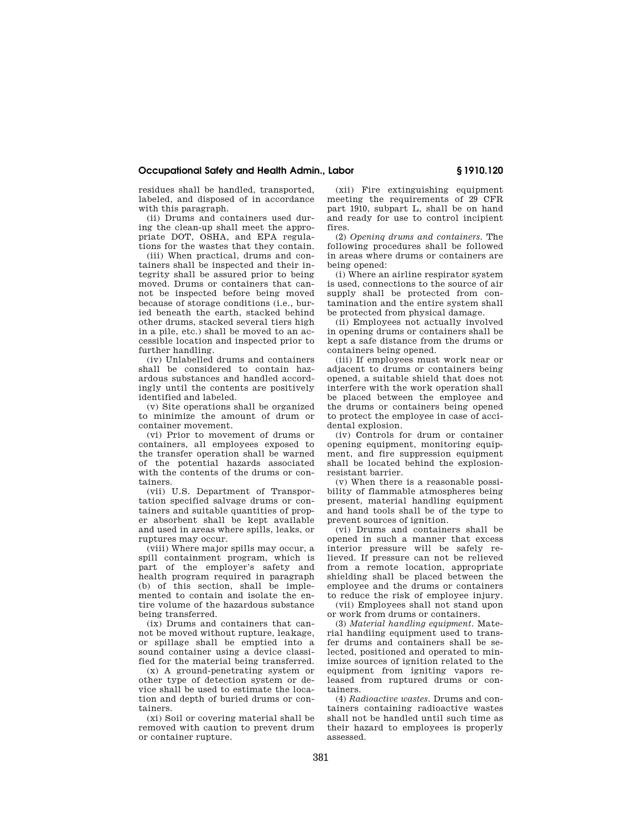residues shall be handled, transported, labeled, and disposed of in accordance with this paragraph.

(ii) Drums and containers used during the clean-up shall meet the appropriate DOT, OSHA, and EPA regulations for the wastes that they contain.

(iii) When practical, drums and containers shall be inspected and their integrity shall be assured prior to being moved. Drums or containers that cannot be inspected before being moved because of storage conditions (i.e., buried beneath the earth, stacked behind other drums, stacked several tiers high in a pile, etc.) shall be moved to an accessible location and inspected prior to further handling.

(iv) Unlabelled drums and containers shall be considered to contain hazardous substances and handled accordingly until the contents are positively identified and labeled.

(v) Site operations shall be organized to minimize the amount of drum or container movement.

(vi) Prior to movement of drums or containers, all employees exposed to the transfer operation shall be warned of the potential hazards associated with the contents of the drums or containers.

(vii) U.S. Department of Transportation specified salvage drums or containers and suitable quantities of proper absorbent shall be kept available and used in areas where spills, leaks, or ruptures may occur.

(viii) Where major spills may occur, a spill containment program, which is part of the employer's safety and health program required in paragraph (b) of this section, shall be implemented to contain and isolate the entire volume of the hazardous substance being transferred.

(ix) Drums and containers that cannot be moved without rupture, leakage, or spillage shall be emptied into a sound container using a device classified for the material being transferred.

(x) A ground-penetrating system or other type of detection system or device shall be used to estimate the location and depth of buried drums or containers.

(xi) Soil or covering material shall be removed with caution to prevent drum or container rupture.

(xii) Fire extinguishing equipment meeting the requirements of 29 CFR part 1910, subpart L, shall be on hand and ready for use to control incipient fires.

(2) *Openinq drums and containers.* The following procedures shall be followed in areas where drums or containers are being opened:

(i) Where an airline respirator system is used, connections to the source of air supply shall be protected from contamination and the entire system shall be protected from physical damage.

(ii) Employees not actually involved in opening drums or containers shall be kept a safe distance from the drums or containers being opened.

(iii) If employees must work near or adjacent to drums or containers being opened, a suitable shield that does not interfere with the work operation shall be placed between the employee and the drums or containers being opened to protect the employee in case of accidental explosion.

(iv) Controls for drum or container opening equipment, monitoring equipment, and fire suppression equipment shall be located behind the explosionresistant barrier.

(v) When there is a reasonable possibility of flammable atmospheres being present, material handling equipment and hand tools shall be of the type to prevent sources of ignition.

(vi) Drums and containers shall be opened in such a manner that excess interior pressure will be safely relieved. If pressure can not be relieved from a remote location, appropriate shielding shall be placed between the employee and the drums or containers to reduce the risk of employee injury.

(vii) Employees shall not stand upon or work from drums or containers.

(3) *Material handling equipment.* Material handiing equipment used to transfer drums and containers shall be selected, positioned and operated to minimize sources of ignition related to the equipment from igniting vapors released from ruptured drums or containers.

(4) *Radioactive wastes.* Drums and containers containing radioactive wastes shall not be handled until such time as their hazard to employees is properly assessed.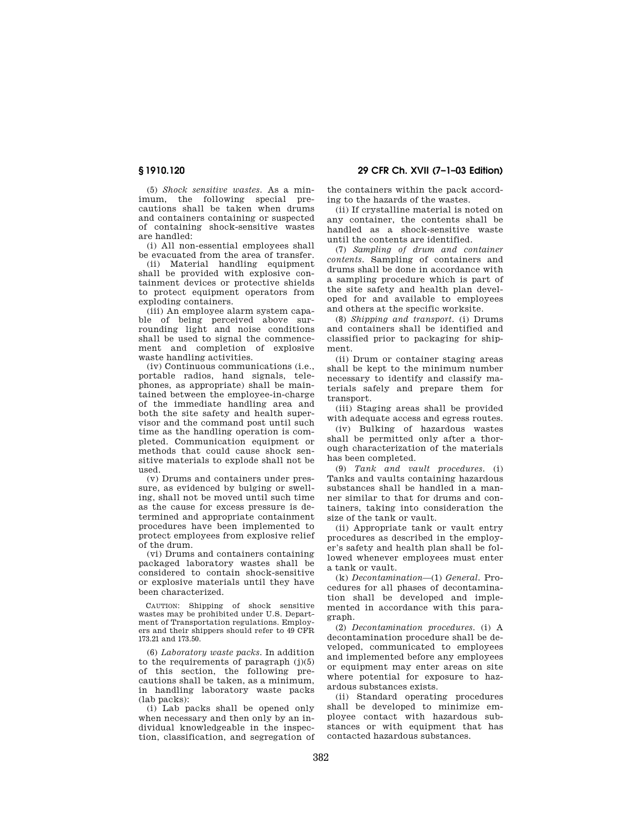**§ 1910.120 29 CFR Ch. XVII (7–1–03 Edition)**

(5) *Shock sensitive wastes.* As a minimum, the following special precautions shall be taken when drums and containers containing or suspected of containing shock-sensitive wastes are handled:

(i) All non-essential employees shall be evacuated from the area of transfer.

(ii) Material handling equipment shall be provided with explosive containment devices or protective shields to protect equipment operators from exploding containers.

(iii) An employee alarm system capable of being perceived above surrounding light and noise conditions shall be used to signal the commencement and completion of explosive waste handling activities.

(iv) Continuous communications (i.e., portable radios, hand signals, telephones, as appropriate) shall be maintained between the employee-in-charge of the immediate handling area and both the site safety and health supervisor and the command post until such time as the handling operation is completed. Communication equipment or methods that could cause shock sensitive materials to explode shall not be used.

(v) Drums and containers under pressure, as evidenced by bulging or swelling, shall not be moved until such time as the cause for excess pressure is determined and appropriate containment procedures have been implemented to protect employees from explosive relief of the drum.

(vi) Drums and containers containing packaged laboratory wastes shall be considered to contain shock-sensitive or explosive materials until they have been characterized.

CAUTION: Shipping of shock sensitive wastes may be prohibited under U.S. Department of Transportation regulations. Employers and their shippers should refer to 49 CFR 173.21 and 173.50.

(6) *Laboratory waste packs.* In addition to the requirements of paragraph  $(j)(5)$ of this section, the following precautions shall be taken, as a minimum, in handling laboratory waste packs (lab packs):

(i) Lab packs shall be opened only when necessary and then only by an individual knowledgeable in the inspection, classification, and segregation of the containers within the pack according to the hazards of the wastes.

(ii) If crystalline material is noted on any container, the contents shall be handled as a shock-sensitive waste until the contents are identified.

(7) *Sampling of drum and container contents.* Sampling of containers and drums shall be done in accordance with a sampling procedure which is part of the site safety and health plan developed for and available to employees and others at the specific worksite.

(8) *Shipping and transport.* (i) Drums and containers shall be identified and classified prior to packaging for shipment.

(ii) Drum or container staging areas shall be kept to the minimum number necessary to identify and classify materials safely and prepare them for transport.

(iii) Staging areas shall be provided with adequate access and egress routes.

(iv) Bulking of hazardous wastes shall be permitted only after a thorough characterization of the materials has been completed.

(9) *Tank and vault procedures.* (i) Tanks and vaults containing hazardous substances shall be handled in a manner similar to that for drums and containers, taking into consideration the size of the tank or vault.

(ii) Appropriate tank or vault entry procedures as described in the employer's safety and health plan shall be followed whenever employees must enter a tank or vault.

(k) *Decontamination*—(1) *General.* Procedures for all phases of decontamination shall be developed and implemented in accordance with this paragraph.

(2) *Decontamination procedures.* (i) A decontamination procedure shall be developed, communicated to employees and implemented before any employees or equipment may enter areas on site where potential for exposure to hazardous substances exists.

(ii) Standard operating procedures shall be developed to minimize employee contact with hazardous substances or with equipment that has contacted hazardous substances.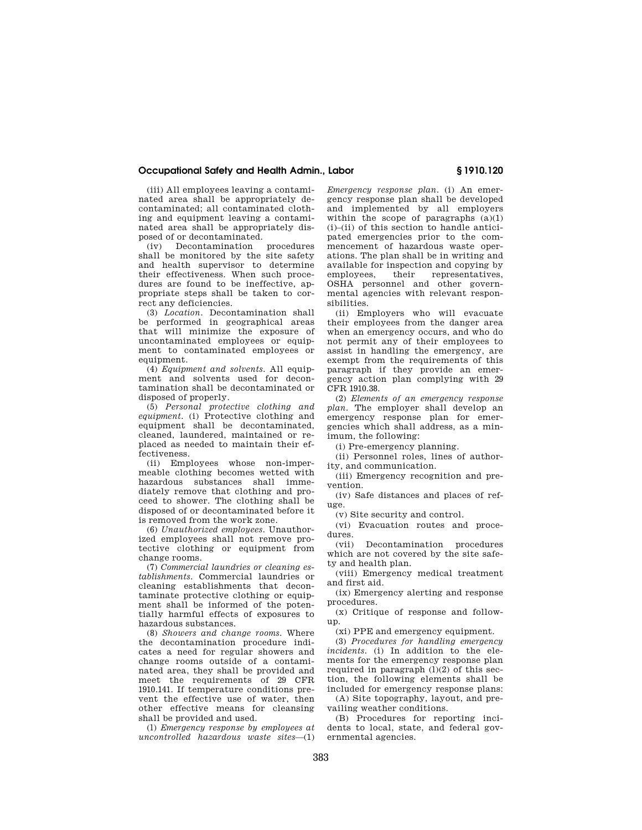(iii) All employees leaving a contaminated area shall be appropriately decontaminated; all contaminated clothing and equipment leaving a contaminated area shall be appropriately dis-

posed of or decontaminated.<br>(iv) Decontamination procedures (iv) Decontamination shall be monitored by the site safety and health supervisor to determine their effectiveness. When such procedures are found to be ineffective, appropriate steps shall be taken to correct any deficiencies.

(3) *Location.* Decontamination shall be performed in geographical areas that will minimize the exposure of uncontaminated employees or equipment to contaminated employees or equipment.

(4) *Equipment and solvents.* All equipment and solvents used for decontamination shall be decontaminated or disposed of properly.

(5) *Personal protective clothing and equipment.* (i) Protective clothing and equipment shall be decontaminated, cleaned, laundered, maintained or replaced as needed to maintain their effectiveness.

(ii) Employees whose non-impermeable clothing becomes wetted with hazardous substances shall immediately remove that clothing and proceed to shower. The clothing shall be disposed of or decontaminated before it is removed from the work zone.

(6) *Unauthorized employees.* Unauthorized employees shall not remove protective clothing or equipment from change rooms.

(7) *Commercial laundries or cleaning establishments.* Commercial laundries or cleaning establishments that decontaminate protective clothing or equipment shall be informed of the potentially harmful effects of exposures to hazardous substances.

(8) *Showers and change rooms.* Where the decontamination procedure indicates a need for regular showers and change rooms outside of a contaminated area, they shall be provided and meet the requirements of 29 CFR 1910.141. If temperature conditions prevent the effective use of water, then other effective means for cleansing shall be provided and used.

(l) *Emergency response by employees at uncontrolled hazardous waste sites—*(1) *Emergency response plan.* (i) An emergency response plan shall be developed and implemented by all employers within the scope of paragraphs  $(a)(1)$ (i)–(ii) of this section to handle anticipated emergencies prior to the commencement of hazardous waste operations. The plan shall be in writing and available for inspection and copying by employees, their representatives, OSHA personnel and other governmental agencies with relevant responsibilities.

(ii) Employers who will evacuate their employees from the danger area when an emergency occurs, and who do not permit any of their employees to assist in handling the emergency, are exempt from the requirements of this paragraph if they provide an emergency action plan complying with 29 CFR 1910.38.

(2) *Elements of an emergency response plan.* The employer shall develop an emergency response plan for emergencies which shall address, as a minimum, the following:

(i) Pre-emergency planning.

(ii) Personnel roles, lines of author-

ity, and communication. (iii) Emergency recognition and prevention.

(iv) Safe distances and places of refuge.

(v) Site security and control.

(vi) Evacuation routes and procedures.

(vii) Decontamination procedures which are not covered by the site safety and health plan.

(viii) Emergency medical treatment and first aid.

(ix) Emergency alerting and response procedures.

(x) Critique of response and followup.

(xi) PPE and emergency equipment.

(3) *Procedures for handling emergency incidents.* (i) In addition to the elements for the emergency response plan required in paragraph  $(l)(2)$  of this section, the following elements shall be included for emergency response plans:

(A) Site topography, layout, and prevailing weather conditions.

(B) Procedures for reporting incidents to local, state, and federal governmental agencies.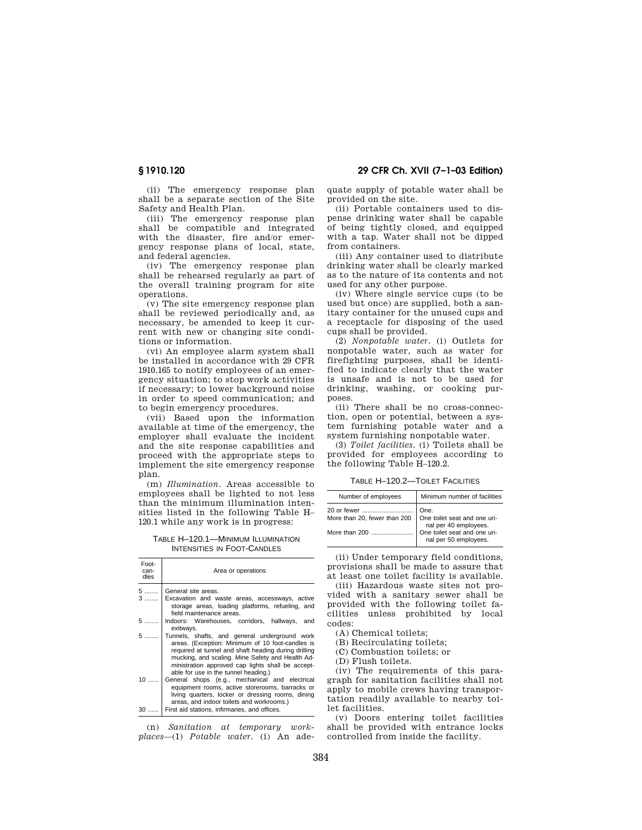**§ 1910.120 29 CFR Ch. XVII (7–1–03 Edition)**

(ii) The emergency response plan shall be a separate section of the Site Safety and Health Plan.

(iii) The emergency response plan shall be compatible and integrated with the disaster, fire and/or emergency response plans of local, state, and federal agencies.

(iv) The emergency response plan shall be rehearsed regularly as part of the overall training program for site operations.

(v) The site emergency response plan shall be reviewed periodically and, as necessary, be amended to keep it current with new or changing site conditions or information.

(vi) An employee alarm system shall be installed in accordance with 29 CFR 1910.165 to notify employees of an emergency situation; to stop work activities if necessary; to lower background noise in order to speed communication; and to begin emergency procedures.

(vii) Based upon the information available at time of the emergency, the employer shall evaluate the incident and the site response capabilities and proceed with the appropriate steps to implement the site emergency response plan.

(m) *Illumination.* Areas accessible to employees shall be lighted to not less than the minimum illumination intensities listed in the following Table H– 120.1 while any work is in progress:

TABLE H–120.1—MINIMUM ILLUMINATION INTENSITIES IN FOOT-CANDLES

| Foot-<br>can-<br>dles | Area or operations                                                                                                                                                                                                                                                                                            |
|-----------------------|---------------------------------------------------------------------------------------------------------------------------------------------------------------------------------------------------------------------------------------------------------------------------------------------------------------|
|                       | 5    General site areas.<br>3 Excavation and waste areas, accessways, active<br>storage areas, loading platforms, refueling, and<br>field maintenance areas.                                                                                                                                                  |
| $5$                   | Indoors: Warehouses, corridors, hallways, and<br>exitways.                                                                                                                                                                                                                                                    |
|                       | 5  Tunnels, shafts, and general underground work<br>areas. (Exception: Minimum of 10 foot-candles is<br>required at tunnel and shaft heading during drilling<br>mucking, and scaling. Mine Safety and Health Ad-<br>ministration approved cap lights shall be accept-<br>able for use in the tunnel heading.) |
|                       | 10  General shops (e.g., mechanical and electrical<br>equipment rooms, active storerooms, barracks or<br>living quarters, locker or dressing rooms, dining<br>areas, and indoor toilets and workrooms.)                                                                                                       |
|                       | 30    First aid stations, infirmaries, and offices.                                                                                                                                                                                                                                                           |

(n) *Sanitation at temporary workplaces—*(1) *Potable water.* (i) An adequate supply of potable water shall be provided on the site.

(ii) Portable containers used to dispense drinking water shall be capable of being tightly closed, and equipped with a tap. Water shall not be dipped from containers.

(iii) Any container used to distribute drinking water shall be clearly marked as to the nature of its contents and not used for any other purpose.

(iv) Where single service cups (to be used but once) are supplied, both a sanitary container for the unused cups and a receptacle for disposing of the used cups shall be provided.

(2) *Nonpotable water.* (i) Outlets for nonpotable water, such as water for firefighting purposes, shall be identified to indicate clearly that the water is unsafe and is not to be used for drinking, washing, or cooking purposes.

(ii) There shall be no cross-connection, open or potential, between a system furnishing potable water and a system furnishing nonpotable water.

(3) *Toilet facilities.* (i) Toilets shall be provided for employees according to the following Table H–120.2.

TABLE H–120.2—TOILET FACILITIES

| Number of employees | Minimum number of facilities |
|---------------------|------------------------------|
| 20 or fewer         | One.                         |
|                     | nal per 50 employees.        |

(ii) Under temporary field conditions, provisions shall be made to assure that at least one toilet facility is available.

(iii) Hazardous waste sites not provided with a sanitary sewer shall be provided with the following toilet facilities unless prohibited by local codes:

(A) Chemical toilets;

(B) Recirculating toilets;

(C) Combustion toilets; or

(D) Flush toilets.

(iv) The requirements of this paragraph for sanitation facilities shall not apply to mobile crews having transportation readily available to nearby toilet facilities.

(v) Doors entering toilet facilities shall be provided with entrance locks controlled from inside the facility.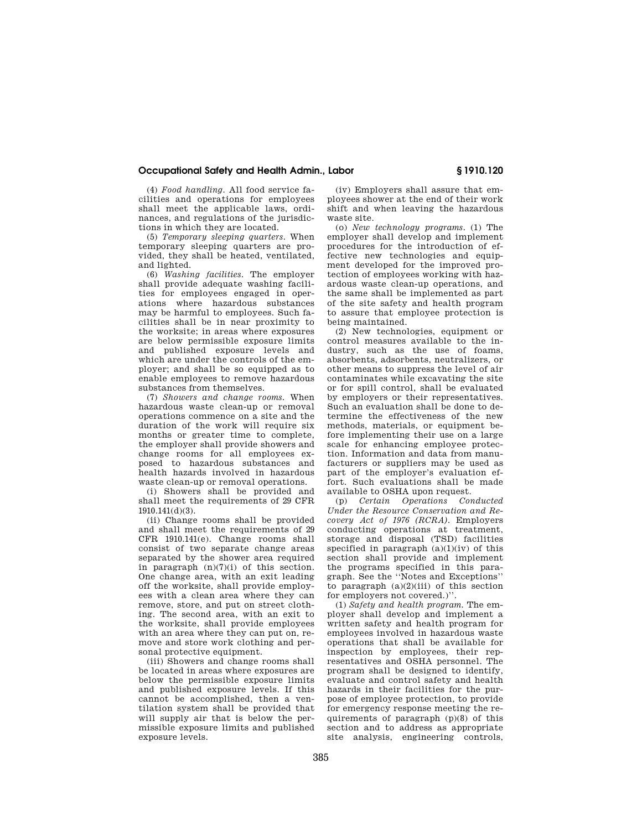(4) *Food handling.* All food service facilities and operations for employees shall meet the applicable laws, ordinances, and regulations of the jurisdictions in which they are located.

(5) *Temporary sleeping quarters.* When temporary sleeping quarters are provided, they shall be heated, ventilated, and lighted.

(6) *Washing facilities.* The employer shall provide adequate washing facilities for employees engaged in operations where hazardous substances may be harmful to employees. Such facilities shall be in near proximity to the worksite; in areas where exposures are below permissible exposure limits and published exposure levels and which are under the controls of the employer; and shall be so equipped as to enable employees to remove hazardous substances from themselves.

(7) *Showers and change rooms.* When hazardous waste clean-up or removal operations commence on a site and the duration of the work will require six months or greater time to complete, the employer shall provide showers and change rooms for all employees exposed to hazardous substances and health hazards involved in hazardous waste clean-up or removal operations.

(i) Showers shall be provided and shall meet the requirements of 29 CFR 1910.141(d)(3).

(ii) Change rooms shall be provided and shall meet the requirements of 29 CFR 1910.141(e). Change rooms shall consist of two separate change areas separated by the shower area required in paragraph  $(n)(7)(i)$  of this section. One change area, with an exit leading off the worksite, shall provide employees with a clean area where they can remove, store, and put on street clothing. The second area, with an exit to the worksite, shall provide employees with an area where they can put on, remove and store work clothing and personal protective equipment.

(iii) Showers and change rooms shall be located in areas where exposures are below the permissible exposure limits and published exposure levels. If this cannot be accomplished, then a ventilation system shall be provided that will supply air that is below the permissible exposure limits and published exposure levels.

(iv) Employers shall assure that employees shower at the end of their work shift and when leaving the hazardous waste site.

(o) *New technology programs.* (1) The employer shall develop and implement procedures for the introduction of effective new technologies and equipment developed for the improved protection of employees working with hazardous waste clean-up operations, and the same shall be implemented as part of the site safety and health program to assure that employee protection is being maintained.

(2) New technologies, equipment or control measures available to the industry, such as the use of foams, absorbents, adsorbents, neutralizers, or other means to suppress the level of air contaminates while excavating the site or for spill control, shall be evaluated by employers or their representatives. Such an evaluation shall be done to determine the effectiveness of the new methods, materials, or equipment before implementing their use on a large scale for enhancing employee protection. Information and data from manufacturers or suppliers may be used as part of the employer's evaluation effort. Such evaluations shall be made available to OSHA upon request.

(p) *Certain Operations Conducted Under the Resource Conservation and Recovery Act of 1976 (RCRA).* Employers conducting operations at treatment, storage and disposal (TSD) facilities specified in paragraph  $(a)(1)(iv)$  of this section shall provide and implement the programs specified in this paragraph. See the ''Notes and Exceptions'' to paragraph  $(a)(2)(iii)$  of this section for employers not covered.)''.

(1) *Safety and health program.* The employer shall develop and implement a written safety and health program for employees involved in hazardous waste operations that shall be available for inspection by employees, their representatives and OSHA personnel. The program shall be designed to identify, evaluate and control safety and health hazards in their facilities for the purpose of employee protection, to provide for emergency response meeting the requirements of paragraph (p)(8) of this section and to address as appropriate site analysis, engineering controls,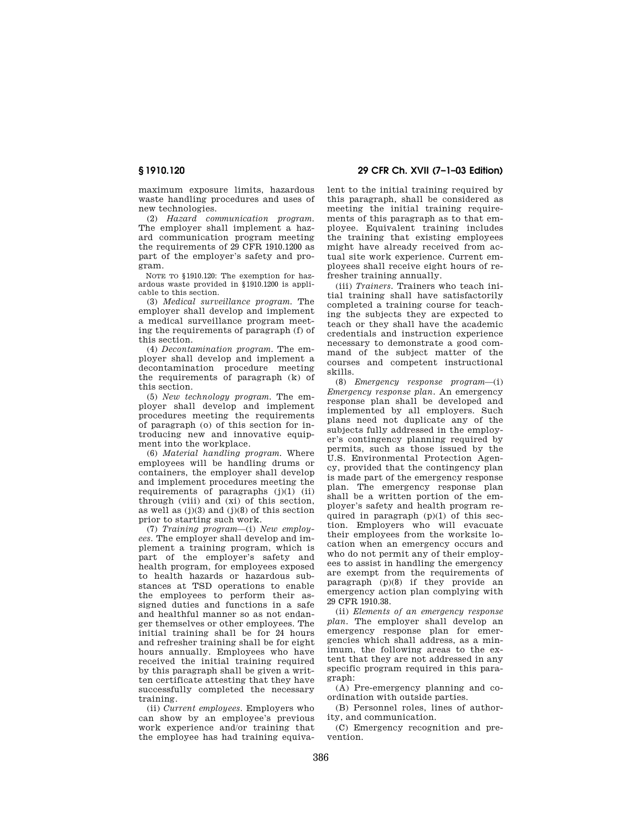maximum exposure limits, hazardous waste handling procedures and uses of new technologies.

(2) *Hazard communication program*. The employer shall implement a hazard communication program meeting the requirements of 29 CFR 1910.1200 as part of the employer's safety and program.

NOTE TO §1910.120: The exemption for hazardous waste provided in §1910.1200 is applicable to this section.

(3) *Medical surveillance program.* The employer shall develop and implement a medical surveillance program meeting the requirements of paragraph (f) of this section.

(4) *Decontamination program.* The employer shall develop and implement a decontamination procedure meeting the requirements of paragraph (k) of this section.

(5) *New technology program.* The employer shall develop and implement procedures meeting the requirements of paragraph (o) of this section for introducing new and innovative equipment into the workplace.

(6) *Material handling program.* Where employees will be handling drums or containers, the employer shall develop and implement procedures meeting the requirements of paragraphs  $(j)(1)$   $(ii)$ through (viii) and (xi) of this section, as well as  $(j)(3)$  and  $(j)(8)$  of this section prior to starting such work.

(7) *Training program—*(i) *New employees.* The employer shall develop and implement a training program, which is part of the employer's safety and health program, for employees exposed to health hazards or hazardous substances at TSD operations to enable the employees to perform their assigned duties and functions in a safe and healthful manner so as not endanger themselves or other employees. The initial training shall be for 24 hours and refresher training shall be for eight hours annually. Employees who have received the initial training required by this paragraph shall be given a written certificate attesting that they have successfully completed the necessary training.

(ii) *Current employees.* Employers who can show by an employee's previous work experience and/or training that the employee has had training equiva-

**§ 1910.120 29 CFR Ch. XVII (7–1–03 Edition)**

lent to the initial training required by this paragraph, shall be considered as meeting the initial training requirements of this paragraph as to that employee. Equivalent training includes the training that existing employees might have already received from actual site work experience. Current employees shall receive eight hours of refresher training annually.

(iii) *Trainers.* Trainers who teach initial training shall have satisfactorily completed a training course for teaching the subjects they are expected to teach or they shall have the academic credentials and instruction experience necessary to demonstrate a good command of the subject matter of the courses and competent instructional skills.

(8) *Emergency response program—*(i) *Emergency response plan.* An emergency response plan shall be developed and implemented by all employers. Such plans need not duplicate any of the subjects fully addressed in the employer's contingency planning required by permits, such as those issued by the U.S. Environmental Protection Agency, provided that the contingency plan is made part of the emergency response plan. The emergency response plan shall be a written portion of the employer's safety and health program required in paragraph (p)(1) of this section. Employers who will evacuate their employees from the worksite location when an emergency occurs and who do not permit any of their employees to assist in handling the emergency are exempt from the requirements of paragraph (p)(8) if they provide an emergency action plan complying with 29 CFR 1910.38.

(ii) *Elements of an emergency response plan.* The employer shall develop an emergency response plan for emergencies which shall address, as a minimum, the following areas to the extent that they are not addressed in any specific program required in this paragraph:

(A) Pre-emergency planning and coordination with outside parties.

(B) Personnel roles, lines of authority, and communication.

(C) Emergency recognition and prevention.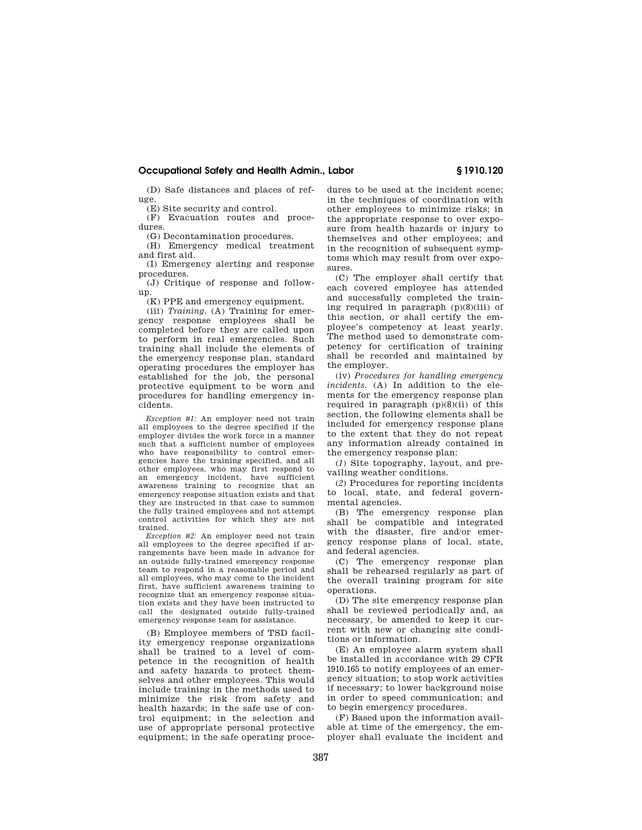(D) Safe distances and places of refuge.

(E) Site security and control.

(F) Evacuation routes and procedures.

(G) Decontamination procedures.

(H) Emergency medical treatment and first aid.

(I) Emergency alerting and response procedures.

(J) Critique of response and followup.

(K) PPE and emergency equipment.

(iii) *Training.* (A) Training for emergency response employees shall be completed before they are called upon to perform in real emergencies. Such training shall include the elements of the emergency response plan, standard operating procedures the employer has established for the job, the personal protective equipment to be worn and procedures for handling emergency incidents.

*Exception #1:* An employer need not train all employees to the degree specified if the employer divides the work force in a manner such that a sufficient number of employees who have responsibility to control emergencies have the training specified, and all other employees, who may first respond to an emergency incident, have sufficient awareness training to recognize that an emergency response situation exists and that they are instructed in that case to summon the fully trained employees and not attempt control activities for which they are not trained.

*Exception #2:* An employer need not train all employees to the degree specified if arrangements have been made in advance for an outside fully-trained emergency response team to respond in a reasonable period and all employees, who may come to the incident first, have sufficient awareness training to recognize that an emergency response situation exists and they have been instructed to call the designated outside fully-trained emergency response team for assistance.

(B) Employee members of TSD facility emergency response organizations shall be trained to a level of competence in the recognition of health and safety hazards to protect themselves and other employees. This would include training in the methods used to minimize the risk from safety and health hazards; in the safe use of control equipment; in the selection and use of appropriate personal protective equipment; in the safe operating procedures to be used at the incident scene; in the techniques of coordination with other employees to minimize risks; in the appropriate response to over exposure from health hazards or injury to themselves and other employees; and in the recognition of subsequent symptoms which may result from over exposures.

(C) The employer shall certify that each covered employee has attended and successfully completed the training required in paragraph  $(p)(8)(iii)$  of this section, or shall certify the employee's competency at least yearly. The method used to demonstrate competency for certification of training shall be recorded and maintained by the employer.

(iv) *Procedures for handling emergency incidents.* (A) In addition to the elements for the emergency response plan required in paragraph  $(p)(8)(ii)$  of this section, the following elements shall be included for emergency response plans to the extent that they do not repeat any information already contained in the emergency response plan:

(*1*) Site topography, layout, and prevailing weather conditions.

(*2*) Procedures for reporting incidents to local, state, and federal governmental agencies.

(B) The emergency response plan shall be compatible and integrated with the disaster, fire and/or emergency response plans of local, state, and federal agencies.

(C) The emergency response plan shall be rehearsed regularly as part of the overall training program for site operations.

(D) The site emergency response plan shall be reviewed periodically and, as necessary, be amended to keep it current with new or changing site conditions or information.

(E) An employee alarm system shall be installed in accordance with 29 CFR 1910.165 to notify employees of an emergency situation; to stop work activities if necessary; to lower background noise in order to speed communication; and to begin emergency procedures.

(F) Based upon the information available at time of the emergency, the employer shall evaluate the incident and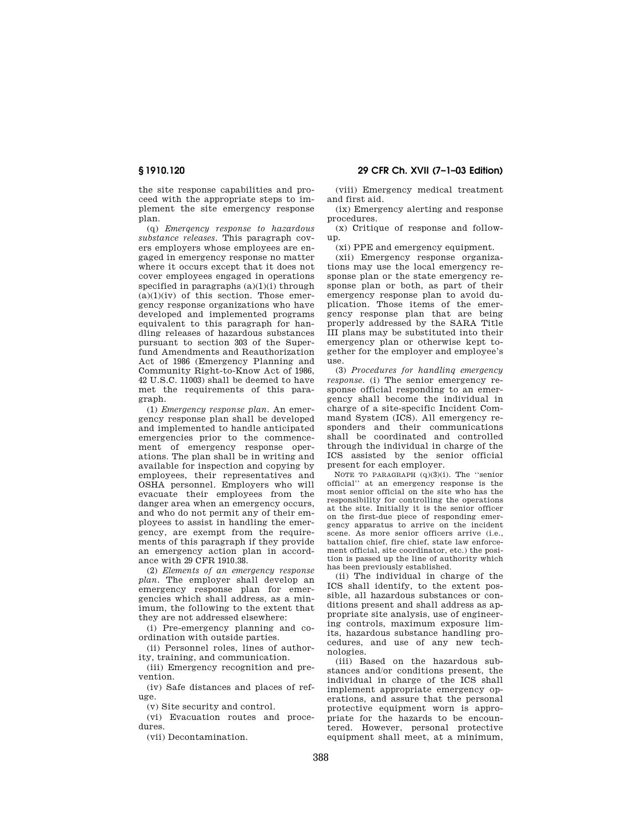the site response capabilities and proceed with the appropriate steps to implement the site emergency response plan.

(q) *Emerqency response to hazardous substance releases.* This paragraph covers employers whose employees are engaged in emergency response no matter where it occurs except that it does not cover employees engaged in operations specified in paragraphs (a)(1)(i) through  $(a)(1)(iv)$  of this section. Those emergency response organizations who have developed and implemented programs equivalent to this paragraph for handling releases of hazardous substances pursuant to section 303 of the Superfund Amendments and Reauthorization Act of 1986 (Emergency Planning and Community Right-to-Know Act of 1986, 42 U.S.C. 11003) shall be deemed to have met the requirements of this paragraph.

(1) *Emergency response plan.* An emergency response plan shall be developed and implemented to handle anticipated emergencies prior to the commencement of emergency response operations. The plan shall be in writing and available for inspection and copying by employees, their representatives and OSHA personnel. Employers who will evacuate their employees from the danger area when an emergency occurs, and who do not permit any of their employees to assist in handling the emergency, are exempt from the requirements of this paragraph if they provide an emergency action plan in accordance with 29 CFR 1910.38.

(2) *Elements of an emergency response plan.* The employer shall develop an emergency response plan for emergencies which shall address, as a minimum, the following to the extent that they are not addressed elsewhere:

(i) Pre-emergency planning and coordination with outside parties.

(ii) Personnel roles, lines of authority, training, and communication.

(iii) Emergency recognition and prevention.

(iv) Safe distances and places of refuge.

(v) Site security and control.

(vi) Evacuation routes and procedures.

(vii) Decontamination.

**§ 1910.120 29 CFR Ch. XVII (7–1–03 Edition)**

(viii) Emergency medical treatment and first aid.

(ix) Emergency alerting and response procedures.

(x) Critique of response and followup.

(xi) PPE and emergency equipment.

(xii) Emergency response organizations may use the local emergency response plan or the state emergency response plan or both, as part of their emergency response plan to avoid duplication. Those items of the emergency response plan that are being properly addressed by the SARA Title III plans may be substituted into their emergency plan or otherwise kept together for the employer and employee's use.

(3) *Procedures for handlinq emergency response.* (i) The senior emergency response official responding to an emergency shall become the individual in charge of a site-specific Incident Command System (ICS). All emergency responders and their communications shall be coordinated and controlled through the individual in charge of the ICS assisted by the senior official present for each employer.

NOTE TO PARAGRAPH (q)(3)(i). The ''senior official'' at an emergency response is the most senior official on the site who has the responsibility for controlling the operations at the site. Initially it is the senior officer on the first-due piece of responding emergency apparatus to arrive on the incident scene. As more senior officers arrive (i.e., battalion chief, fire chief, state law enforcement official, site coordinator, etc.) the position is passed up the line of authority which has been previously established.

(ii) The individual in charge of the ICS shall identify, to the extent possible, all hazardous substances or conditions present and shall address as appropriate site analysis, use of engineering controls, maximum exposure limits, hazardous substance handling procedures, and use of any new technologies.

(iii) Based on the hazardous substances and/or conditions present, the individual in charge of the ICS shall implement appropriate emergency operations, and assure that the personal protective equipment worn is appropriate for the hazards to be encountered. However, personal protective equipment shall meet, at a minimum,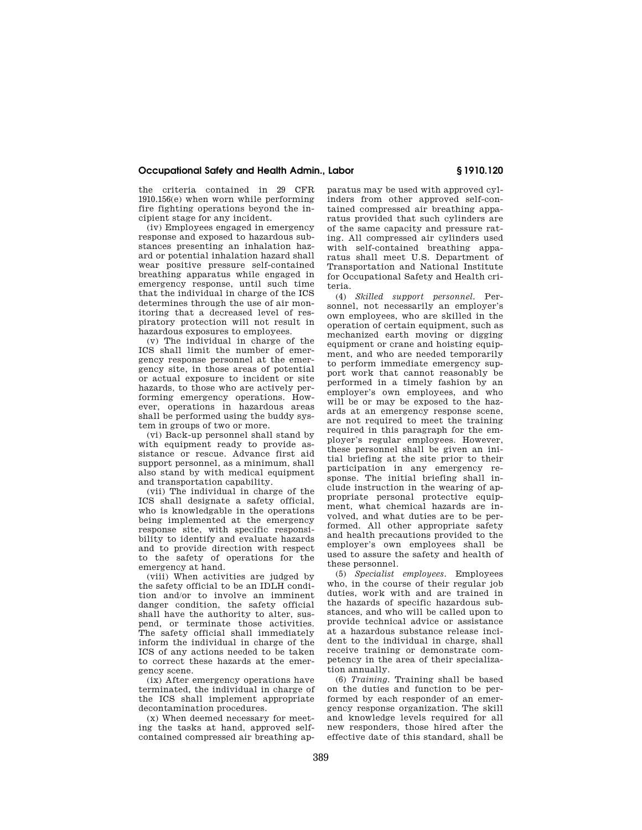the criteria contained in 29 CFR 1910.156(e) when worn while performing fire fighting operations beyond the incipient stage for any incident.

(iv) Employees engaged in emergency response and exposed to hazardous substances presenting an inhalation hazard or potential inhalation hazard shall wear positive pressure self-contained breathing apparatus while engaged in emergency response, until such time that the individual in charge of the ICS determines through the use of air monitoring that a decreased level of respiratory protection will not result in hazardous exposures to employees.

(v) The individual in charge of the ICS shall limit the number of emergency response personnel at the emergency site, in those areas of potential or actual exposure to incident or site hazards, to those who are actively performing emergency operations. However, operations in hazardous areas shall be performed using the buddy system in groups of two or more.

(vi) Back-up personnel shall stand by with equipment ready to provide assistance or rescue. Advance first aid support personnel, as a minimum, shall also stand by with medical equipment and transportation capability.

(vii) The individual in charge of the ICS shall designate a safety official, who is knowledgable in the operations being implemented at the emergency response site, with specific responsibility to identify and evaluate hazards and to provide direction with respect to the safety of operations for the emergency at hand.

(viii) When activities are judged by the safety official to be an IDLH condition and/or to involve an imminent danger condition, the safety official shall have the authority to alter, suspend, or terminate those activities. The safety official shall immediately inform the individual in charge of the ICS of any actions needed to be taken to correct these hazards at the emergency scene.

(ix) After emergency operations have terminated, the individual in charge of the ICS shall implement appropriate decontamination procedures.

(x) When deemed necessary for meeting the tasks at hand, approved selfcontained compressed air breathing apparatus may be used with approved cylinders from other approved self-contained compressed air breathing apparatus provided that such cylinders are of the same capacity and pressure rating. All compressed air cylinders used with self-contained breathing apparatus shall meet U.S. Department of Transportation and National Institute for Occupational Safety and Health criteria.

(4) *Skilled support personnel.* Personnel, not necessarily an employer's own employees, who are skilled in the operation of certain equipment, such as mechanized earth moving or digging equipment or crane and hoisting equipment, and who are needed temporarily to perform immediate emergency support work that cannot reasonably be performed in a timely fashion by an employer's own employees, and who will be or may be exposed to the hazards at an emergency response scene, are not required to meet the training required in this paragraph for the employer's regular employees. However, these personnel shall be given an initial briefing at the site prior to their participation in any emergency response. The initial briefing shall include instruction in the wearing of appropriate personal protective equipment, what chemical hazards are involved, and what duties are to be performed. All other appropriate safety and health precautions provided to the employer's own employees shall be used to assure the safety and health of these personnel.

(5) *Specialist employees.* Employees who, in the course of their regular job duties, work with and are trained in the hazards of specific hazardous substances, and who will be called upon to provide technical advice or assistance at a hazardous substance release incident to the individual in charge, shall receive training or demonstrate competency in the area of their specialization annually.

(6) *Training.* Training shall be based on the duties and function to be performed by each responder of an emergency response organization. The skill and knowledge levels required for all new responders, those hired after the effective date of this standard, shall be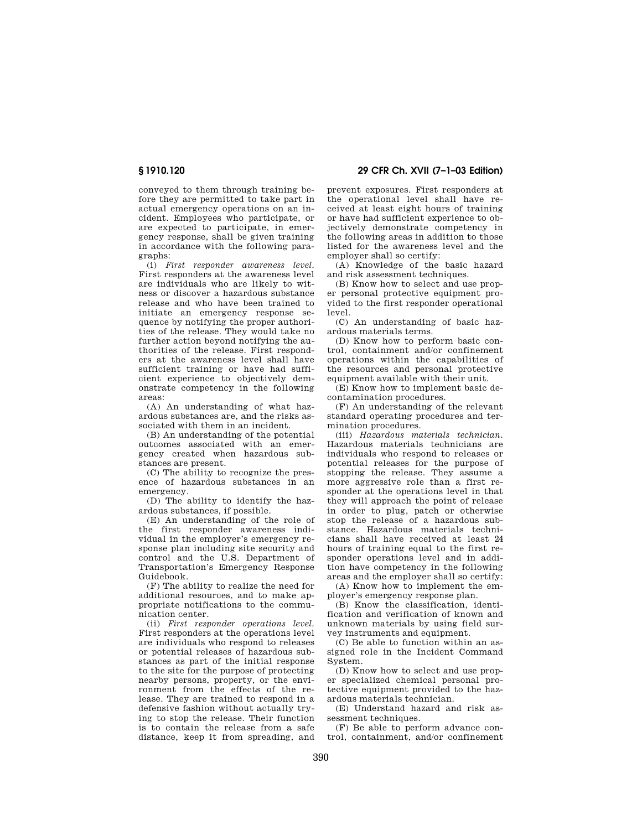conveyed to them through training before they are permitted to take part in actual emergency operations on an incident. Employees who participate, or are expected to participate, in emergency response, shall be given training in accordance with the following paragraphs:

(i) *First responder awareness level.* First responders at the awareness level are individuals who are likely to witness or discover a hazardous substance release and who have been trained to initiate an emergency response sequence by notifying the proper authorities of the release. They would take no further action beyond notifying the authorities of the release. First responders at the awareness level shall have sufficient training or have had sufficient experience to objectively demonstrate competency in the following areas:

(A) An understanding of what hazardous substances are, and the risks associated with them in an incident.

(B) An understanding of the potential outcomes associated with an emergency created when hazardous substances are present.

(C) The ability to recognize the presence of hazardous substances in an emergency.

(D) The ability to identify the hazardous substances, if possible.

(E) An understanding of the role of the first responder awareness individual in the employer's emergency response plan including site security and control and the U.S. Department of Transportation's Emergency Response Guidebook.

(F) The ability to realize the need for additional resources, and to make appropriate notifications to the communication center.

(ii) *First responder operations level.* First responders at the operations level are individuals who respond to releases or potential releases of hazardous substances as part of the initial response to the site for the purpose of protecting nearby persons, property, or the environment from the effects of the release. They are trained to respond in a defensive fashion without actually trying to stop the release. Their function is to contain the release from a safe distance, keep it from spreading, and

**§ 1910.120 29 CFR Ch. XVII (7–1–03 Edition)**

prevent exposures. First responders at the operational level shall have received at least eight hours of training or have had sufficient experience to objectively demonstrate competency in the following areas in addition to those listed for the awareness level and the employer shall so certify:

(A) Knowledge of the basic hazard and risk assessment techniques.

(B) Know how to select and use proper personal protective equipment provided to the first responder operational level.

(C) An understanding of basic hazardous materials terms.

(D) Know how to perform basic control, containment and/or confinement operations within the capabilities of the resources and personal protective equipment available with their unit.

(E) Know how to implement basic decontamination procedures.

(F) An understanding of the relevant standard operating procedures and termination procedures.

(iii) *Hazardous materials technician.* Hazardous materials technicians are individuals who respond to releases or potential releases for the purpose of stopping the release. They assume a more aggressive role than a first responder at the operations level in that they will approach the point of release in order to plug, patch or otherwise stop the release of a hazardous substance. Hazardous materials technicians shall have received at least 24 hours of training equal to the first responder operations level and in addition have competency in the following areas and the employer shall so certify:

(A) Know how to implement the employer's emergency response plan.

(B) Know the classification, identification and verification of known and unknown materials by using field survey instruments and equipment.

(C) Be able to function within an assigned role in the Incident Command System.

(D) Know how to select and use proper specialized chemical personal protective equipment provided to the hazardous materials technician.

(E) Understand hazard and risk assessment techniques.

(F) Be able to perform advance control, containment, and/or confinement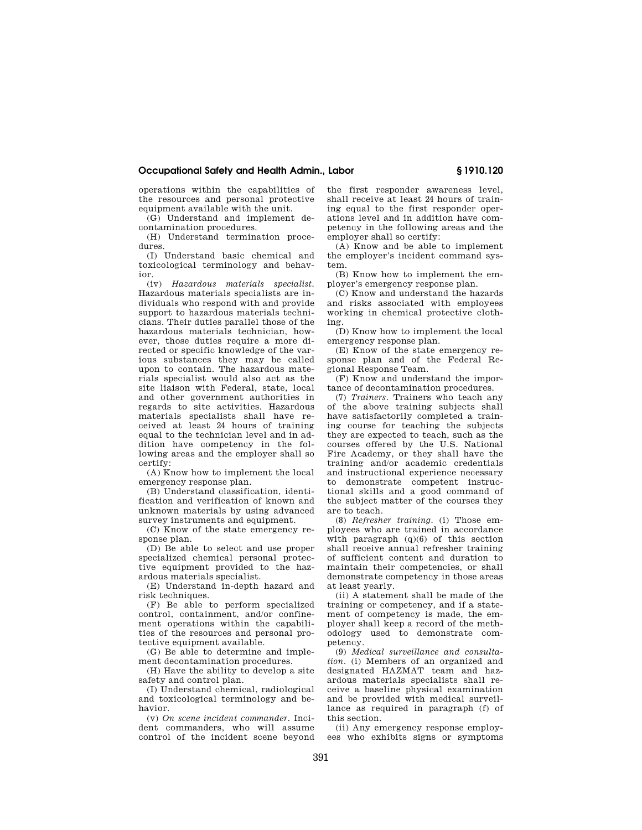operations within the capabilities of the resources and personal protective equipment available with the unit.

(G) Understand and implement decontamination procedures.

(H) Understand termination procedures.

(I) Understand basic chemical and toxicological terminology and behavior.

(iv) *Hazardous materials specialist.* Hazardous materials specialists are individuals who respond with and provide support to hazardous materials technicians. Their duties parallel those of the hazardous materials technician, however, those duties require a more directed or specific knowledge of the various substances they may be called upon to contain. The hazardous materials specialist would also act as the site liaison with Federal, state, local and other government authorities in regards to site activities. Hazardous materials specialists shall have received at least 24 hours of training equal to the technician level and in addition have competency in the following areas and the employer shall so certify:

(A) Know how to implement the local emergency response plan.

(B) Understand classification, identification and verification of known and unknown materials by using advanced survey instruments and equipment.

(C) Know of the state emergency response plan.

(D) Be able to select and use proper specialized chemical personal protective equipment provided to the hazardous materials specialist.

(E) Understand in-depth hazard and risk techniques.

(F) Be able to perform specialized control, containment, and/or confinement operations within the capabilities of the resources and personal protective equipment available.

(G) Be able to determine and implement decontamination procedures.

(H) Have the ability to develop a site safety and control plan.

(I) Understand chemical, radiological and toxicological terminology and behavior.

(v) *On scene incident commander.* Incident commanders, who will assume control of the incident scene beyond the first responder awareness level, shall receive at least 24 hours of training equal to the first responder operations level and in addition have competency in the following areas and the employer shall so certify:

(A) Know and be able to implement the employer's incident command system.

(B) Know how to implement the employer's emergency response plan.

(C) Know and understand the hazards and risks associated with employees working in chemical protective clothing.

(D) Know how to implement the local emergency response plan.

(E) Know of the state emergency response plan and of the Federal Regional Response Team.

(F) Know and understand the importance of decontamination procedures.

(7) *Trainers.* Trainers who teach any of the above training subjects shall have satisfactorily completed a training course for teaching the subjects they are expected to teach, such as the courses offered by the U.S. National Fire Academy, or they shall have the training and/or academic credentials and instructional experience necessary to demonstrate competent instructional skills and a good command of the subject matter of the courses they are to teach.

(8) *Refresher training.* (i) Those employees who are trained in accordance with paragraph  $(q)(6)$  of this section shall receive annual refresher training of sufficient content and duration to maintain their competencies, or shall demonstrate competency in those areas at least yearly.

(ii) A statement shall be made of the training or competency, and if a statement of competency is made, the employer shall keep a record of the methodology used to demonstrate competency.

(9) *Medical surveillance and consultation.* (i) Members of an organized and designated HAZMAT team and hazardous materials specialists shall receive a baseline physical examination and be provided with medical surveillance as required in paragraph (f) of this section.

(ii) Any emergency response employees who exhibits signs or symptoms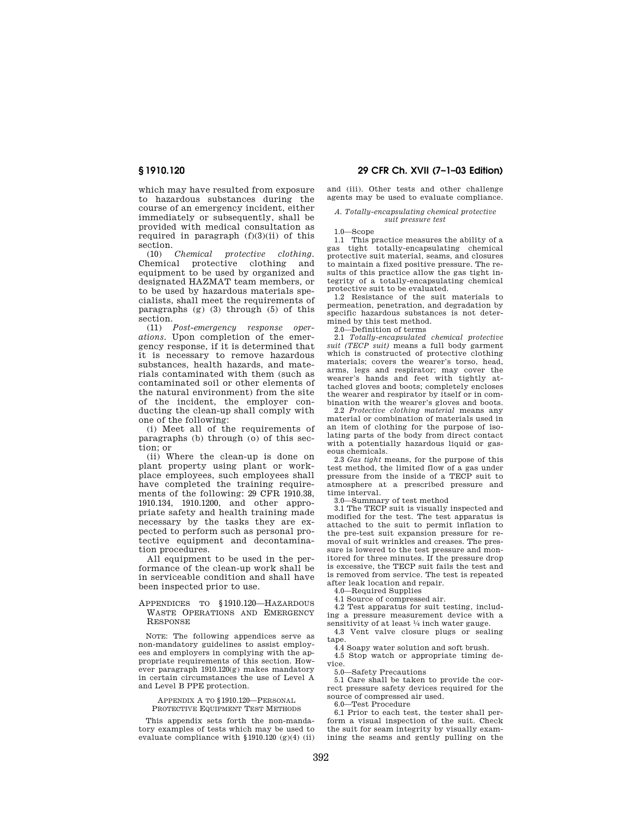which may have resulted from exposure to hazardous substances during the course of an emergency incident, either immediately or subsequently, shall be provided with medical consultation as required in paragraph  $(f)(3)(ii)$  of this section.

(10) *Chemical protective clothing.* Chemical protective clothing and equipment to be used by organized and designated HAZMAT team members, or to be used by hazardous materials specialists, shall meet the requirements of paragraphs (g) (3) through (5) of this section.

(11) *Post-emergency response operations.* Upon completion of the emergency response, if it is determined that it is necessary to remove hazardous substances, health hazards, and materials contaminated with them (such as contaminated soil or other elements of the natural environment) from the site of the incident, the employer conducting the clean-up shall comply with one of the following:

(i) Meet all of the requirements of paragraphs (b) through (o) of this section; or

(ii) Where the clean-up is done on plant property using plant or workplace employees, such employees shall have completed the training requirements of the following: 29 CFR 1910.38, 1910.134, 1910.1200, and other appropriate safety and health training made necessary by the tasks they are expected to perform such as personal protective equipment and decontamination procedures.

All equipment to be used in the performance of the clean-up work shall be in serviceable condition and shall have been inspected prior to use.

## APPENDICES TO §1910.120—HAZARDOUS WASTE OPERATIONS AND EMERGENCY **RESPONSE**

NOTE: The following appendices serve as non-mandatory guidelines to assist employees and employers in complying with the appropriate requirements of this section. However paragraph 1910.120(g) makes mandatory in certain circumstances the use of Level A and Level B PPE protection.

### APPENDIX A TO §1910.120—PERSONAL PROTECTIVE EQUIPMENT TEST METHODS

This appendix sets forth the non-mandatory examples of tests which may be used to evaluate compliance with §1910.120 (g)(4) (ii)

# **§ 1910.120 29 CFR Ch. XVII (7–1–03 Edition)**

and (iii). Other tests and other challenge agents may be used to evaluate compliance.

### *A. Totally-encapsulating chemical protective suit pressure test*

1.0—Scope

1.1 This practice measures the ability of a gas tight totally-encapsulating chemical protective suit material, seams, and closures to maintain a fixed positive pressure. The results of this practice allow the gas tight integrity of a totally-encapsulating chemical protective suit to be evaluated.

1.2 Resistance of the suit materials to permeation, penetration, and degradation by specific hazardous substances is not determined by this test method.

2.0—Definition of terms

2.1 *Totally-encapsulated chemical protective suit (TECP suit)* means a full body garment which is constructed of protective clothing materials; covers the wearer's torso, head, arms, legs and respirator; may cover the wearer's hands and feet with tightly attached gloves and boots; completely encloses the wearer and respirator by itself or in combination with the wearer's gloves and boots.

2.2 *Protective clothing material* means any material or combination of materials used in an item of clothing for the purpose of isolating parts of the body from direct contact with a potentially hazardous liquid or gaseous chemicals.

2.3 *Gas tight* means, for the purpose of this test method, the limited flow of a gas under pressure from the inside of a TECP suit to atmosphere at a prescribed pressure and time interval.

3.0—Summary of test method

3.1 The TECP suit is visually inspected and modified for the test. The test apparatus is attached to the suit to permit inflation to the pre-test suit expansion pressure for removal of suit wrinkles and creases. The pressure is lowered to the test pressure and monitored for three minutes. If the pressure drop is excessive, the TECP suit fails the test and is removed from service. The test is repeated after leak location and repair.

4.0—Required Supplies

4.1 Source of compressed air.

4.2 Test apparatus for suit testing, including a pressure measurement device with a sensitivity of at least 1⁄4 inch water gauge.

4.3 Vent valve closure plugs or sealing tape.

4.4 Soapy water solution and soft brush.

4.5 Stop watch or appropriate timing de-

vice. 5.0—Safety Precautions

5.1 Care shall be taken to provide the correct pressure safety devices required for the source of compressed air used.

6.0—Test Procedure

6.1 Prior to each test, the tester shall perform a visual inspection of the suit. Check the suit for seam integrity by visually examining the seams and gently pulling on the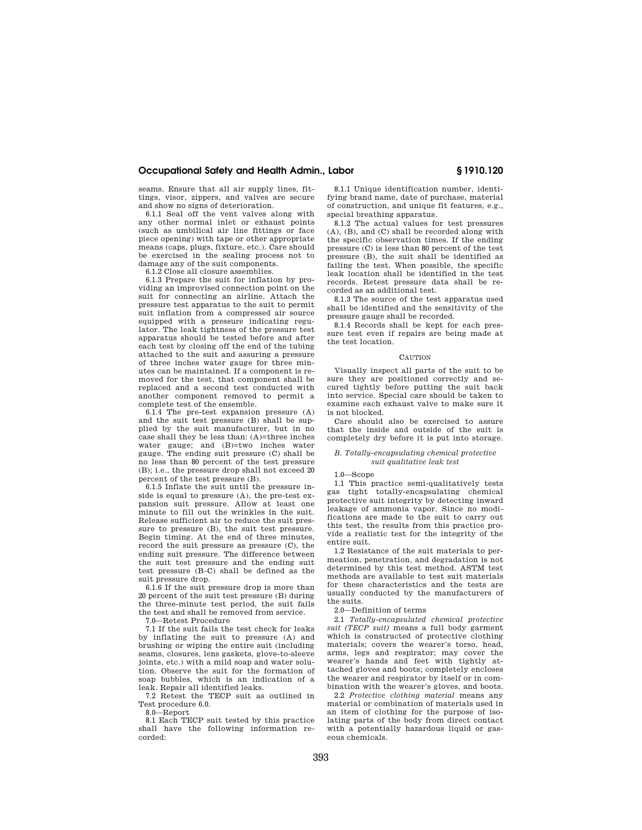seams. Ensure that all air supply lines, fittings, visor, zippers, and valves are secure and show no signs of deterioration.

6.1.1 Seal off the vent valves along with any other normal inlet or exhaust points (such as umbilical air line fittings or face piece opening) with tape or other appropriate means (caps, plugs, fixture, etc.). Care should be exercised in the sealing process not to damage any of the suit components.

6.1.2 Close all closure assemblies.

6.1.3 Prepare the suit for inflation by providing an improvised connection point on the suit for connecting an airline. Attach the pressure test apparatus to the suit to permit suit inflation from a compressed air source equipped with a pressure indicating regulator. The leak tightness of the pressure test apparatus should be tested before and after each test by closing off the end of the tubing attached to the suit and assuring a pressure of three inches water gauge for three minutes can be maintained. If a component is removed for the test, that component shall be replaced and a second test conducted with another component removed to permit a complete test of the ensemble.

6.1.4 The pre-test expansion pressure (A) and the suit test pressure (B) shall be supplied by the suit manufacturer, but in no case shall they be less than: (A)=three inches water gauge; and (B)=two inches water gauge. The ending suit pressure (C) shall be no less than 80 percent of the test pressure (B); i.e., the pressure drop shall not exceed 20 percent of the test pressure (B).

6.1.5 Inflate the suit until the pressure inside is equal to pressure (A), the pre-test expansion suit pressure. Allow at least one minute to fill out the wrinkles in the suit. Release sufficient air to reduce the suit pressure to pressure (B), the suit test pressure. Begin timing. At the end of three minutes, record the suit pressure as pressure (C), the ending suit pressure. The difference between the suit test pressure and the ending suit test pressure (B–C) shall be defined as the suit pressure drop.

6.1.6 If the suit pressure drop is more than 20 percent of the suit test pressure (B) during the three-minute test period, the suit fails the test and shall be removed from service.

7.0—Retest Procedure

7.1 If the suit fails the test check for leaks by inflating the suit to pressure (A) and brushing or wiping the entire suit (including seams, closures, lens gaskets, glove-to-sleeve joints, etc.) with a mild soap and water solution. Observe the suit for the formation of soap bubbles, which is an indication of a leak. Repair all identified leaks.

7.2 Retest the TECP suit as outlined in Test procedure 6.0.

8.0—Report

8.1 Each TECP suit tested by this practice shall have the following information recorded:

8.1.1 Unique identification number, identifying brand name, date of purchase, material of construction, and unique fit features, e.g., special breathing apparatus.

8.1.2 The actual values for test pressures (A), (B), and (C) shall be recorded along with the specific observation times. If the ending pressure (C) is less than 80 percent of the test pressure (B), the suit shall be identified as failing the test. When possible, the specific leak location shall be identified in the test records. Retest pressure data shall be recorded as an additional test.

8.1.3 The source of the test apparatus used shall be identified and the sensitivity of the pressure gauge shall be recorded.

8.1.4 Records shall be kept for each pressure test even if repairs are being made at the test location.

### CAUTION

Visually inspect all parts of the suit to be sure they are positioned correctly and secured tightly before putting the suit back into service. Special care should be taken to examine each exhaust valve to make sure it is not blocked.

Care should also be exercised to assure that the inside and outside of the suit is completely dry before it is put into storage.

### *B. Totally-encapsulating chemical protective suit qualitative leak test*

1.0—Scope

1.1 This practice semi-qualitatively tests gas tight totally-encapsulating chemical protective suit integrity by detecting inward leakage of ammonia vapor. Since no modifications are made to the suit to carry out this test, the results from this practice provide a realistic test for the integrity of the entire suit.

1.2 Resistance of the suit materials to permeation, penetration, and degradation is not determined by this test method. ASTM test methods are available to test suit materials for these characteristics and the tests are usually conducted by the manufacturers of the suits.

2.0—Definition of terms

2.1 *Totally-encapsulated chemical protective suit (TECP suit)* means a full body garment which is constructed of protective clothing materials; covers the wearer's torso, head, arms, legs and respirator; may cover the wearer's hands and feet with tightly attached gloves and boots; completely encloses the wearer and respirator by itself or in combination with the wearer's gloves, and boots.

2.2 *Protective clothing material* means any material or combination of materials used in an item of clothing for the purpose of isolating parts of the body from direct contact with a potentially hazardous liquid or gaseous chemicals.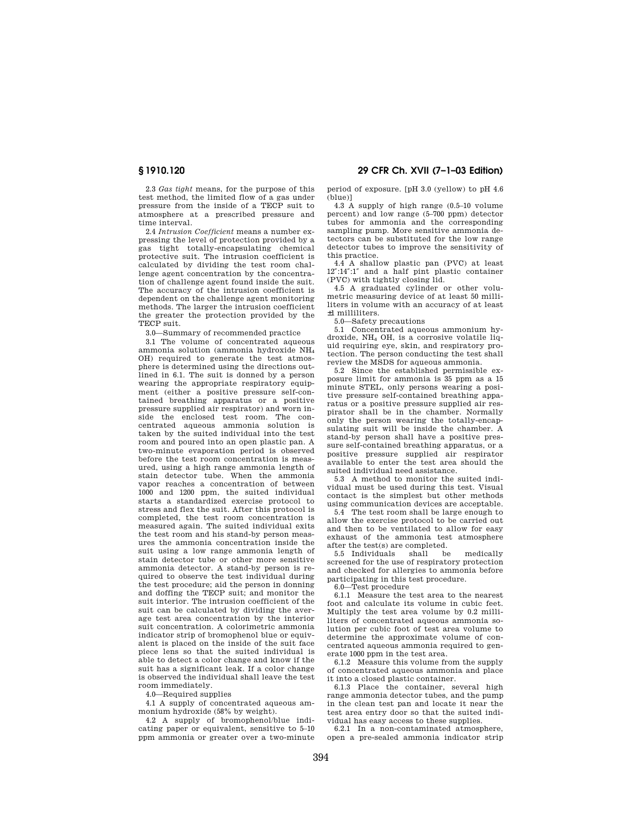2.3 *Gas tight* means, for the purpose of this test method, the limited flow of a gas under pressure from the inside of a TECP suit to atmosphere at a prescribed pressure and time interval.

2.4 *Intrusion Coefficient* means a number expressing the level of protection provided by a gas tight totally-encapsulating chemical protective suit. The intrusion coefficient is calculated by dividing the test room challenge agent concentration by the concentration of challenge agent found inside the suit. The accuracy of the intrusion coefficient is dependent on the challenge agent monitoring methods. The larger the intrusion coefficient the greater the protection provided by the TECP suit.

3.0—Summary of recommended practice

3.1 The volume of concentrated aqueous ammonia solution (ammonia hydroxide NH4 OH) required to generate the test atmosphere is determined using the directions outlined in 6.1. The suit is donned by a person wearing the appropriate respiratory equipment (either a positive pressure self-contained breathing apparatus or a positive pressure supplied air respirator) and worn inside the enclosed test room. The concentrated aqueous ammonia solution is taken by the suited individual into the test room and poured into an open plastic pan. A two-minute evaporation period is observed before the test room concentration is measured, using a high range ammonia length of stain detector tube. When the ammonia vapor reaches a concentration of between 1000 and 1200 ppm, the suited individual starts a standardized exercise protocol to stress and flex the suit. After this protocol is completed, the test room concentration is measured again. The suited individual exits the test room and his stand-by person measures the ammonia concentration inside the suit using a low range ammonia length of stain detector tube or other more sensitive ammonia detector. A stand-by person is required to observe the test individual during the test procedure; aid the person in donning and doffing the TECP suit; and monitor the suit interior. The intrusion coefficient of the suit can be calculated by dividing the average test area concentration by the interior suit concentration. A colorimetric ammonia indicator strip of bromophenol blue or equivalent is placed on the inside of the suit face piece lens so that the suited individual is able to detect a color change and know if the suit has a significant leak. If a color change is observed the individual shall leave the test room immediately.

4.0—Required supplies

4.1 A supply of concentrated aqueous ammonium hydroxide (58% by weight).

4.2 A supply of bromophenol/blue indicating paper or equivalent, sensitive to 5–10 ppm ammonia or greater over a two-minute

**§ 1910.120 29 CFR Ch. XVII (7–1–03 Edition)**

period of exposure. [pH 3.0 (yellow) to pH 4.6 (blue)]

4.3 A supply of high range (0.5–10 volume percent) and low range (5–700 ppm) detector tubes for ammonia and the corresponding sampling pump. More sensitive ammonia detectors can be substituted for the low range detector tubes to improve the sensitivity of this practice.

4.4 A shallow plastic pan (PVC) at least 12″:14″:1″ and a half pint plastic container (PVC) with tightly closing lid.

4.5 A graduated cylinder or other volumetric measuring device of at least 50 milliliters in volume with an accuracy of at least ±1 milliliters.

5.0—Safety precautions

5.1 Concentrated aqueous ammonium hydroxide, NH4 OH, is a corrosive volatile liquid requiring eye, skin, and respiratory protection. The person conducting the test shall review the MSDS for aqueous ammonia.

5.2 Since the established permissible exposure limit for ammonia is 35 ppm as a 15 minute STEL, only persons wearing a positive pressure self-contained breathing apparatus or a positive pressure supplied air respirator shall be in the chamber. Normally only the person wearing the totally-encapsulating suit will be inside the chamber. A stand-by person shall have a positive pressure self-contained breathing apparatus, or a positive pressure supplied air respirator available to enter the test area should the suited individual need assistance.

5.3 A method to monitor the suited individual must be used during this test. Visual contact is the simplest but other methods using communication devices are acceptable.

5.4 The test room shall be large enough to allow the exercise protocol to be carried out and then to be ventilated to allow for easy exhaust of the ammonia test atmosphere after the test(s) are completed.<br>5.5 Individuals shall be

5.5 Individuals shall be medically screened for the use of respiratory protection and checked for allergies to ammonia before participating in this test procedure.

6.0—Test procedure

6.1.1 Measure the test area to the nearest foot and calculate its volume in cubic feet. Multiply the test area volume by 0.2 milliliters of concentrated aqueous ammonia solution per cubic foot of test area volume to determine the approximate volume of concentrated aqueous ammonia required to generate 1000 ppm in the test area.

6.1.2 Measure this volume from the supply of concentrated aqueous ammonia and place it into a closed plastic container.

6.1.3 Place the container, several high range ammonia detector tubes, and the pump in the clean test pan and locate it near the test area entry door so that the suited individual has easy access to these supplies.

6.2.1 In a non-contaminated atmosphere, open a pre-sealed ammonia indicator strip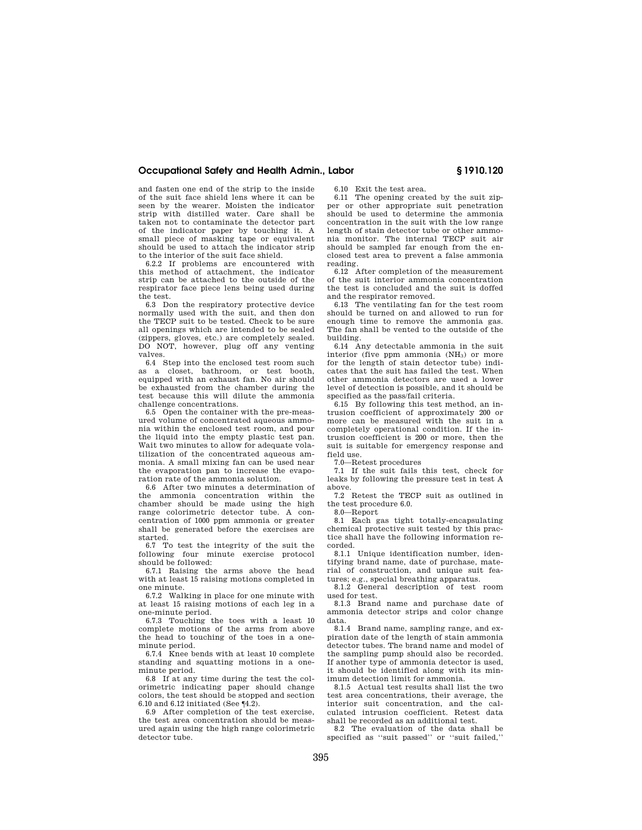and fasten one end of the strip to the inside of the suit face shield lens where it can be seen by the wearer. Moisten the indicator strip with distilled water. Care shall be taken not to contaminate the detector part of the indicator paper by touching it. A small piece of masking tape or equivalent should be used to attach the indicator strip to the interior of the suit face shield.

6.2.2 If problems are encountered with this method of attachment, the indicator strip can be attached to the outside of the respirator face piece lens being used during the test.

6.3 Don the respiratory protective device normally used with the suit, and then don the TECP suit to be tested. Check to be sure all openings which are intended to be sealed (zippers, gloves, etc.) are completely sealed. DO NOT, however, plug off any venting valves.

6.4 Step into the enclosed test room such as a closet, bathroom, or test booth, equipped with an exhaust fan. No air should be exhausted from the chamber during the test because this will dilute the ammonia challenge concentrations.

6.5 Open the container with the pre-measured volume of concentrated aqueous ammonia within the enclosed test room, and pour the liquid into the empty plastic test pan. Wait two minutes to allow for adequate volatilization of the concentrated aqueous ammonia. A small mixing fan can be used near the evaporation pan to increase the evaporation rate of the ammonia solution.

6.6 After two minutes a determination of the ammonia concentration within the chamber should be made using the high range colorimetric detector tube. A concentration of 1000 ppm ammonia or greater shall be generated before the exercises are started.

6.7 To test the integrity of the suit the following four minute exercise protocol should be followed:

6.7.1 Raising the arms above the head with at least 15 raising motions completed in one minute.

6.7.2 Walking in place for one minute with at least 15 raising motions of each leg in a one-minute period.

6.7.3 Touching the toes with a least 10 complete motions of the arms from above the head to touching of the toes in a oneminute period.

6.7.4 Knee bends with at least 10 complete standing and squatting motions in a oneminute period.

6.8 If at any time during the test the colorimetric indicating paper should change colors, the test should be stopped and section 6.10 and 6.12 initiated (See ¶4.2).

6.9 After completion of the test exercise, the test area concentration should be measured again using the high range colorimetric detector tube.

6.10 Exit the test area.

6.11 The opening created by the suit zipper or other appropriate suit penetration should be used to determine the ammonia concentration in the suit with the low range length of stain detector tube or other ammo-nia monitor. The internal TECP suit air should be sampled far enough from the enclosed test area to prevent a false ammonia reading.

6.12 After completion of the measurement of the suit interior ammonia concentration the test is concluded and the suit is doffed and the respirator removed.

6.13 The ventilating fan for the test room should be turned on and allowed to run for enough time to remove the ammonia gas. The fan shall be vented to the outside of the building.

6.14 Any detectable ammonia in the suit interior (five ppm ammonia  $(NH_3)$ ) or more for the length of stain detector tube) indicates that the suit has failed the test. When other ammonia detectors are used a lower level of detection is possible, and it should be specified as the pass/fail criteria.

6.15 By following this test method, an intrusion coefficient of approximately 200 or more can be measured with the suit in a completely operational condition. If the intrusion coefficient is 200 or more, then the suit is suitable for emergency response and field use.

7.0—Retest procedures

7.1 If the suit fails this test, check for leaks by following the pressure test in test A above.

7.2 Retest the TECP suit as outlined in the test procedure 6.0.

8.0—Report

8.1 Each gas tight totally-encapsulating chemical protective suit tested by this practice shall have the following information recorded.

8.1.1 Unique identification number, identifying brand name, date of purchase, material of construction, and unique suit features; e.g., special breathing apparatus.

8.1.2 General description of test room used for test.

8.1.3 Brand name and purchase date of ammonia detector strips and color change data.

8.1.4 Brand name, sampling range, and expiration date of the length of stain ammonia detector tubes. The brand name and model of the sampling pump should also be recorded. If another type of ammonia detector is used, it should be identified along with its minimum detection limit for ammonia.

8.1.5 Actual test results shall list the two test area concentrations, their average, the interior suit concentration, and the calculated intrusion coefficient. Retest data shall be recorded as an additional test.

8.2 The evaluation of the data shall be specified as ''suit passed'' or ''suit failed,''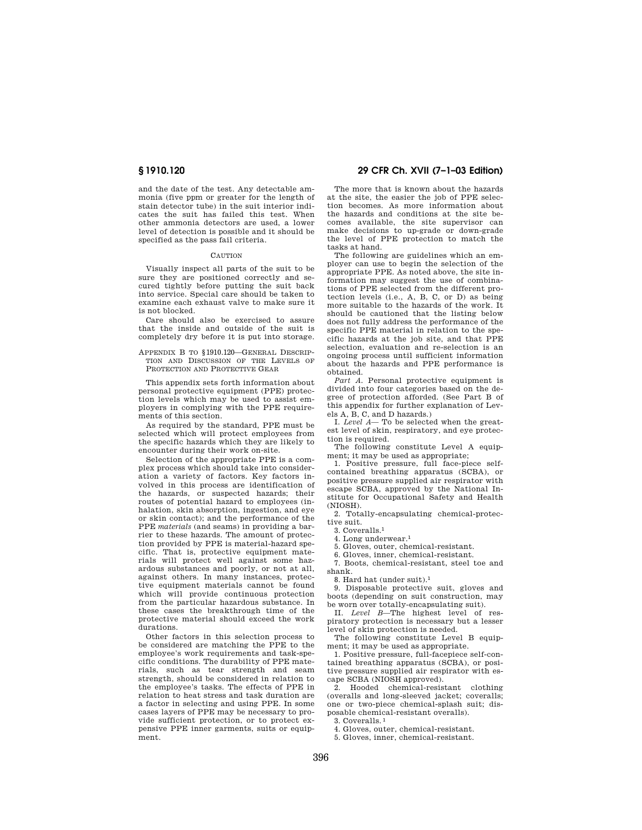and the date of the test. Any detectable ammonia (five ppm or greater for the length of stain detector tube) in the suit interior indicates the suit has failed this test. When other ammonia detectors are used, a lower level of detection is possible and it should be specified as the pass fail criteria.

### CAUTION

Visually inspect all parts of the suit to be sure they are positioned correctly and secured tightly before putting the suit back into service. Special care should be taken to examine each exhaust valve to make sure it is not blocked.

Care should also be exercised to assure that the inside and outside of the suit is completely dry before it is put into storage.

APPENDIX B TO §1910.120—GENERAL DESCRIP-TION AND DISCUSSION OF THE LEVELS OF PROTECTION AND PROTECTIVE GEAR

This appendix sets forth information about personal protective equipment (PPE) protection levels which may be used to assist employers in complying with the PPE requirements of this section.

As required by the standard, PPE must be selected which will protect employees from the specific hazards which they are likely to encounter during their work on-site.

Selection of the appropriate PPE is a complex process which should take into consideration a variety of factors. Key factors involved in this process are identification of the hazards, or suspected hazards; their routes of potential hazard to employees (inhalation, skin absorption, ingestion, and eye or skin contact); and the performance of the PPE *materials* (and seams) in providing a barrier to these hazards. The amount of protection provided by PPE is material-hazard specific. That is, protective equipment materials will protect well against some hazardous substances and poorly, or not at all, against others. In many instances, protective equipment materials cannot be found which will provide continuous protection from the particular hazardous substance. In these cases the breakthrough time of the protective material should exceed the work durations.

Other factors in this selection process to be considered are matching the PPE to the employee's work requirements and task-specific conditions. The durability of PPE materials, such as tear strength and seam strength, should be considered in relation to the employee's tasks. The effects of PPE in relation to heat stress and task duration are a factor in selecting and using PPE. In some cases layers of PPE may be necessary to provide sufficient protection, or to protect expensive PPE inner garments, suits or equipment.

## **§ 1910.120 29 CFR Ch. XVII (7–1–03 Edition)**

The more that is known about the hazards at the site, the easier the job of PPE selection becomes. As more information about the hazards and conditions at the site becomes available, the site supervisor can make decisions to up-grade or down-grade the level of PPE protection to match the tasks at hand.

The following are guidelines which an employer can use to begin the selection of the appropriate PPE. As noted above, the site information may suggest the use of combinations of PPE selected from the different protection levels (i.e., A, B, C, or D) as being more suitable to the hazards of the work. It should be cautioned that the listing below does not fully address the performance of the specific PPE material in relation to the specific hazards at the job site, and that PPE selection, evaluation and re-selection is an ongoing process until sufficient information about the hazards and PPE performance is obtained.

*Part A.* Personal protective equipment is divided into four categories based on the degree of protection afforded. (See Part B of this appendix for further explanation of Levels A, B, C, and D hazards.)

I. *Level A—* To be selected when the greatest level of skin, respiratory, and eye protection is required.

The following constitute Level A equipment; it may be used as appropriate;

1. Positive pressure, full face-piece selfcontained breathing apparatus (SCBA), or positive pressure supplied air respirator with escape SCBA, approved by the National Institute for Occupational Safety and Health (NIOSH).

2. Totally-encapsulating chemical-protective suit.

3. Coveralls.1

4. Long underwear.1

5. Gloves, outer, chemical-resistant. 6. Gloves, inner, chemical-resistant.

7. Boots, chemical-resistant, steel toe and shank.

8. Hard hat (under suit).1

9. Disposable protective suit, gloves and boots (depending on suit construction, may be worn over totally-encapsulating suit).

II. *Level B*—The highest level of respiratory protection is necessary but a lesser level of skin protection is needed.

The following constitute Level B equipment; it may be used as appropriate.

1. Positive pressure, full-facepiece self-contained breathing apparatus (SCBA), or positive pressure supplied air respirator with escape SCBA (NIOSH approved).

2. Hooded chemical-resistant clothing (overalls and long-sleeved jacket; coveralls; one or two-piece chemical-splash suit; disposable chemical-resistant overalls).

3. Coveralls. 1

4. Gloves, outer, chemical-resistant.

5. Gloves, inner, chemical-resistant.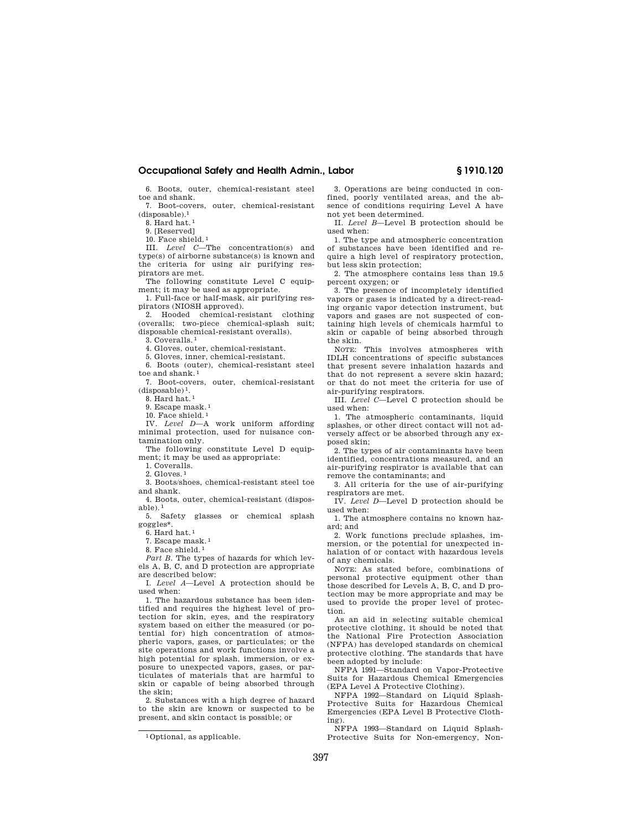6. Boots, outer, chemical-resistant steel toe and shank.

7. Boot-covers, outer, chemical-resistant (disposable).1

8. Hard hat. 1

9. [Reserved]

10. Face shield. 1

III. *Level C*—The concentration(s) and type(s) of airborne substance(s) is known and the criteria for using air purifying respirators are met.

The following constitute Level C equipment; it may be used as appropriate.

1. Full-face or half-mask, air purifying respirators (NIOSH approved).

2. Hooded chemical-resistant clothing (overalls; two-piece chemical-splash suit; disposable chemical-resistant overalls).

3. Coveralls. 1

4. Gloves, outer, chemical-resistant.

5. Gloves, inner, chemical-resistant.

6. Boots (outer), chemical-resistant steel toe and shank. 1

7. Boot-covers, outer, chemical-resistant  $(disposable)<sup>1</sup>$ .

8. Hard hat. 1

9. Escape mask. 1

10. Face shield. 1

IV. *Level D*—A work uniform affording minimal protection, used for nuisance contamination only.

The following constitute Level D equipment; it may be used as appropriate:

1. Coveralls.

2. Gloves. 1

3. Boots/shoes, chemical-resistant steel toe and shank.

4. Boots, outer, chemical-resistant (dispos $able$ ).  $1$ 

5. Safety glasses or chemical splash goggles\*.

6. Hard hat. 1

7. Escape mask. 1

 $8.$  Face shield.  $^{\rm 1}$ 

*Part B.* The types of hazards for which levels A, B, C, and D protection are appropriate are described below:

I. *Level A*—Level A protection should be used when:

1. The hazardous substance has been identified and requires the highest level of protection for skin, eyes, and the respiratory system based on either the measured (or potential for) high concentration of atmospheric vapors, gases, or particulates; or the site operations and work functions involve a high potential for splash, immersion, or exposure to unexpected vapors, gases, or particulates of materials that are harmful to skin or capable of being absorbed through the skin;

2. Substances with a high degree of hazard to the skin are known or suspected to be present, and skin contact is possible; or

3. Operations are being conducted in confined, poorly ventilated areas, and the absence of conditions requiring Level A have not yet been determined.

II. *Level B*—Level B protection should be used when:

1. The type and atmospheric concentration of substances have been identified and require a high level of respiratory protection, but less skin protection;

2. The atmosphere contains less than 19.5 percent oxygen; or

3. The presence of incompletely identified vapors or gases is indicated by a direct-reading organic vapor detection instrument, but vapors and gases are not suspected of containing high levels of chemicals harmful to skin or capable of being absorbed through the skin.

NOTE: This involves atmospheres with IDLH concentrations of specific substances that present severe inhalation hazards and that do not represent a severe skin hazard; or that do not meet the criteria for use of air-purifying respirators.

III. *Level C*—Level C protection should be used when:

1. The atmospheric contaminants, liquid splashes, or other direct contact will not adversely affect or be absorbed through any exposed skin;

2. The types of air contaminants have been identified, concentrations measured, and an air-purifying respirator is available that can remove the contaminants; and

3. All criteria for the use of air-purifying respirators are met.

IV. *Level D*—Level D protection should be used when:

1. The atmosphere contains no known hazard; and

2. Work functions preclude splashes, immersion, or the potential for unexpected inhalation of or contact with hazardous levels of any chemicals.

NOTE: As stated before, combinations of personal protective equipment other than those described for Levels A, B, C, and D protection may be more appropriate and may be used to provide the proper level of protection.

As an aid in selecting suitable chemical protective clothing, it should be noted that the National Fire Protection Association (NFPA) has developed standards on chemical protective clothing. The standards that have been adopted by include:

NFPA 1991—Standard on Vapor-Protective Suits for Hazardous Chemical Emergencies (EPA Level A Protective Clothing).

NFPA 1992—Standard on Liquid Splash-Protective Suits for Hazardous Chemical Emergencies (EPA Level B Protective Clothing).

NFPA 1993—Standard on Liquid Splash-Protective Suits for Non-emergency, Non-

<sup>1</sup>Optional, as applicable.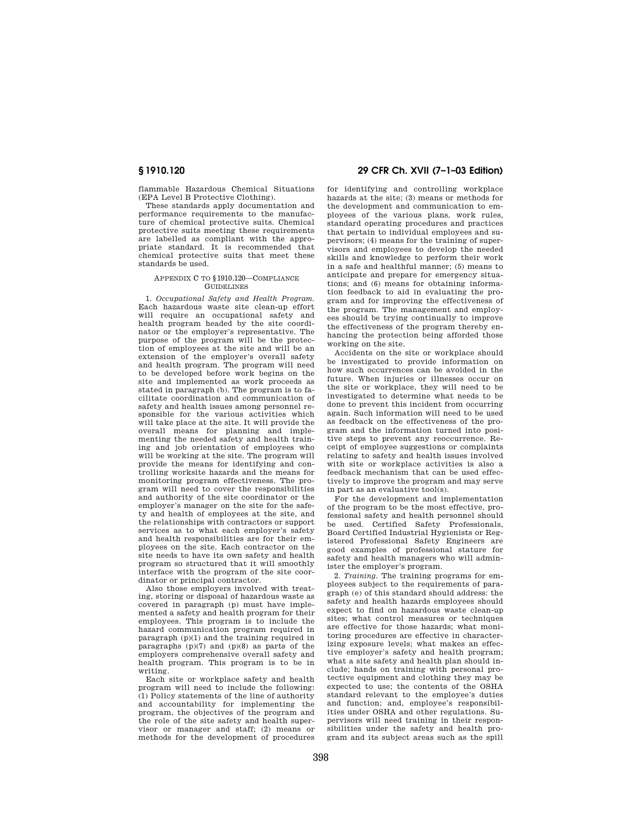flammable Hazardous Chemical Situations (EPA Level B Protective Clothing).

These standards apply documentation and performance requirements to the manufacture of chemical protective suits. Chemical protective suits meeting these requirements are labelled as compliant with the appropriate standard. It is recommended that chemical protective suits that meet these standards be used.

## APPENDIX C TO §1910.120—COMPLIANCE **GUIDELINES**

1. *Occupational Safety and Health Program.* Each hazardous waste site clean-up effort will require an occupational safety and health program headed by the site coordinator or the employer's representative. The purpose of the program will be the protection of employees at the site and will be an extension of the employer's overall safety and health program. The program will need to be developed before work begins on the site and implemented as work proceeds as stated in paragraph (b). The program is to facilitate coordination and communication of safety and health issues among personnel responsible for the various activities which will take place at the site. It will provide the overall means for planning and implementing the needed safety and health training and job orientation of employees who will be working at the site. The program will provide the means for identifying and controlling worksite hazards and the means for monitoring program effectiveness. The program will need to cover the responsibilities and authority of the site coordinator or the employer's manager on the site for the safety and health of employees at the site, and the relationships with contractors or support services as to what each employer's safety and health responsibilities are for their employees on the site. Each contractor on the site needs to have its own safety and health program so structured that it will smoothly interface with the program of the site coordinator or principal contractor.

Also those employers involved with treating, storing or disposal of hazardous waste as covered in paragraph (p) must have implemented a safety and health program for their employees. This program is to include the hazard communication program required in paragraph (p)(1) and the training required in paragraphs (p)(7) and (p)(8) as parts of the employers comprehensive overall safety and health program. This program is to be in writing.

Each site or workplace safety and health program will need to include the following: (1) Policy statements of the line of authority and accountability for implementing the program, the objectives of the program and the role of the site safety and health supervisor or manager and staff; (2) means or methods for the development of procedures

# **§ 1910.120 29 CFR Ch. XVII (7–1–03 Edition)**

for identifying and controlling workplace hazards at the site; (3) means or methods for the development and communication to employees of the various plans, work rules, standard operating procedures and practices that pertain to individual employees and supervisors; (4) means for the training of supervisors and employees to develop the needed skills and knowledge to perform their work in a safe and healthful manner; (5) means to anticipate and prepare for emergency situations; and (6) means for obtaining information feedback to aid in evaluating the program and for improving the effectiveness of the program. The management and employees should be trying continually to improve the effectiveness of the program thereby enhancing the protection being afforded those working on the site.

Accidents on the site or workplace should be investigated to provide information on how such occurrences can be avoided in the future. When injuries or illnesses occur on the site or workplace, they will need to be investigated to determine what needs to be done to prevent this incident from occurring again. Such information will need to be used as feedback on the effectiveness of the program and the information turned into positive steps to prevent any reoccurrence. Receipt of employee suggestions or complaints relating to safety and health issues involved with site or workplace activities is also a feedback mechanism that can be used effectively to improve the program and may serve in part as an evaluative tool(s).

For the development and implementation of the program to be the most effective, professional safety and health personnel should be used. Certified Safety Professionals, Board Certified Industrial Hygienists or Registered Professional Safety Engineers are good examples of professional stature for safety and health managers who will administer the employer's program.

2. *Training.* The training programs for employees subject to the requirements of paragraph (e) of this standard should address: the safety and health hazards employees should expect to find on hazardous waste clean-up sites; what control measures or techniques are effective for those hazards; what monitoring procedures are effective in characterizing exposure levels; what makes an effective employer's safety and health program; what a site safety and health plan should include; hands on training with personal protective equipment and clothing they may be expected to use; the contents of the OSHA standard relevant to the employee's duties and function; and, employee's responsibilities under OSHA and other regulations. Supervisors will need training in their responsibilities under the safety and health program and its subject areas such as the spill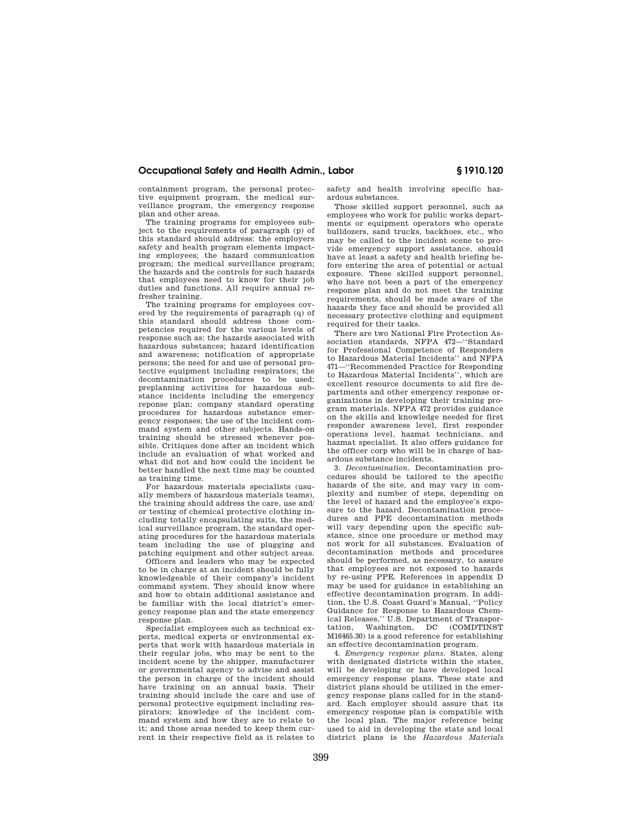containment program, the personal protective equipment program, the medical surveillance program, the emergency response plan and other areas.

The training programs for employees subject to the requirements of paragraph (p) of this standard should address: the employers safety and health program elements impacting employees; the hazard communication program; the medical surveillance program; the hazards and the controls for such hazards that employees need to know for their job duties and functions. All require annual refresher training.

The training programs for employees covered by the requirements of paragraph (q) of this standard should address those competencies required for the various levels of response such as: the hazards associated with hazardous substances; hazard identification and awareness; notification of appropriate persons; the need for and use of personal protective equipment including respirators; the decontamination procedures to be used; preplanning activities for hazardous substance incidents including the emergency reponse plan; company standard operating procedures for hazardous substance emergency responses; the use of the incident command system and other subjects. Hands-on training should be stressed whenever possible. Critiques done after an incident which include an evaluation of what worked and what did not and how could the incident be better handled the next time may be counted as training time.

For hazardous materials specialists (usually members of hazardous materials teams), the training should address the care, use and/ or testing of chemical protective clothing including totally encapsulating suits, the medical surveillance program, the standard operating procedures for the hazardous materials team including the use of plugging and patching equipment and other subject areas.

Officers and leaders who may be expected to be in charge at an incident should be fully knowledgeable of their company's incident command system. They should know where and how to obtain additional assistance and be familiar with the local district's emergency response plan and the state emergency response plan.

Specialist employees such as technical experts, medical experts or environmental experts that work with hazardous materials in their regular jobs, who may be sent to the incident scene by the shipper, manufacturer or governmental agency to advise and assist the person in charge of the incident should have training on an annual basis. Their training should include the care and use of personal protective equipment including respirators; knowledge of the incident command system and how they are to relate to it; and those areas needed to keep them current in their respective field as it relates to

safety and health involving specific hazardous substances.

Those skilled support personnel, such as employees who work for public works departments or equipment operators who operate bulldozers, sand trucks, backhoes, etc., who may be called to the incident scene to provide emergency support assistance, should have at least a safety and health briefing before entering the area of potential or actual exposure. These skilled support personnel, who have not been a part of the emergency response plan and do not meet the training requirements, should be made aware of the hazards they face and should be provided all necessary protective clothing and equipment required for their tasks.

There are two National Fire Protection Association standards, NFPA 472—''Standard for Professional Competence of Responders to Hazardous Material Incidents'' and NFPA 471—''Recommended Practice for Responding to Hazardous Material Incidents'', which are excellent resource documents to aid fire departments and other emergency response organizations in developing their training program materials. NFPA 472 provides guidance on the skills and knowledge needed for first responder awareness level, first responder operations level, hazmat technicians, and hazmat specialist. It also offers guidance for the officer corp who will be in charge of hazardous substance incidents.

3. *Decontamination.* Decontamination procedures should be tailored to the specific hazards of the site, and may vary in complexity and number of steps, depending on the level of hazard and the employee's exposure to the hazard. Decontamination procedures and PPE decontamination methods will vary depending upon the specific substance, since one procedure or method may not work for all substances. Evaluation of decontamination methods and procedures should be performed, as necessary, to assure that employees are not exposed to hazards by re-using PPE. References in appendix D may be used for guidance in establishing an effective decontamination program. In addition, the U.S. Coast Guard's Manual, ''Policy Guidance for Response to Hazardous Chemical Releases,'' U.S. Department of Transportation, Washington, DC (COMDTINST M16465.30) is a good reference for establishing an effective decontamination program.

4. *Emergency response plans.* States, along with designated districts within the states, will be developing or have developed local emergency response plans. These state and district plans should be utilized in the emergency response plans called for in the standard. Each employer should assure that its emergency response plan is compatible with the local plan. The major reference being used to aid in developing the state and local district plans is the *Hazardous Materials*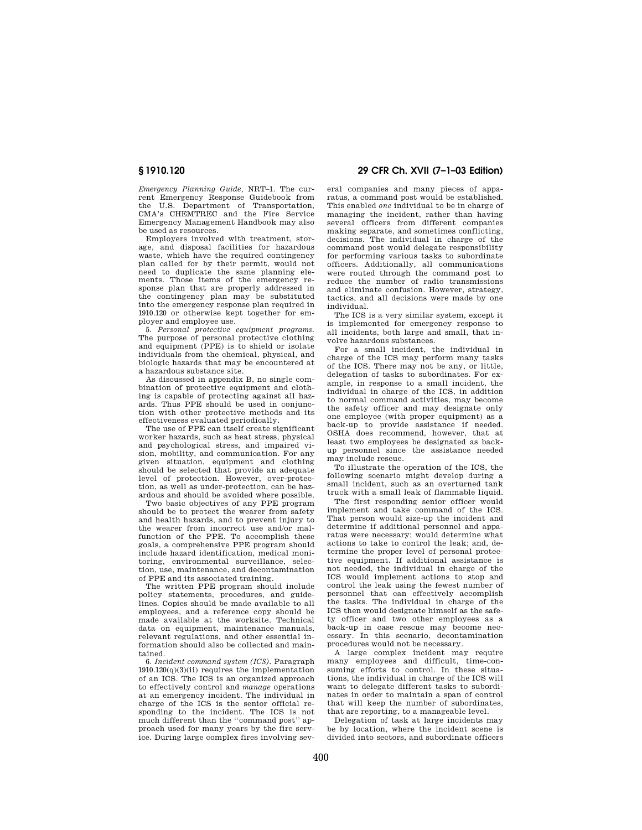*Emergency Planning Guide,* NRT–1. The current Emergency Response Guidebook from the U.S. Department of Transportation, CMA's CHEMTREC and the Fire Service Emergency Management Handbook may also be used as resources.

Employers involved with treatment, storage, and disposal facilities for hazardous waste, which have the required contingency plan called for by their permit, would not need to duplicate the same planning elements. Those items of the emergency response plan that are properly addressed in the contingency plan may be substituted into the emergency response plan required in 1910.120 or otherwise kept together for employer and employee use.

5. *Personal protective equipment programs.* The purpose of personal protective clothing and equipment (PPE) is to shield or isolate individuals from the chemical, physical, and biologic hazards that may be encountered at a hazardous substance site.

As discussed in appendix B, no single combination of protective equipment and clothing is capable of protecting against all hazards. Thus PPE should be used in conjunction with other protective methods and its effectiveness evaluated periodically.

The use of PPE can itself create significant worker hazards, such as heat stress, physical and psychological stress, and impaired vision, mobility, and communication. For any given situation, equipment and clothing should be selected that provide an adequate level of protection. However, over-protection, as well as under-protection, can be hazardous and should be avoided where possible.

Two basic objectives of any PPE program should be to protect the wearer from safety and health hazards, and to prevent injury to the wearer from incorrect use and/or malfunction of the PPE. To accomplish these goals, a comprehensive PPE program should include hazard identification, medical monitoring, environmental surveillance, selection, use, maintenance, and decontamination of PPE and its associated training.

The written PPE program should include policy statements, procedures, and guidelines. Copies should be made available to all employees, and a reference copy should be made available at the worksite. Technical data on equipment, maintenance manuals, relevant regulations, and other essential information should also be collected and maintained.

6. *Incident command system (ICS).* Paragraph  $1910.120(q)(3)(ii)$  requires the implementation of an ICS. The ICS is an organized approach to effectively control and *manage* operations at an emergency incident. The individual in charge of the ICS is the senior official responding to the incident. The ICS is not much different than the ''command post'' approach used for many years by the fire service. During large complex fires involving sev-

**§ 1910.120 29 CFR Ch. XVII (7–1–03 Edition)**

eral companies and many pieces of apparatus, a command post would be established. This enabled *one* individual to be in charge of managing the incident, rather than having several officers from different companies making separate, and sometimes conflicting, decisions. The individual in charge of the command post would delegate responsibility for performing various tasks to subordinate officers. Additionally, all communications were routed through the command post to reduce the number of radio transmissions and eliminate confusion. However, strategy, tactics, and all decisions were made by one individual.

The ICS is a very similar system, except it is implemented for emergency response to all incidents, both large and small, that involve hazardous substances.

For a small incident, the individual in charge of the ICS may perform many tasks of the ICS. There may not be any, or little, delegation of tasks to subordinates. For example, in response to a small incident, the individual in charge of the ICS, in addition to normal command activities, may become the safety officer and may designate only one employee (with proper equipment) as a back-up to provide assistance if needed. OSHA does recommend, however, that at least two employees be designated as backup personnel since the assistance needed may include rescue.

To illustrate the operation of the ICS, the following scenario might develop during a small incident, such as an overturned tank truck with a small leak of flammable liquid.

The first responding senior officer would implement and take command of the ICS. That person would size-up the incident and determine if additional personnel and apparatus were necessary; would determine what actions to take to control the leak; and, determine the proper level of personal protective equipment. If additional assistance is not needed, the individual in charge of the ICS would implement actions to stop and control the leak using the fewest number of personnel that can effectively accomplish the tasks. The individual in charge of the ICS then would designate himself as the safety officer and two other employees as a back-up in case rescue may become necessary. In this scenario, decontamination procedures would not be necessary.

A large complex incident may require many employees and difficult, time-consuming efforts to control. In these situations, the individual in charge of the ICS will want to delegate different tasks to subordinates in order to maintain a span of control that will keep the number of subordinates, that are reporting, to a manageable level.

Delegation of task at large incidents may be by location, where the incident scene is divided into sectors, and subordinate officers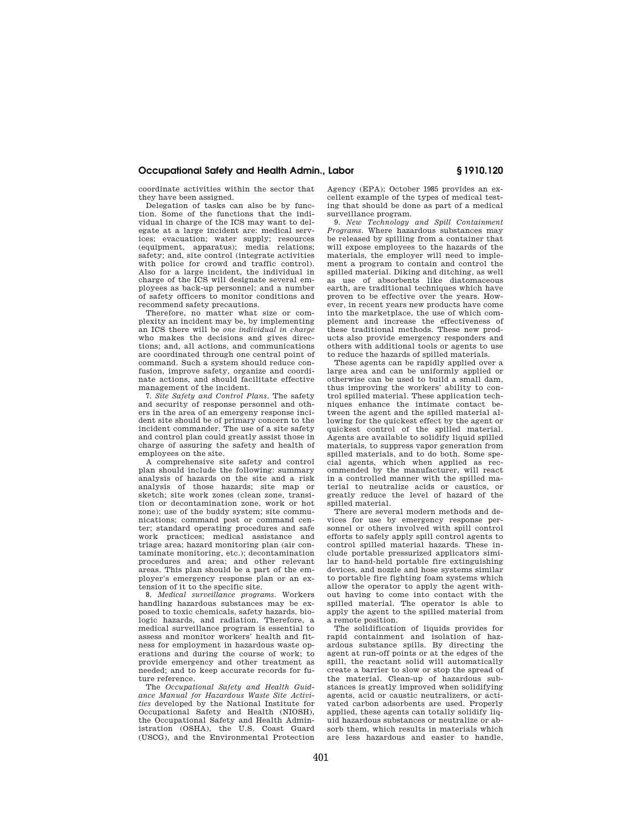coordinate activities within the sector that they have been assigned.

Delegation of tasks can also be by function. Some of the functions that the individual in charge of the ICS may want to delegate at a large incident are: medical services; evacuation; water supply; resources (equipment, apparatus); media relations; safety; and, site control (integrate activities with police for crowd and traffic control). Also for a large incident, the individual in charge of the ICS will designate several employees as back-up personnel; and a number of safety officers to monitor conditions and recommend safety precautions.

Therefore, no matter what size or complexity an incident may be, by implementing an ICS there will be *one individual in charge* who makes the decisions and gives directions; and, all actions, and communications are coordinated through one central point of command. Such a system should reduce confusion, improve safety, organize and coordinate actions, and should facilitate effective management of the incident.

7. *Site Safety and Control Plans.* The safety and security of response personnel and others in the area of an emergeny response incident site should be of primary concern to the incident commander. The use of a site safety and control plan could greatly assist those in charge of assuring the safety and health of employees on the site.

A comprehensive site safety and control plan should include the following: summary analysis of hazards on the site and a risk analysis of those hazards; site map or sketch; site work zones (clean zone, transition or decontamination zone, work or hot zone); use of the buddy system; site communications; command post or command center; standard operating procedures and safe work practices; medical assistance and triage area; hazard monitoring plan (air contaminate monitoring, etc.); decontamination procedures and area; and other relevant areas. This plan should be a part of the employer's emergency response plan or an extension of it to the specific site.

8. *Medical surveillance programs.* Workers handling hazardous substances may be exposed to toxic chemicals, safety hazards, biologic hazards, and radiation. Therefore, a medical surveillance program is essential to assess and monitor workers' health and fitness for employment in hazardous waste operations and during the course of work; to provide emergency and other treatment as needed; and to keep accurate records for future reference.

The *Occupational Safety and Health Guidance Manual for Hazardous Waste Site Activities* developed by the National Institute for Occupational Safety and Health (NIOSH), the Occupational Safety and Health Administration (OSHA), the U.S. Coast Guard (USCG), and the Environmental Protection Agency (EPA); October 1985 provides an excellent example of the types of medical testing that should be done as part of a medical surveillance program.

9. *New Technology and Spill Containment Programs.* Where hazardous substances may be released by spilling from a container that will expose employees to the hazards of the materials, the employer will need to implement a program to contain and control the spilled material. Diking and ditching, as well as use of absorbents like diatomaceous earth, are traditional techniques which have proven to be effective over the years. However, in recent years new products have come into the marketplace, the use of which complement and increase the effectiveness of these traditional methods. These new products also provide emergency responders and others with additional tools or agents to use to reduce the hazards of spilled materials.

These agents can be rapidly applied over a large area and can be uniformly applied or otherwise can be used to build a small dam, thus improving the workers' ability to control spilled material. These application techniques enhance the intimate contact between the agent and the spilled material allowing for the quickest effect by the agent or quickest control of the spilled material. Agents are available to solidify liquid spilled materials, to suppress vapor generation from spilled materials, and to do both. Some special agents, which when applied as recommended by the manufacturer, will react in a controlled manner with the spilled material to neutralize acids or caustics, or greatly reduce the level of hazard of the spilled material.

There are several modern methods and devices for use by emergency response personnel or others involved with spill control efforts to safely apply spill control agents to control spilled material hazards. These include portable pressurized applicators similar to hand-held portable fire extinguishing devices, and nozzle and hose systems similar to portable fire fighting foam systems which allow the operator to apply the agent without having to come into contact with the spilled material. The operator is able to apply the agent to the spilled material from a remote position.

The solidification of liquids provides for rapid containment and isolation of hazardous substance spills. By directing the agent at run-off points or at the edges of the spill, the reactant solid will automatically create a barrier to slow or stop the spread of the material. Clean-up of hazardous substances is greatly improved when solidifying agents, acid or caustic neutralizers, or activated carbon adsorbents are used. Properly applied, these agents can totally solidify liquid hazardous substances or neutralize or absorb them, which results in materials which are less hazardous and easier to handle,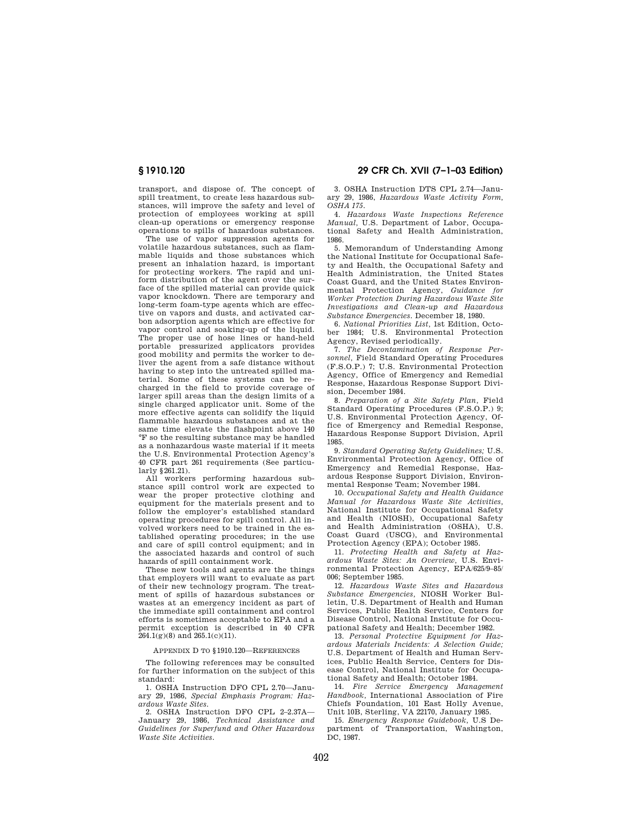transport, and dispose of. The concept of spill treatment, to create less hazardous substances, will improve the safety and level of protection of employees working at spill clean-up operations or emergency response operations to spills of hazardous substances.

The use of vapor suppression agents for volatile hazardous substances, such as flammable liquids and those substances which present an inhalation hazard, is important for protecting workers. The rapid and uniform distribution of the agent over the surface of the spilled material can provide quick vapor knockdown. There are temporary and long-term foam-type agents which are effective on vapors and dusts, and activated carbon adsorption agents which are effective for vapor control and soaking-up of the liquid. The proper use of hose lines or hand-held portable pressurized applicators provides good mobility and permits the worker to de-liver the agent from a safe distance without having to step into the untreated spilled material. Some of these systems can be recharged in the field to provide coverage of larger spill areas than the design limits of a single charged applicator unit. Some of the more effective agents can solidify the liquid flammable hazardous substances and at the same time elevate the flashpoint above 140 °F so the resulting substance may be handled as a nonhazardous waste material if it meets the U.S. Environmental Protection Agency's 40 CFR part 261 requirements (See particularly §261.21).

All workers performing hazardous substance spill control work are expected to wear the proper protective clothing and equipment for the materials present and to follow the employer's established standard operating procedures for spill control. All involved workers need to be trained in the established operating procedures; in the use and care of spill control equipment; and in the associated hazards and control of such hazards of spill containment work.

These new tools and agents are the things that employers will want to evaluate as part of their new technology program. The treatment of spills of hazardous substances or wastes at an emergency incident as part of the immediate spill containment and control efforts is sometimes acceptable to EPA and a permit exception is described in 40 CFR 264.1(g)(8) and 265.1(c)(11).

APPENDIX D TO §1910.120—REFERENCES

The following references may be consulted for further information on the subject of this standard:

1. OSHA Instruction DFO CPL 2.70—January 29, 1986, *Special Emphasis Program: Hazardous Waste Sites.*

2. OSHA Instruction DFO CPL 2–2.37A— January 29, 1986, *Technical Assistance and Guidelines for Superfund and Other Hazardous Waste Site Activities.*

**§ 1910.120 29 CFR Ch. XVII (7–1–03 Edition)**

3. OSHA Instruction DTS CPL 2.74—January 29, 1986, *Hazardous Waste Activity Form, OSHA 175.*

4. *Hazardous Waste Inspections Reference Manual,* U.S. Department of Labor, Occupational Safety and Health Administration, 1986.

5. Memorandum of Understanding Among the National Institute for Occupational Safety and Health, the Occupational Safety and Health Administration, the United States Coast Guard, and the United States Environmental Protection Agency, *Guidance for Worker Protection During Hazardous Waste Site Investigations and Clean-up and Hazardous Substance Emergencies.* December 18, 1980.

6. *National Priorities List,* 1st Edition, October 1984; U.S. Environmental Protection Agency, Revised periodically.

7. *The Decontamination of Response Personnel,* Field Standard Operating Procedures (F.S.O.P.) 7; U.S. Environmental Protection Agency, Office of Emergency and Remedial Response, Hazardous Response Support Division, December 1984.

8. *Preparation of a Site Safety Plan,* Field Standard Operating Procedures (F.S.O.P.) 9; U.S. Environmental Protection Agency, Office of Emergency and Remedial Response, Hazardous Response Support Division, April 1985.

9. *Standard Operating Safety Guidelines;* U.S. Environmental Protection Agency, Office of Emergency and Remedial Response, Hazardous Response Support Division, Environmental Response Team; November 1984.

10. *Occupational Safety and Health Guidance Manual for Hazardous Waste Site Activities,* National Institute for Occupational Safety and Health (NIOSH), Occupational Safety and Health Administration (OSHA), U.S. Coast Guard (USCG), and Environmental Protection Agency (EPA); October 1985.

11. *Protecting Health and Safety at Hazardous Waste Sites: An Overview,* U.S. Environmental Protection Agency, EPA/625/9–85/ 006; September 1985.

12. *Hazardous Waste Sites and Hazardous Substance Emergencies,* NIOSH Worker Bulletin, U.S. Department of Health and Human Services, Public Health Service, Centers for Disease Control, National Institute for Occupational Safety and Health; December 1982.

13. *Personal Protective Equipment for Hazardous Materials Incidents: A Selection Guide;* U.S. Department of Health and Human Services, Public Health Service, Centers for Disease Control, National Institute for Occupational Safety and Health; October 1984.

14. *Fire Service Emergency Management Handbook,* International Association of Fire Chiefs Foundation, 101 East Holly Avenue, Unit 10B, Sterling, VA 22170, January 1985.

15. *Emergency Response Guidebook,* U.S Department of Transportation, Washington, DC, 1987.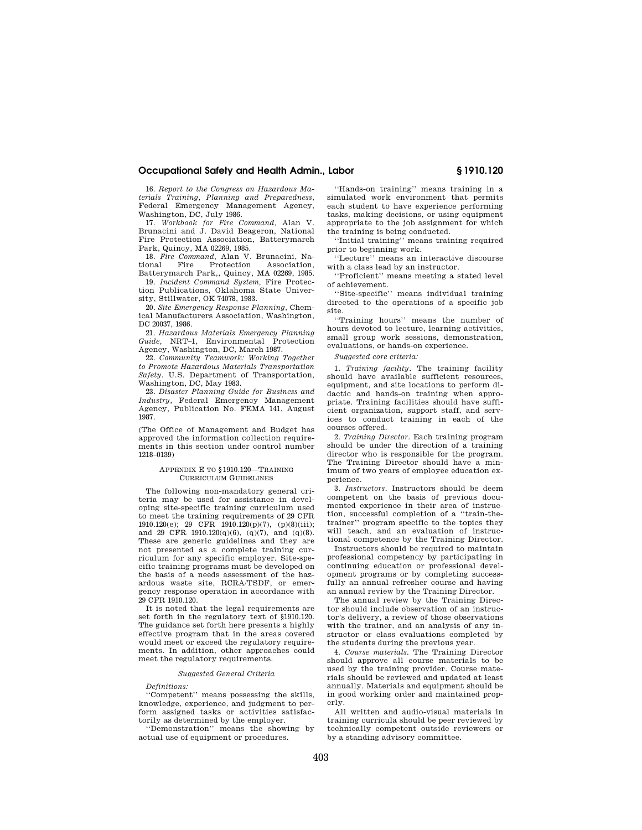16. *Report to the Congress on Hazardous Materials Training, Planning and Preparedness,* Federal Emergency Management Agency, Washington, DC, July 1986.

17. *Workbook for Fire Command,* Alan V. Brunacini and J. David Beageron, National Fire Protection Association, Batterymarch Park, Quincy, MA 02269, 1985.

18. *Fire Command,* Alan V. Brunacini, National Fire Protection Association, Batterymarch Park,, Quincy, MA 02269, 1985.

19. *Incident Command System,* Fire Protection Publications, Oklahoma State University, Stillwater, OK 74078, 1983.

20. *Site Emergency Response Planning,* Chemical Manufacturers Association, Washington, DC 20037, 1986.

21. *Hazardous Materials Emergency Planning Guide,* NRT–1, Environmental Protection Agency, Washington, DC, March 1987.

22. *Community Teamwork: Working Together to Promote Hazardous Materials Transportation Safety.* U.S. Department of Transportation, Washington, DC, May 1983.

23. *Disaster Planning Guide for Business and Industry,* Federal Emergency Management Agency, Publication No. FEMA 141, August 1987.

(The Office of Management and Budget has approved the information collection requirements in this section under control number 1218–0139)

## APPENDIX E TO §1910.120—TRAINING CURRICULUM GUIDELINES

The following non-mandatory general criteria may be used for assistance in developing site-specific training curriculum used to meet the training requirements of 29 CFR 1910.120(e); 29 CFR 1910.120(p)(7), (p)(8)(iii); and 29 CFR 1910.120 $(q)(6)$ ,  $(q)(7)$ , and  $(q)(8)$ . These are generic guidelines and they are not presented as a complete training curriculum for any specific employer. Site-specific training programs must be developed on the basis of a needs assessment of the hazardous waste site, RCRA/TSDF, or emergency response operation in accordance with 29 CFR 1910.120.

It is noted that the legal requirements are set forth in the regulatory text of §1910.120. The guidance set forth here presents a highly effective program that in the areas covered would meet or exceed the regulatory requirements. In addition, other approaches could meet the regulatory requirements.

### *Suggested General Criteria*

*Definitions:*

''Competent'' means possessing the skills, knowledge, experience, and judgment to perform assigned tasks or activities satisfactorily as determined by the employer.

''Demonstration'' means the showing by actual use of equipment or procedures.

''Hands-on training'' means training in a simulated work environment that permits each student to have experience performing tasks, making decisions, or using equipment appropriate to the job assignment for which the training is being conducted.

''Initial training'' means training required prior to beginning work.

''Lecture'' means an interactive discourse with a class lead by an instructor.

''Proficient'' means meeting a stated level of achievement.

''Site-specific'' means individual training directed to the operations of a specific job site.

''Training hours'' means the number of hours devoted to lecture, learning activities, small group work sessions, demonstration, evaluations, or hands-on experience.

*Suggested core criteria:*

1. *Training facility*. The training facility should have available sufficient resources, equipment, and site locations to perform didactic and hands-on training when appropriate. Training facilities should have sufficient organization, support staff, and services to conduct training in each of the courses offered.

2. *Training Director*. Each training program should be under the direction of a training director who is responsible for the program. The Training Director should have a minimum of two years of employee education experience.

3. *Instructors*. Instructors should be deem competent on the basis of previous documented experience in their area of instruction, successful completion of a ''train-thetrainer'' program specific to the topics they will teach, and an evaluation of instructional competence by the Training Director.

Instructors should be required to maintain professional competency by participating in continuing education or professional development programs or by completing successfully an annual refresher course and having an annual review by the Training Director.

The annual review by the Training Director should include observation of an instructor's delivery, a review of those observations with the trainer, and an analysis of any instructor or class evaluations completed by the students during the previous year.

4. *Course materials*. The Training Director should approve all course materials to be used by the training provider. Course materials should be reviewed and updated at least annually. Materials and equipment should be in good working order and maintained properly.

All written and audio-visual materials in training curricula should be peer reviewed by technically competent outside reviewers or by a standing advisory committee.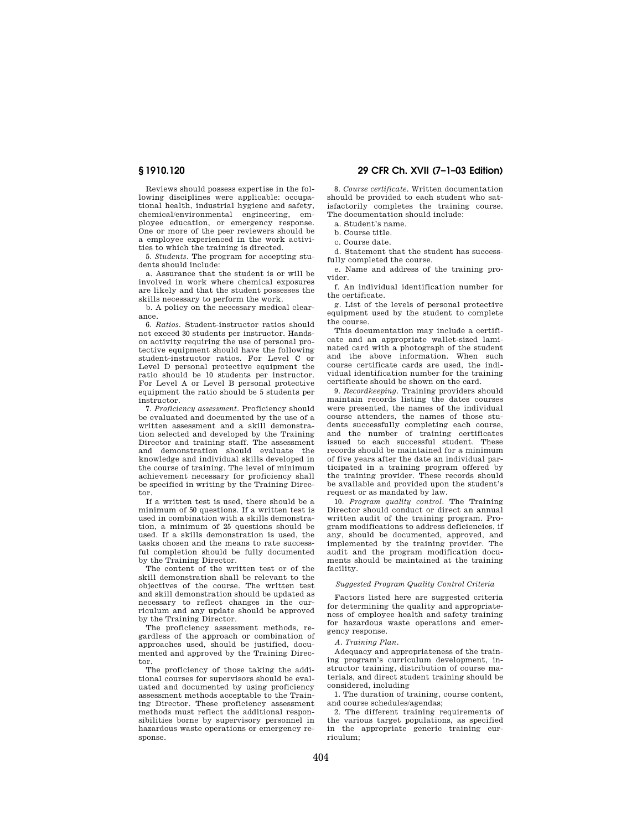Reviews should possess expertise in the following disciplines were applicable: occupational health, industrial hygiene and safety, chemical/environmental engineering, employee education, or emergency response. One or more of the peer reviewers should be a employee experienced in the work activities to which the training is directed.

5. *Students*. The program for accepting students should include:

a. Assurance that the student is or will be involved in work where chemical exposures are likely and that the student possesses the skills necessary to perform the work.

b. A policy on the necessary medical clearance.

6. *Ratios*. Student-instructor ratios should not exceed 30 students per instructor. Handson activity requiring the use of personal protective equipment should have the following student-instructor ratios. For Level C or Level D personal protective equipment the ratio should be 10 students per instructor. For Level A or Level B personal protective equipment the ratio should be 5 students per instructor.

7. *Proficiency assessment*. Proficiency should be evaluated and documented by the use of a written assessment and a skill demonstration selected and developed by the Training Director and training staff. The assessment and demonstration should evaluate the knowledge and individual skills developed in the course of training. The level of minimum achievement necessary for proficiency shall be specified in writing by the Training Director.

If a written test is used, there should be a minimum of 50 questions. If a written test is used in combination with a skills demonstration, a minimum of 25 questions should be used. If a skills demonstration is used, the tasks chosen and the means to rate successful completion should be fully documented by the Training Director.

The content of the written test or of the skill demonstration shall be relevant to the objectives of the course. The written test and skill demonstration should be updated as necessary to reflect changes in the curriculum and any update should be approved by the Training Director.

The proficiency assessment methods, regardless of the approach or combination of approaches used, should be justified, documented and approved by the Training Director.

The proficiency of those taking the additional courses for supervisors should be evaluated and documented by using proficiency assessment methods acceptable to the Training Director. These proficiency assessment methods must reflect the additional responsibilities borne by supervisory personnel in hazardous waste operations or emergency response.

# **§ 1910.120 29 CFR Ch. XVII (7–1–03 Edition)**

8. *Course certificate*. Written documentation should be provided to each student who satisfactorily completes the training course. The documentation should include:

a. Student's name.

b. Course title.

c. Course date.

d. Statement that the student has successfully completed the course.

e. Name and address of the training provider.

f. An individual identification number for the certificate.

g. List of the levels of personal protective equipment used by the student to complete the course.

This documentation may include a certificate and an appropriate wallet-sized laminated card with a photograph of the student and the above information. When such course certificate cards are used, the individual identification number for the training certificate should be shown on the card.

9. *Recordkeeping*. Training providers should maintain records listing the dates courses were presented, the names of the individual course attenders, the names of those students successfully completing each course, and the number of training certificates issued to each successful student. These records should be maintained for a minimum of five years after the date an individual participated in a training program offered by the training provider. These records should be available and provided upon the student's request or as mandated by law.

10. *Program quality control*. The Training Director should conduct or direct an annual written audit of the training program. Program modifications to address deficiencies, if any, should be documented, approved, and implemented by the training provider. The audit and the program modification documents should be maintained at the training facility.

### *Suggested Program Quality Control Criteria*

Factors listed here are suggested criteria for determining the quality and appropriateness of employee health and safety training for hazardous waste operations and emergency response.

### *A. Training Plan.*

Adequacy and appropriateness of the training program's curriculum development, instructor training, distribution of course materials, and direct student training should be considered, including

1. The duration of training, course content, and course schedules/agendas;

2. The different training requirements of the various target populations, as specified in the appropriate generic training curriculum;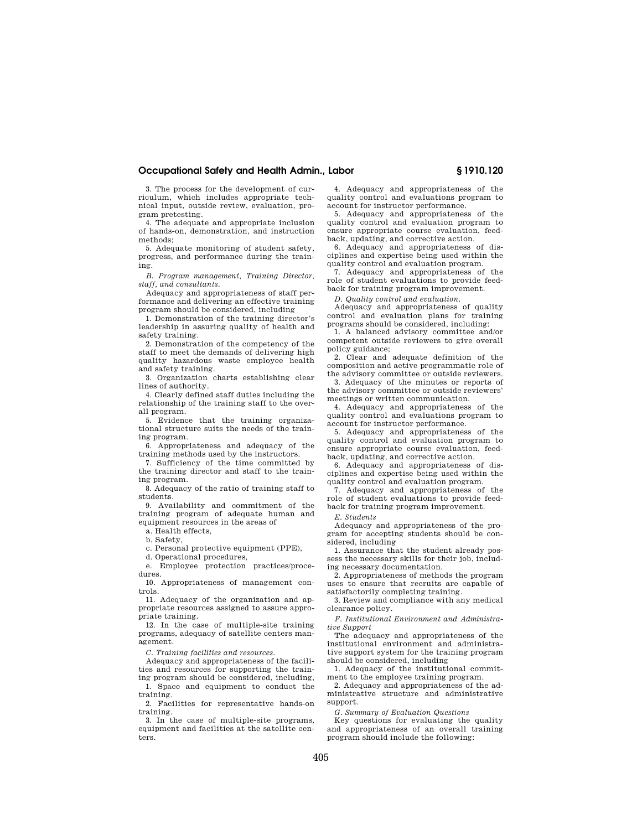3. The process for the development of curriculum, which includes appropriate technical input, outside review, evaluation, program pretesting.

4. The adequate and appropriate inclusion of hands-on, demonstration, and instruction methods;

5. Adequate monitoring of student safety, progress, and performance during the training.

*B. Program management, Training Director, staff, and consultants.*

Adequacy and appropriateness of staff performance and delivering an effective training program should be considered, including

1. Demonstration of the training director's leadership in assuring quality of health and safety training.

2. Demonstration of the competency of the staff to meet the demands of delivering high quality hazardous waste employee health and safety training.

3. Organization charts establishing clear lines of authority.

4. Clearly defined staff duties including the relationship of the training staff to the overall program.

5. Evidence that the training organizational structure suits the needs of the training program.

6. Appropriateness and adequacy of the training methods used by the instructors.

7. Sufficiency of the time committed by the training director and staff to the training program.

8. Adequacy of the ratio of training staff to students.

9. Availability and commitment of the training program of adequate human and equipment resources in the areas of

a. Health effects,

b. Safety,

c. Personal protective equipment (PPE),

d. Operational procedures,

e. Employee protection practices/proce-

dures. 10. Appropriateness of management controls.

11. Adequacy of the organization and appropriate resources assigned to assure appropriate training.

12. In the case of multiple-site training programs, adequacy of satellite centers management.

*C. Training facilities and resources.*

Adequacy and appropriateness of the facilities and resources for supporting the training program should be considered, including,

1. Space and equipment to conduct the training.

2. Facilities for representative hands-on training.

3. In the case of multiple-site programs, equipment and facilities at the satellite centers.

4. Adequacy and appropriateness of the quality control and evaluations program to account for instructor performance.

5. Adequacy and appropriateness of the quality control and evaluation program to ensure appropriate course evaluation, feedback, updating, and corrective action.

6. Adequacy and appropriateness of disciplines and expertise being used within the quality control and evaluation program.

7. Adequacy and appropriateness of the role of student evaluations to provide feedback for training program improvement.

*D. Quality control and evaluation.*

Adequacy and appropriateness of quality control and evaluation plans for training programs should be considered, including:

1. A balanced advisory committee and/or competent outside reviewers to give overall policy guidance;

2. Clear and adequate definition of the composition and active programmatic role of the advisory committee or outside reviewers.

3. Adequacy of the minutes or reports of the advisory committee or outside reviewers' meetings or written communication.

4. Adequacy and appropriateness of the quality control and evaluations program to account for instructor performance.

5. Adequacy and appropriateness of the quality control and evaluation program to ensure appropriate course evaluation, feedback, updating, and corrective action.

6. Adequacy and appropriateness of disciplines and expertise being used within the quality control and evaluation program.

7. Adequacy and appropriateness of the role of student evaluations to provide feedback for training program improvement.

*E. Students*

Adequacy and appropriateness of the program for accepting students should be considered, including

1. Assurance that the student already possess the necessary skills for their job, including necessary documentation.

2. Appropriateness of methods the program uses to ensure that recruits are capable of satisfactorily completing training.

3. Review and compliance with any medical clearance policy.

*F. Institutional Environment and Administrative Support*

The adequacy and appropriateness of the institutional environment and administrative support system for the training program should be considered, including

1. Adequacy of the institutional commitment to the employee training program.

2. Adequacy and appropriateness of the administrative structure and administrative support.

*G. Summary of Evaluation Questions*

Key questions for evaluating the quality and appropriateness of an overall training program should include the following: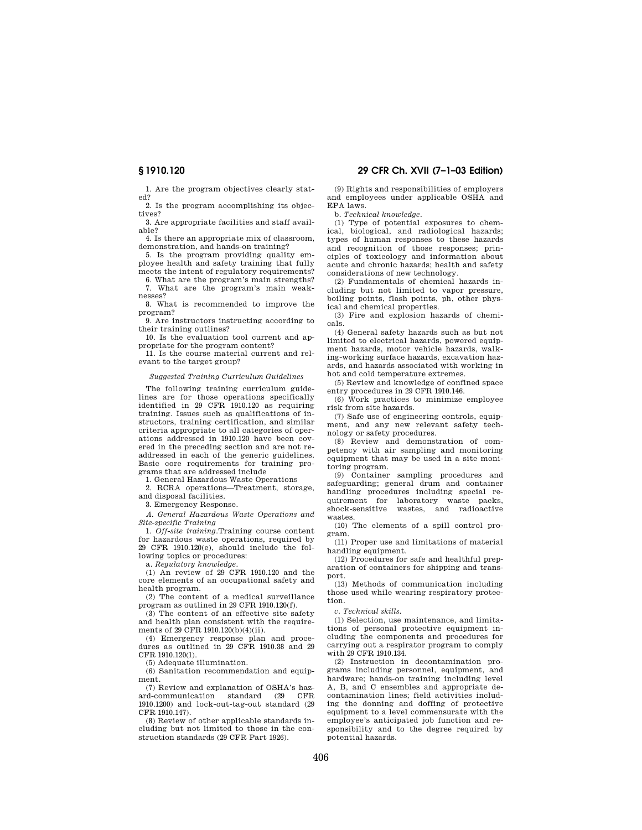1. Are the program objectives clearly stated?

2. Is the program accomplishing its objectives?

3. Are appropriate facilities and staff available?

4. Is there an appropriate mix of classroom, demonstration, and hands-on training?

5. Is the program providing quality employee health and safety training that fully meets the intent of regulatory requirements?

6. What are the program's main strengths? 7. What are the program's main weak-

nesses? 8. What is recommended to improve the

program? 9. Are instructors instructing according to

their training outlines? 10. Is the evaluation tool current and ap-

propriate for the program content?

11. Is the course material current and relevant to the target group?

## *Suggested Training Curriculum Guidelines*

The following training curriculum guidelines are for those operations specifically identified in 29 CFR 1910.120 as requiring training. Issues such as qualifications of instructors, training certification, and similar criteria appropriate to all categories of operations addressed in 1910.120 have been covered in the preceding section and are not readdressed in each of the generic guidelines. Basic core requirements for training programs that are addressed include

1. General Hazardous Waste Operations

2. RCRA operations—Treatment, storage, and disposal facilities.

3. Emergency Response.

*A. General Hazardous Waste Operations and Site-specific Training*

1. *Off-site training*.Training course content for hazardous waste operations, required by 29 CFR 1910.120(e), should include the following topics or procedures:

a. *Regulatory knowledge*.

(1) An review of 29 CFR 1910.120 and the core elements of an occupational safety and health program.

(2) The content of a medical surveillance program as outlined in 29 CFR 1910.120(f).

(3) The content of an effective site safety and health plan consistent with the requirements of 29 CFR 1910.120(b)(4)(ii).

(4) Emergency response plan and procedures as outlined in 29 CFR 1910.38 and 29 CFR 1910.120(l).

(5) Adequate illumination.

(6) Sanitation recommendation and equipment.

(7) Review and explanation of OSHA's hazard-communication standard (29 CFR 1910.1200) and lock-out-tag-out standard (29 CFR 1910.147).

(8) Review of other applicable standards including but not limited to those in the construction standards (29 CFR Part 1926).

**§ 1910.120 29 CFR Ch. XVII (7–1–03 Edition)**

(9) Rights and responsibilities of employers and employees under applicable OSHA and EPA laws.

b. *Technical knowledge*.

(1) Type of potential exposures to chemical, biological, and radiological hazards; types of human responses to these hazards and recognition of those responses; principles of toxicology and information about acute and chronic hazards; health and safety considerations of new technology.

(2) Fundamentals of chemical hazards including but not limited to vapor pressure, boiling points, flash points, ph, other physical and chemical properties.

(3) Fire and explosion hazards of chemicals.

(4) General safety hazards such as but not limited to electrical hazards, powered equipment hazards, motor vehicle hazards, walking-working surface hazards, excavation hazards, and hazards associated with working in hot and cold temperature extremes.

(5) Review and knowledge of confined space entry procedures in 29 CFR 1910.146.

(6) Work practices to minimize employee risk from site hazards.

(7) Safe use of engineering controls, equipment, and any new relevant safety technology or safety procedures.

(8) Review and demonstration of competency with air sampling and monitoring equipment that may be used in a site monitoring program.

(9) Container sampling procedures and safeguarding; general drum and container handling procedures including special requirement for laboratory waste packs, shock-sensitive wastes, and radioactive wastes.

(10) The elements of a spill control program.

(11) Proper use and limitations of material handling equipment.

(12) Procedures for safe and healthful preparation of containers for shipping and transport.

(13) Methods of communication including those used while wearing respiratory protection.

*c. Technical skills.*

(1) Selection, use maintenance, and limitations of personal protective equipment including the components and procedures for carrying out a respirator program to comply with 29 CFR 1910.134.

(2) Instruction in decontamination programs including personnel, equipment, and hardware; hands-on training including level A, B, and C ensembles and appropriate decontamination lines; field activities including the donning and doffing of protective equipment to a level commensurate with the employee's anticipated job function and responsibility and to the degree required by potential hazards.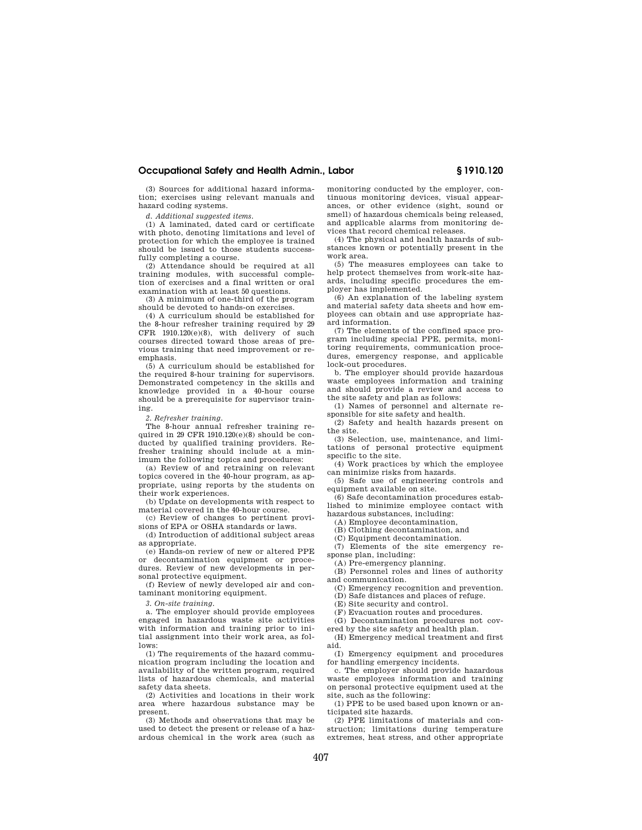(3) Sources for additional hazard information; exercises using relevant manuals and hazard coding systems.

*d. Additional suggested items.*

(1) A laminated, dated card or certificate with photo, denoting limitations and level of protection for which the employee is trained should be issued to those students successfully completing a course.

(2) Attendance should be required at all training modules, with successful completion of exercises and a final written or oral examination with at least 50 questions.

(3) A minimum of one-third of the program should be devoted to hands-on exercises.

(4) A curriculum should be established for the 8-hour refresher training required by 29 CFR 1910.120(e)(8), with delivery of such courses directed toward those areas of previous training that need improvement or reemphasis.

(5) A curriculum should be established for the required 8-hour training for supervisors. Demonstrated competency in the skills and knowledge provided in a 40-hour course should be a prerequisite for supervisor training.

*2. Refresher training.*

The 8-hour annual refresher training required in 29 CFR  $1910.120(e)(8)$  should be conducted by qualified training providers. Refresher training should include at a minimum the following topics and procedures:

(a) Review of and retraining on relevant topics covered in the 40-hour program, as appropriate, using reports by the students on their work experiences.

(b) Update on developments with respect to material covered in the 40-hour course.

(c) Review of changes to pertinent provisions of EPA or OSHA standards or laws.

(d) Introduction of additional subject areas as appropriate.

(e) Hands-on review of new or altered PPE or decontamination equipment or procedures. Review of new developments in personal protective equipment.

(f) Review of newly developed air and contaminant monitoring equipment.

*3. On-site training.*

a. The employer should provide employees engaged in hazardous waste site activities with information and training prior to initial assignment into their work area, as follows:

(1) The requirements of the hazard communication program including the location and availability of the written program, required lists of hazardous chemicals, and material safety data sheets.

(2) Activities and locations in their work area where hazardous substance may be present.

(3) Methods and observations that may be used to detect the present or release of a hazardous chemical in the work area (such as

monitoring conducted by the employer, continuous monitoring devices, visual appearances, or other evidence (sight, sound or smell) of hazardous chemicals being released, and applicable alarms from monitoring devices that record chemical releases.

(4) The physical and health hazards of substances known or potentially present in the work area.

(5) The measures employees can take to help protect themselves from work-site hazards, including specific procedures the employer has implemented.

(6) An explanation of the labeling system and material safety data sheets and how employees can obtain and use appropriate hazard information.

(7) The elements of the confined space program including special PPE, permits, monitoring requirements, communication procedures, emergency response, and applicable lock-out procedures.

b. The employer should provide hazardous waste employees information and training and should provide a review and access to the site safety and plan as follows:

(1) Names of personnel and alternate responsible for site safety and health.

(2) Safety and health hazards present on the site.

(3) Selection, use, maintenance, and limitations of personal protective equipment specific to the site.

(4) Work practices by which the employee can minimize risks from hazards.

(5) Safe use of engineering controls and equipment available on site.

(6) Safe decontamination procedures established to minimize employee contact with hazardous substances, including:

(A) Employee decontamination,

(B) Clothing decontamination, and

(C) Equipment decontamination.

(7) Elements of the site emergency response plan, including:

(A) Pre-emergency planning.

(B) Personnel roles and lines of authority and communication.

(C) Emergency recognition and prevention.

(D) Safe distances and places of refuge.

(E) Site security and control. (F) Evacuation routes and procedures.

(G) Decontamination procedures not covered by the site safety and health plan.

(H) Emergency medical treatment and first aid.

(I) Emergency equipment and procedures for handling emergency incidents.

c. The employer should provide hazardous waste employees information and training on personal protective equipment used at the site, such as the following:

(1) PPE to be used based upon known or anticipated site hazards.

(2) PPE limitations of materials and construction; limitations during temperature extremes, heat stress, and other appropriate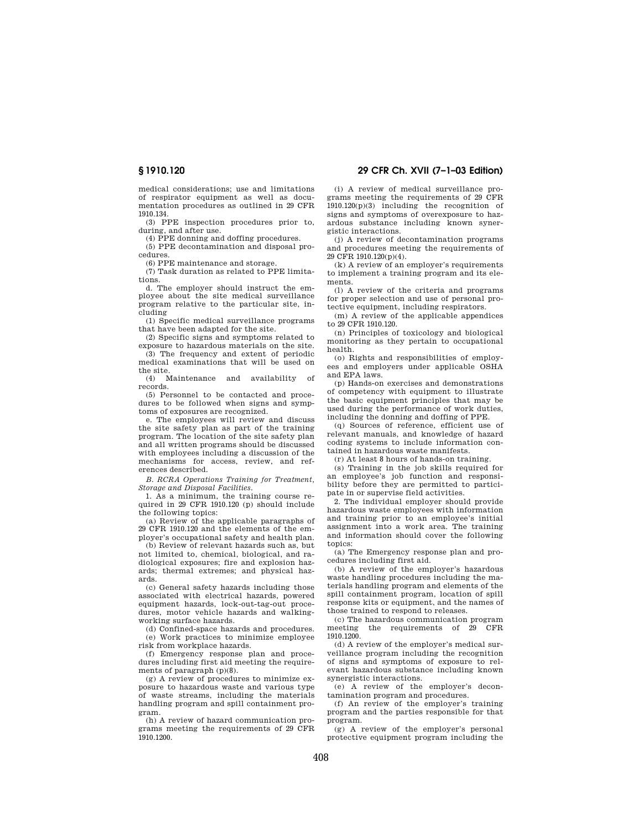medical considerations; use and limitations of respirator equipment as well as documentation procedures as outlined in 29 CFR 1910.134.

(3) PPE inspection procedures prior to, during, and after use.

(4) PPE donning and doffing procedures. (5) PPE decontamination and disposal procedures.

(6) PPE maintenance and storage.

(7) Task duration as related to PPE limitations.

d. The employer should instruct the employee about the site medical surveillance program relative to the particular site, including

(1) Specific medical surveillance programs that have been adapted for the site.

(2) Specific signs and symptoms related to exposure to hazardous materials on the site. (3) The frequency and extent of periodic

medical examinations that will be used on the site.<br>(4)  $\bar{N}$ 

Maintenance and availability records.

(5) Personnel to be contacted and procedures to be followed when signs and symptoms of exposures are recognized.

e. The employees will review and discuss the site safety plan as part of the training program. The location of the site safety plan and all written programs should be discussed with employees including a discussion of the mechanisms for access, review, and references described.

*B. RCRA Operations Training for Treatment, Storage and Disposal Facilities.*

1. As a minimum, the training course required in 29 CFR 1910.120 (p) should include the following topics:

(a) Review of the applicable paragraphs of 29 CFR 1910.120 and the elements of the employer's occupational safety and health plan.

(b) Review of relevant hazards such as, but not limited to, chemical, biological, and radiological exposures; fire and explosion hazards; thermal extremes; and physical hazards.

(c) General safety hazards including those associated with electrical hazards, powered equipment hazards, lock-out-tag-out procedures, motor vehicle hazards and walkingworking surface hazards.

(d) Confined-space hazards and procedures. (e) Work practices to minimize employee risk from workplace hazards.

(f) Emergency response plan and procedures including first aid meeting the requirements of paragraph (p)(8).

(g) A review of procedures to minimize exposure to hazardous waste and various type of waste streams, including the materials handling program and spill containment program.

(h) A review of hazard communication programs meeting the requirements of 29 CFR 1910.1200.

**§ 1910.120 29 CFR Ch. XVII (7–1–03 Edition)**

(i) A review of medical surveillance programs meeting the requirements of 29 CFR 1910.120(p)(3) including the recognition of signs and symptoms of overexposure to hazardous substance including known synergistic interactions.

(j) A review of decontamination programs and procedures meeting the requirements of 29 CFR 1910.120(p)(4).

(k) A review of an employer's requirements to implement a training program and its elements.

(l) A review of the criteria and programs for proper selection and use of personal protective equipment, including respirators.

(m) A review of the applicable appendices to 29 CFR 1910.120.

(n) Principles of toxicology and biological monitoring as they pertain to occupational health.

(o) Rights and responsibilities of employees and employers under applicable OSHA and EPA laws.

(p) Hands-on exercises and demonstrations of competency with equipment to illustrate the basic equipment principles that may be used during the performance of work duties, including the donning and doffing of PPE.

(q) Sources of reference, efficient use of relevant manuals, and knowledge of hazard coding systems to include information contained in hazardous waste manifests.

(r) At least 8 hours of hands-on training.

(s) Training in the job skills required for an employee's job function and responsibility before they are permitted to participate in or supervise field activities.

2. The individual employer should provide hazardous waste employees with information and training prior to an employee's initial assignment into a work area. The training and information should cover the following topics:

(a) The Emergency response plan and procedures including first aid.

(b) A review of the employer's hazardous waste handling procedures including the materials handling program and elements of the spill containment program, location of spill response kits or equipment, and the names of those trained to respond to releases.

(c) The hazardous communication program meeting the requirements of 29 CFR 1910.1200.

(d) A review of the employer's medical surveillance program including the recognition of signs and symptoms of exposure to relevant hazardous substance including known synergistic interactions.

(e) A review of the employer's decontamination program and procedures.

(f) An review of the employer's training program and the parties responsible for that program.

(g) A review of the employer's personal protective equipment program including the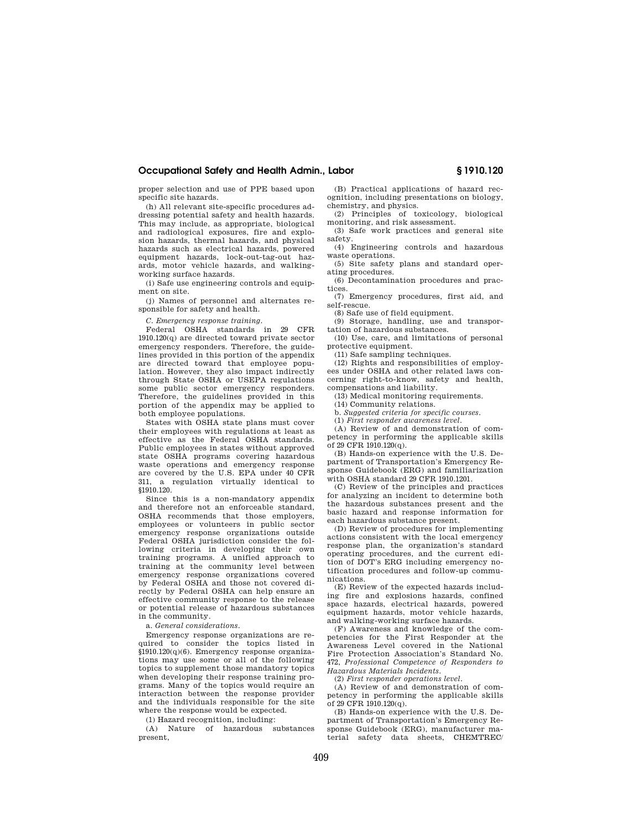proper selection and use of PPE based upon specific site hazards.

(h) All relevant site-specific procedures addressing potential safety and health hazards. This may include, as appropriate, biological and radiological exposures, fire and explosion hazards, thermal hazards, and physical hazards such as electrical hazards, powered equipment hazards, lock-out-tag-out hazards, motor vehicle hazards, and walkingworking surface hazards.

(i) Safe use engineering controls and equipment on site.

(j) Names of personnel and alternates responsible for safety and health.

*C. Emergency response training.*

Federal OSHA standards in 29 CFR 1910.120(q) are directed toward private sector emergency responders. Therefore, the guidelines provided in this portion of the appendix are directed toward that employee population. However, they also impact indirectly through State OSHA or USEPA regulations some public sector emergency responders. Therefore, the guidelines provided in this portion of the appendix may be applied to both employee populations.

States with OSHA state plans must cover their employees with regulations at least as effective as the Federal OSHA standards. Public employees in states without approved state OSHA programs covering hazardous waste operations and emergency response are covered by the U.S. EPA under 40 CFR 311, a regulation virtually identical to §1910.120.

Since this is a non-mandatory appendix and therefore not an enforceable standard, OSHA recommends that those employers, employees or volunteers in public sector emergency response organizations outside Federal OSHA jurisdiction consider the following criteria in developing their own training programs. A unified approach to training at the community level between emergency response organizations covered by Federal OSHA and those not covered directly by Federal OSHA can help ensure an effective community response to the release or potential release of hazardous substances in the community.

a. *General considerations*.

Emergency response organizations are required to consider the topics listed in §1910.120(q)(6). Emergency response organizations may use some or all of the following topics to supplement those mandatory topics when developing their response training programs. Many of the topics would require an interaction between the response provider and the individuals responsible for the site where the response would be expected.

(1) Hazard recognition, including:

(A) Nature of hazardous substances present,

(B) Practical applications of hazard recognition, including presentations on biology, chemistry, and physics.

(2) Principles of toxicology, biological monitoring, and risk assessment.

(3) Safe work practices and general site safety.

(4) Engineering controls and hazardous waste operations.

(5) Site safety plans and standard operating procedures.

(6) Decontamination procedures and practices.

(7) Emergency procedures, first aid, and self-rescue.

(8) Safe use of field equipment.

(9) Storage, handling, use and transportation of hazardous substances.

(10) Use, care, and limitations of personal protective equipment.

(11) Safe sampling techniques.

(12) Rights and responsibilities of employees under OSHA and other related laws concerning right-to-know, safety and health, compensations and liability.

(13) Medical monitoring requirements.

(14) Community relations.

b. *Suggested criteria for specific courses*.

(1) *First responder awareness level*.

(A) Review of and demonstration of competency in performing the applicable skills of 29 CFR 1910.120(q).

(B) Hands-on experience with the U.S. Department of Transportation's Emergency Response Guidebook (ERG) and familiarization with OSHA standard 29 CFR 1910.1201.

(C) Review of the principles and practices for analyzing an incident to determine both the hazardous substances present and the basic hazard and response information for each hazardous substance present.

(D) Review of procedures for implementing actions consistent with the local emergency response plan, the organization's standard operating procedures, and the current edition of DOT's ERG including emergency notification procedures and follow-up communications.

(E) Review of the expected hazards including fire and explosions hazards, confined space hazards, electrical hazards, powered equipment hazards, motor vehicle hazards, and walking-working surface hazards.

(F) Awareness and knowledge of the competencies for the First Responder at the Awareness Level covered in the National Fire Protection Association's Standard No. 472, *Professional Competence of Responders to Hazardous Materials Incidents*.

(2) *First responder operations level*.

(A) Review of and demonstration of competency in performing the applicable skills of 29 CFR  $1910.120(a)$ .

(B) Hands-on experience with the U.S. Department of Transportation's Emergency Response Guidebook (ERG), manufacturer material safety data sheets, CHEMTREC/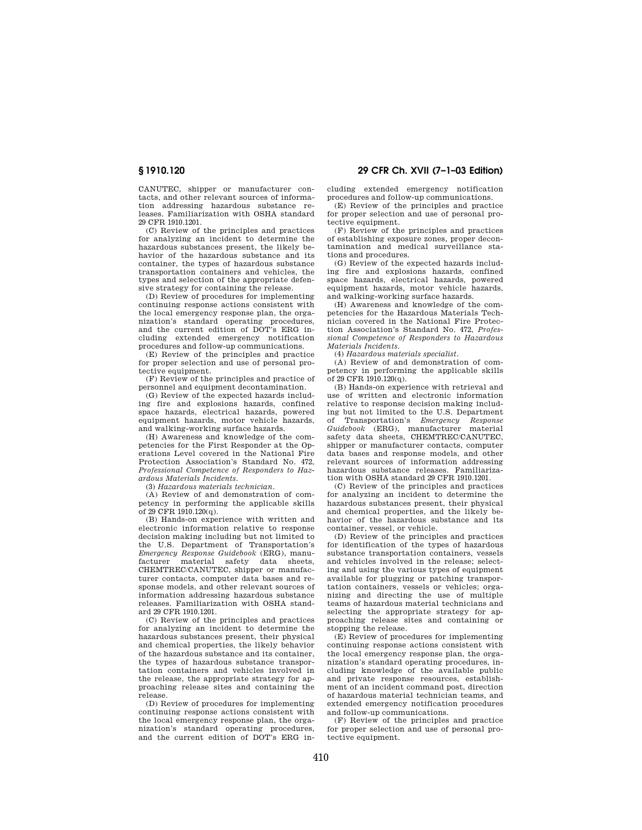CANUTEC, shipper or manufacturer contacts, and other relevant sources of information addressing hazardous substance releases. Familiarization with OSHA standard 29 CFR 1910.1201.

(C) Review of the principles and practices for analyzing an incident to determine the hazardous substances present, the likely behavior of the hazardous substance and its container, the types of hazardous substance transportation containers and vehicles, the types and selection of the appropriate defensive strategy for containing the release.

(D) Review of procedures for implementing continuing response actions consistent with the local emergency response plan, the organization's standard operating procedures, and the current edition of DOT's ERG including extended emergency notification procedures and follow-up communications.

(E) Review of the principles and practice for proper selection and use of personal protective equipment.

(F) Review of the principles and practice of personnel and equipment decontamination.

(G) Review of the expected hazards including fire and explosions hazards, confined space hazards, electrical hazards, powered equipment hazards, motor vehicle hazards, and walking-working surface hazards.

(H) Awareness and knowledge of the competencies for the First Responder at the Operations Level covered in the National Fire Protection Association's Standard No. 472, *Professional Competence of Responders to Hazardous Materials Incidents*.

(3) *Hazardous materials technician*.

(A) Review of and demonstration of competency in performing the applicable skills of 29 CFR  $1910.120(q)$ .

(B) Hands-on experience with written and electronic information relative to response decision making including but not limited to the U.S. Department of Transportation's *Emergency Response Guidebook* (ERG), manufacturer material safety data sheets, CHEMTREC/CANUTEC, shipper or manufacturer contacts, computer data bases and response models, and other relevant sources of information addressing hazardous substance releases. Familiarization with OSHA standard 29 CFR 1910.1201.

(C) Review of the principles and practices for analyzing an incident to determine the hazardous substances present, their physical and chemical properties, the likely behavior of the hazardous substance and its container, the types of hazardous substance transportation containers and vehicles involved in the release, the appropriate strategy for approaching release sites and containing the release.

(D) Review of procedures for implementing continuing response actions consistent with the local emergency response plan, the organization's standard operating procedures, and the current edition of DOT's ERG in-

**§ 1910.120 29 CFR Ch. XVII (7–1–03 Edition)**

cluding extended emergency notification procedures and follow-up communications.

(E) Review of the principles and practice for proper selection and use of personal protective equipment.

(F) Review of the principles and practices of establishing exposure zones, proper decontamination and medical surveillance stations and procedures.

(G) Review of the expected hazards including fire and explosions hazards, confined space hazards, electrical hazards, powered equipment hazards, motor vehicle hazards, and walking-working surface hazards.

(H) Awareness and knowledge of the competencies for the Hazardous Materials Technician covered in the National Fire Protection Association's Standard No. 472, *Professional Competence of Responders to Hazardous Materials Incidents*.

(4) *Hazardous materials specialist*.

(A) Review of and demonstration of competency in performing the applicable skills of 29 CFR  $1910.120(q)$ .

(B) Hands-on experience with retrieval and use of written and electronic information relative to response decision making including but not limited to the U.S. Department of Transportation's *Emergency Response Guidebook* (ERG), manufacturer material safety data sheets, CHEMTREC/CANUTEC, shipper or manufacturer contacts, computer data bases and response models, and other relevant sources of information addressing hazardous substance releases. Familiarization with OSHA standard 29 CFR 1910.1201.

(C) Review of the principles and practices for analyzing an incident to determine the hazardous substances present, their physical and chemical properties, and the likely behavior of the hazardous substance and its container, vessel, or vehicle.

(D) Review of the principles and practices for identification of the types of hazardous substance transportation containers, vessels and vehicles involved in the release; selecting and using the various types of equipment available for plugging or patching transportation containers, vessels or vehicles; organizing and directing the use of multiple teams of hazardous material technicians and selecting the appropriate strategy for approaching release sites and containing or stopping the release.

(E) Review of procedures for implementing continuing response actions consistent with the local emergency response plan, the organization's standard operating procedures, including knowledge of the available public and private response resources, establishment of an incident command post, direction of hazardous material technician teams, and extended emergency notification procedures and follow-up communications.

(F) Review of the principles and practice for proper selection and use of personal protective equipment.